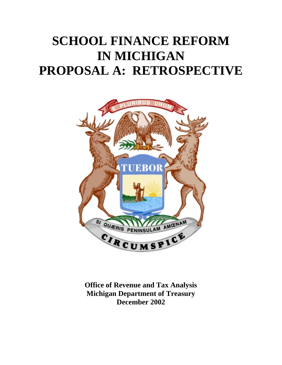# **SCHOOL FINANCE REFORM IN MICHIGAN PROPOSAL A: RETROSPECTIVE**



**Office of Revenue and Tax Analysis Michigan Department of Treasury December 2002**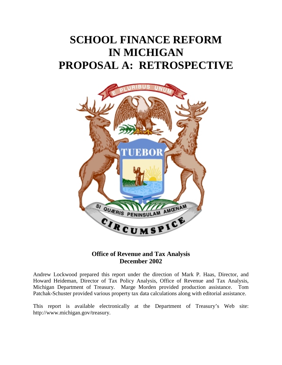# **SCHOOL FINANCE REFORM IN MICHIGAN PROPOSAL A: RETROSPECTIVE**



### **Office of Revenue and Tax Analysis December 2002**

Andrew Lockwood prepared this report under the direction of Mark P. Haas, Director, and Howard Heideman, Director of Tax Policy Analysis, Office of Revenue and Tax Analysis, Michigan Department of Treasury. Marge Morden provided production assistance. Tom Patchak-Schuster provided various property tax data calculations along with editorial assistance.

This report is available electronically at the Department of Treasury's Web site: http://www.michigan.gov/treasury.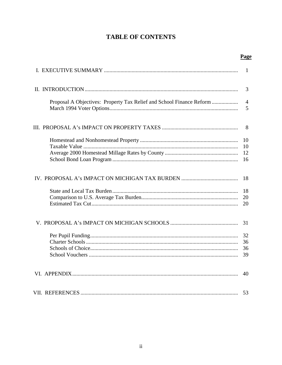# **TABLE OF CONTENTS**

|                                                                      | -1                         |
|----------------------------------------------------------------------|----------------------------|
|                                                                      | 3                          |
| Proposal A Objectives: Property Tax Relief and School Finance Reform | $\overline{4}$<br>5        |
|                                                                      | 8                          |
|                                                                      | 10<br>10<br>12<br>16       |
|                                                                      | 18<br>18<br>20<br>20       |
|                                                                      | 31<br>32<br>36<br>36<br>39 |
|                                                                      | 40                         |
|                                                                      |                            |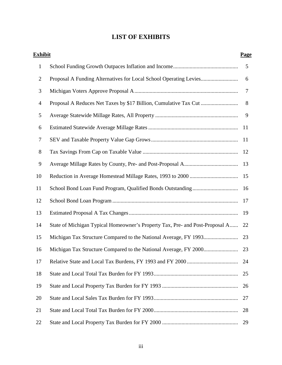# **LIST OF EXHIBITS**

| <b>Exhibit</b>   |                                                                              | <b>Page</b>    |
|------------------|------------------------------------------------------------------------------|----------------|
| $\mathbf{1}$     |                                                                              | 5              |
| $\overline{2}$   |                                                                              | 6              |
| 3                |                                                                              | $\overline{7}$ |
| $\overline{4}$   |                                                                              | 8              |
| 5                |                                                                              | 9              |
| 6                |                                                                              |                |
| $\boldsymbol{7}$ |                                                                              |                |
| $8\,$            |                                                                              | 12             |
| 9                |                                                                              | 13             |
| 10               |                                                                              |                |
| 11               |                                                                              |                |
| 12               |                                                                              | 17             |
| 13               |                                                                              | 19             |
| 14               | State of Michigan Typical Homeowner's Property Tax, Pre- and Post-Proposal A | 22             |
| 15               |                                                                              | 23             |
| 16               |                                                                              | 23             |
| 17               |                                                                              | 24             |
| 18               |                                                                              | 25             |
| 19               |                                                                              | 26             |
| 20               |                                                                              | 27             |
| 21               |                                                                              | 28             |
| 22               |                                                                              | 29             |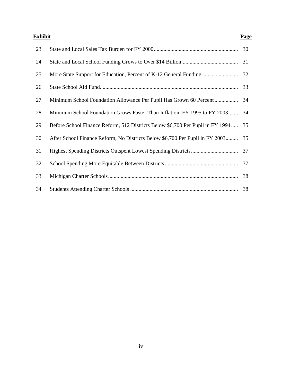#### **Exhibit Page**

| 23 |                                                                                   | 30 |
|----|-----------------------------------------------------------------------------------|----|
| 24 |                                                                                   | 31 |
| 25 |                                                                                   |    |
| 26 |                                                                                   | 33 |
| 27 |                                                                                   |    |
| 28 | Minimum School Foundation Grows Faster Than Inflation, FY 1995 to FY 2003         | 34 |
| 29 | Before School Finance Reform, 512 Districts Below \$6,700 Per Pupil in FY 1994 35 |    |
| 30 | After School Finance Reform, No Districts Below \$6,700 Per Pupil in FY 2003      | 35 |
| 31 |                                                                                   |    |
| 32 |                                                                                   | 37 |
| 33 |                                                                                   | 38 |
| 34 |                                                                                   | 38 |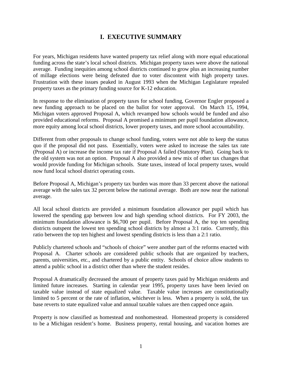# **I. EXECUTIVE SUMMARY**

For years, Michigan residents have wanted property tax relief along with more equal educational funding across the state's local school districts. Michigan property taxes were above the national average. Funding inequities among school districts continued to grow plus an increasing number of millage elections were being defeated due to voter discontent with high property taxes. Frustration with these issues peaked in August 1993 when the Michigan Legislature repealed property taxes as the primary funding source for K-12 education.

In response to the elimination of property taxes for school funding, Governor Engler proposed a new funding approach to be placed on the ballot for voter approval. On March 15, 1994, Michigan voters approved Proposal A, which revamped how schools would be funded and also provided educational reforms. Proposal A promised a minimum per pupil foundation allowance, more equity among local school districts, lower property taxes, and more school accountability.

Different from other proposals to change school funding, voters were not able to keep the status quo if the proposal did not pass. Essentially, voters were asked to increase the sales tax rate (Proposal A) or increase the income tax rate if Proposal A failed (Statutory Plan). Going back to the old system was not an option. Proposal A also provided a new mix of other tax changes that would provide funding for Michigan schools. State taxes, instead of local property taxes, would now fund local school district operating costs.

Before Proposal A, Michigan's property tax burden was more than 33 percent above the national average with the sales tax 32 percent below the national average. Both are now near the national average.

All local school districts are provided a minimum foundation allowance per pupil which has lowered the spending gap between low and high spending school districts. For FY 2003, the minimum foundation allowance is \$6,700 per pupil. Before Proposal A, the top ten spending districts outspent the lowest ten spending school districts by almost a 3:1 ratio. Currently, this ratio between the top ten highest and lowest spending districts is less than a 2:1 ratio.

Publicly chartered schools and "schools of choice" were another part of the reforms enacted with Proposal A. Charter schools are considered public schools that are organized by teachers, parents, universities, etc., and chartered by a public entity. Schools of choice allow students to attend a public school in a district other than where the student resides.

Proposal A dramatically decreased the amount of property taxes paid by Michigan residents and limited future increases. Starting in calendar year 1995, property taxes have been levied on taxable value instead of state equalized value. Taxable value increases are constitutionally limited to 5 percent or the rate of inflation, whichever is less. When a property is sold, the tax base reverts to state equalized value and annual taxable values are then capped once again.

Property is now classified as homestead and nonhomestead. Homestead property is considered to be a Michigan resident's home. Business property, rental housing, and vacation homes are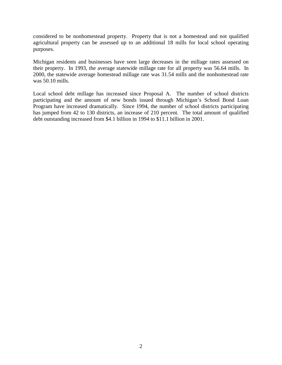considered to be nonhomestead property. Property that is not a homestead and not qualified agricultural property can be assessed up to an additional 18 mills for local school operating purposes.

Michigan residents and businesses have seen large decreases in the millage rates assessed on their property. In 1993, the average statewide millage rate for all property was 56.64 mills. In 2000, the statewide average homestead millage rate was 31.54 mills and the nonhomestead rate was 50.10 mills.

Local school debt millage has increased since Proposal A. The number of school districts participating and the amount of new bonds issued through Michigan's School Bond Loan Program have increased dramatically. Since 1994, the number of school districts participating has jumped from 42 to 130 districts, an increase of 210 percent. The total amount of qualified debt outstanding increased from \$4.1 billion in 1994 to \$11.1 billion in 2001.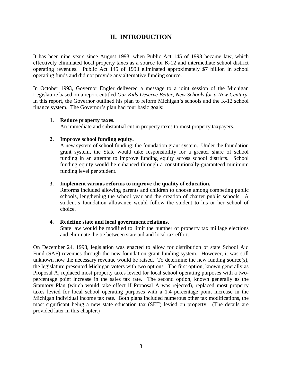# **II. INTRODUCTION**

It has been nine years since August 1993, when Public Act 145 of 1993 became law, which effectively eliminated local property taxes as a source for K-12 and intermediate school district operating revenues. Public Act 145 of 1993 eliminated approximately \$7 billion in school operating funds and did not provide any alternative funding source.

In October 1993, Governor Engler delivered a message to a joint session of the Michigan Legislature based on a report entitled *Our Kids Deserve Better, New Schools for a New Century*. In this report, the Governor outlined his plan to reform Michigan's schools and the K-12 school finance system. The Governor's plan had four basic goals:

#### **1. Reduce property taxes.**

An immediate and substantial cut in property taxes to most property taxpayers.

#### **2. Improve school funding equity.**

A new system of school funding: the foundation grant system. Under the foundation grant system, the State would take responsibility for a greater share of school funding in an attempt to improve funding equity across school districts. School funding equity would be enhanced through a constitutionally-guaranteed minimum funding level per student.

#### **3. Implement various reforms to improve the quality of education.**

Reforms included allowing parents and children to choose among competing public schools, lengthening the school year and the creation of charter public schools. A student's foundation allowance would follow the student to his or her school of choice.

#### **4. Redefine state and local government relations.**

State law would be modified to limit the number of property tax millage elections and eliminate the tie between state aid and local tax effort.

On December 24, 1993, legislation was enacted to allow for distribution of state School Aid Fund (SAF) revenues through the new foundation grant funding system. However, it was still unknown how the necessary revenue would be raised. To determine the new funding source(s), the legislature presented Michigan voters with two options. The first option, known generally as Proposal A, replaced most property taxes levied for local school operating purposes with a twopercentage point increase in the sales tax rate. The second option, known generally as the Statutory Plan (which would take effect if Proposal A was rejected), replaced most property taxes levied for local school operating purposes with a 1.4 percentage point increase in the Michigan individual income tax rate. Both plans included numerous other tax modifications, the most significant being a new state education tax (SET) levied on property. (The details are provided later in this chapter.)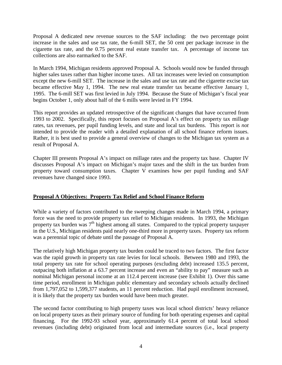Proposal A dedicated new revenue sources to the SAF including: the two percentage point increase in the sales and use tax rate, the 6-mill SET, the 50 cent per package increase in the cigarette tax rate, and the 0.75 percent real estate transfer tax. A percentage of income tax collections are also earmarked to the SAF.

In March 1994, Michigan residents approved Proposal A. Schools would now be funded through higher sales taxes rather than higher income taxes. All tax increases were levied on consumption except the new 6-mill SET. The increase in the sales and use tax rate and the cigarette excise tax became effective May 1, 1994. The new real estate transfer tax became effective January 1, 1995. The 6-mill SET was first levied in July 1994. Because the State of Michigan's fiscal year begins October 1, only about half of the 6 mills were levied in FY 1994.

This report provides an updated retrospective of the significant changes that have occurred from 1993 to 2002. Specifically, this report focuses on Proposal A's effect on property tax millage rates, tax revenues, per pupil funding levels, and state and local tax burdens. This report is *not* intended to provide the reader with a detailed explanation of all school finance reform issues. Rather, it is best used to provide a general overview of changes to the Michigan tax system as a result of Proposal A.

Chapter III presents Proposal A's impact on millage rates and the property tax base. Chapter IV discusses Proposal A's impact on Michigan's major taxes and the shift in the tax burden from property toward consumption taxes. Chapter V examines how per pupil funding and SAF revenues have changed since 1993.

#### **Proposal A Objectives: Property Tax Relief and School Finance Reform**

While a variety of factors contributed to the sweeping changes made in March 1994, a primary force was the need to provide property tax relief to Michigan residents. In 1993, the Michigan property tax burden was 7<sup>th</sup> highest among all states. Compared to the typical property taxpayer in the U.S., Michigan residents paid nearly one-third more in property taxes. Property tax reform was a perennial topic of debate until the passage of Proposal A.

The relatively high Michigan property tax burden could be traced to two factors. The first factor was the rapid growth in property tax rate levies for local schools. Between 1980 and 1993, the total property tax rate for school operating purposes (excluding debt) increased 135.5 percent, outpacing both inflation at a 63.7 percent increase and even an "ability to pay" measure such as nominal Michigan personal income at an 112.4 percent increase (see Exhibit 1). Over this same time period, enrollment in Michigan public elementary and secondary schools actually declined from 1,797,052 to 1,599,377 students, an 11 percent reduction. Had pupil enrollment increased, it is likely that the property tax burden would have been much greater.

The second factor contributing to high property taxes was local school districts' heavy reliance on local property taxes as their primary source of funding for both operating expenses and capital financing. For the 1992-93 school year, approximately 61.4 percent of total local school revenues (including debt) originated from local and intermediate sources (i.e., local property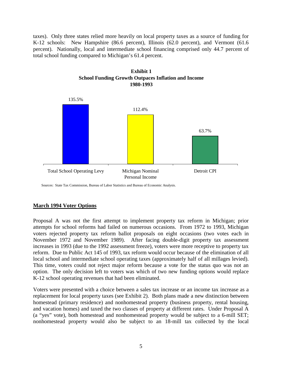taxes). Only three states relied more heavily on local property taxes as a source of funding for K-12 schools: New Hampshire (86.6 percent), Illinois (62.0 percent), and Vermont (61.6 percent). Nationally, local and intermediate school financing comprised only 44.7 percent of total school funding compared to Michigan's 61.4 percent.





Sources: State Tax Commission, Bureau of Labor Statistics and Bureau of Economic Analysis.

#### **March 1994 Voter Options**

Proposal A was not the first attempt to implement property tax reform in Michigan; prior attempts for school reforms had failed on numerous occasions. From 1972 to 1993, Michigan voters rejected property tax reform ballot proposals on eight occasions (two votes each in November 1972 and November 1989). After facing double-digit property tax assessment increases in 1993 (due to the 1992 assessment freeze), voters were more receptive to property tax reform. Due to Public Act 145 of 1993, tax reform would occur because of the elimination of all local school and intermediate school operating taxes (approximately half of all millages levied). This time, voters could not reject major reform because a vote for the status quo was not an option. The only decision left to voters was which of two new funding options would replace K-12 school operating revenues that had been eliminated.

Voters were presented with a choice between a sales tax increase or an income tax increase as a replacement for local property taxes (see Exhibit 2). Both plans made a new distinction between homestead (primary residence) and nonhomestead property (business property, rental housing, and vacation homes) and taxed the two classes of property at different rates. Under Proposal A (a "yes" vote), both homestead and nonhomestead property would be subject to a 6-mill SET; nonhomestead property would also be subject to an 18-mill tax collected by the local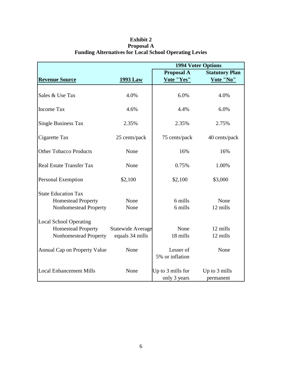|                                                                                     | <b>1994 Voter Options</b>                   |                                   |                            |  |  |  |  |
|-------------------------------------------------------------------------------------|---------------------------------------------|-----------------------------------|----------------------------|--|--|--|--|
|                                                                                     |                                             | <b>Proposal A</b>                 | <b>Statutory Plan</b>      |  |  |  |  |
| <b>Revenue Source</b>                                                               | <b>1993 Law</b>                             | Vote "Yes"                        | Vote "No"                  |  |  |  |  |
| Sales & Use Tax                                                                     | 4.0%                                        | 6.0%                              | 4.0%                       |  |  |  |  |
| <b>Income Tax</b>                                                                   | 4.6%                                        | 4.4%                              | 6.0%                       |  |  |  |  |
| <b>Single Business Tax</b>                                                          | 2.35%                                       | 2.35%                             | 2.75%                      |  |  |  |  |
| Cigarette Tax                                                                       | 25 cents/pack                               | 75 cents/pack                     | 40 cents/pack              |  |  |  |  |
| <b>Other Tobacco Products</b>                                                       | None                                        | 16%                               | 16%                        |  |  |  |  |
| <b>Real Estate Transfer Tax</b>                                                     | None                                        | 0.75%                             | 1.00%                      |  |  |  |  |
| Personal Exemption                                                                  | \$2,100                                     | \$2,100                           | \$3,000                    |  |  |  |  |
| <b>State Education Tax</b><br><b>Homestead Property</b><br>Nonhomestead Property    | None<br>None                                | 6 mills<br>6 mills                | None<br>12 mills           |  |  |  |  |
| <b>Local School Operating</b><br><b>Homestead Property</b><br>Nonhomestead Property | <b>Statewide Average</b><br>equals 34 mills | None<br>18 mills                  | 12 mills<br>12 mills       |  |  |  |  |
| Annual Cap on Property Value                                                        | None                                        | Lesser of<br>5% or inflation      | None                       |  |  |  |  |
| <b>Local Enhancement Mills</b>                                                      | None                                        | Up to 3 mills for<br>only 3 years | Up to 3 mills<br>permanent |  |  |  |  |

### **Exhibit 2 Proposal A Funding Alternatives for Local School Operating Levies**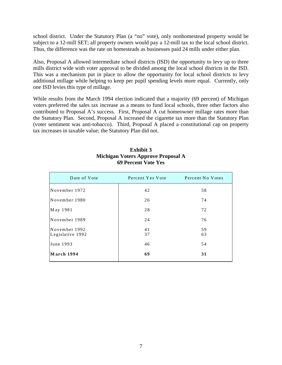school district. Under the Statutory Plan (a "no" vote), only nonhomestead property would be subject to a 12-mill SET; all property owners would pay a 12-mill tax to the local school district. Thus, the difference was the rate on homesteads as businesses paid 24 mills under either plan.

Also, Proposal A allowed intermediate school districts (ISD) the opportunity to levy up to three mills district wide with voter approval to be divided among the local school districts in the ISD. This was a mechanism put in place to allow the opportunity for local school districts to levy additional millage while helping to keep per pupil spending levels more equal. Currently, only one ISD levies this type of millage.

While results from the March 1994 election indicated that a majority (69 percent) of Michigan voters preferred the sales tax increase as a means to fund local schools, three other factors also contributed to Proposal A's success. First, Proposal A cut homeowner millage rates more than the Statutory Plan. Second, Proposal A increased the cigarette tax more than the Statutory Plan (voter sentiment was anti-tobacco). Third, Proposal A placed a constitutional cap on property tax increases in taxable value; the Statutory Plan did not.

| Date of Vote                      | Percent Yes Vote | Percent No Votes |
|-----------------------------------|------------------|------------------|
| November 1972                     | 42               | 58               |
| November 1980                     | 26               | 74               |
| May 1981                          | 28               | 72               |
| November 1989                     | 24               | 76               |
| November 1992<br>Legislative 1992 | 41<br>37         | 59<br>63         |
| June 1993                         | 46               | 54               |
| March 1994                        | 69               | 31               |

#### **Exhibit 3 Michigan Voters Approve Proposal A 69 Percent Vote Yes**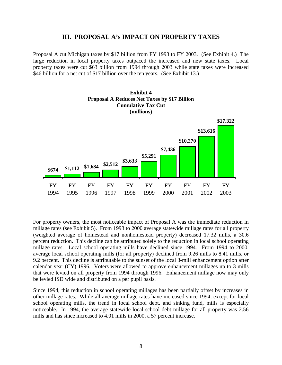#### **III. PROPOSAL A's IMPACT ON PROPERTY TAXES**

Proposal A cut Michigan taxes by \$17 billion from FY 1993 to FY 2003. (See Exhibit 4.) The large reduction in local property taxes outpaced the increased and new state taxes. Local property taxes were cut \$63 billion from 1994 through 2003 while state taxes were increased \$46 billion for a net cut of \$17 billion over the ten years. (See Exhibit 13.)

**Exhibit 4**



For property owners, the most noticeable impact of Proposal A was the immediate reduction in millage rates (see Exhibit 5). From 1993 to 2000 average statewide millage rates for all property (weighted average of homestead and nonhomestead property) decreased 17.32 mills, a 30.6 percent reduction. This decline can be attributed solely to the reduction in local school operating millage rates. Local school operating mills have declined since 1994. From 1994 to 2000, average local school operating mills (for all property) declined from 9.26 mills to 8.41 mills, or 9.2 percent. This decline is attributable to the sunset of the local 3-mill enhancement option after calendar year (CY) 1996. Voters were allowed to approve enhancement millages up to 3 mills that were levied on all property from 1994 through 1996. Enhancement millage now may only be levied ISD wide and distributed on a per pupil basis.

Since 1994, this reduction in school operating millages has been partially offset by increases in other millage rates. While all average millage rates have increased since 1994, except for local school operating mills, the trend in local school debt, and sinking fund, mills is especially noticeable. In 1994, the average statewide local school debt millage for all property was 2.56 mills and has since increased to 4.01 mills in 2000, a 57 percent increase.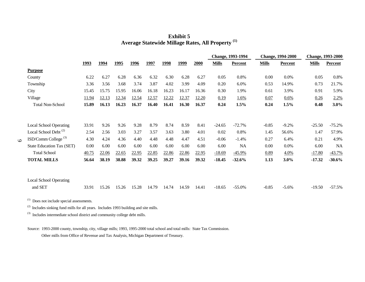**Exhibit 5 Average Statewide Millage Rates, All Property (1)**

|                                  |             |             |             |             |             |             |       |       |              | Change, 1993-1994 |              | <b>Change, 1994-2000</b> |              | <b>Change, 1993-2000</b> |
|----------------------------------|-------------|-------------|-------------|-------------|-------------|-------------|-------|-------|--------------|-------------------|--------------|--------------------------|--------------|--------------------------|
|                                  | <u>1993</u> | <u>1994</u> | <u>1995</u> | <u>1996</u> | <u>1997</u> | <u>1998</u> | 1999  | 2000  | <b>Mills</b> | <b>Percent</b>    | <b>Mills</b> | <b>Percent</b>           | <b>Mills</b> | <b>Percent</b>           |
| <b>Purpose</b>                   |             |             |             |             |             |             |       |       |              |                   |              |                          |              |                          |
| County                           | 6.22        | 6.27        | 6.28        | 6.36        | 6.32        | 6.30        | 6.28  | 6.27  | 0.05         | 0.8%              | 0.00         | 0.0%                     | 0.05         | 0.8%                     |
| Township                         | 3.36        | 3.56        | 3.68        | 3.74        | 3.87        | 4.02        | 3.99  | 4.09  | 0.20         | 6.0%              | 0.53         | 14.9%                    | 0.73         | 21.7%                    |
| City                             | 15.45       | 15.75       | 15.95       | 16.06       | 16.18       | 16.23       | 16.17 | 16.36 | 0.30         | 1.9%              | 0.61         | 3.9%                     | 0.91         | 5.9%                     |
| Village                          | 11.94       | 12.13       | 12.34       | 12.54       | 12.57       | 12.22       | 12.37 | 12.20 | 0.19         | 1.6%              | 0.07         | 0.6%                     | 0.26         | 2.2%                     |
| <b>Total Non-School</b>          | 15.89       | 16.13       | 16.23       | 16.37       | 16.40       | 16.41       | 16.30 | 16.37 | 0.24         | 1.5%              | 0.24         | 1.5%                     | 0.48         | $3.0\%$                  |
|                                  |             |             |             |             |             |             |       |       |              |                   |              |                          |              |                          |
| <b>Local School Operating</b>    | 33.91       | 9.26        | 9.26        | 9.28        | 8.79        | 8.74        | 8.59  | 8.41  | $-24.65$     | $-72.7%$          | $-0.85$      | $-9.2%$                  | $-25.50$     | $-75.2%$                 |
| Local School Debt <sup>(2)</sup> | 2.54        | 2.56        | 3.03        | 3.27        | 3.57        | 3.63        | 3.80  | 4.01  | 0.02         | 0.8%              | 1.45         | 56.6%                    | 1.47         | 57.9%                    |
| ISD/Comm College <sup>(3)</sup>  | 4.30        | 4.24        | 4.36        | 4.40        | 4.48        | 4.48        | 4.47  | 4.51  | $-0.06$      | $-1.4%$           | 0.27         | 6.4%                     | 0.21         | 4.9%                     |
| <b>State Education Tax (SET)</b> | 0.00        | 6.00        | 6.00        | 6.00        | 6.00        | 6.00        | 6.00  | 6.00  | 6.00         | <b>NA</b>         | 0.00         | 0.0%                     | 6.00         | <b>NA</b>                |
| <b>Total School</b>              | 40.75       | 22.06       | 22.65       | 22.95       | 22.85       | 22.86       | 22.86 | 22.95 | $-18.69$     | $-45.9\%$         | 0.89         | 4.0%                     | $-17.80$     | $-43.7%$                 |
| <b>TOTAL MILLS</b>               | 56.64       | 38.19       | 38.88       | 39.32       | 39.25       | 39.27       | 39.16 | 39.32 | $-18.45$     | $-32.6%$          | 1.13         | $3.0\%$                  | $-17.32$     | $-30.6%$                 |
|                                  |             |             |             |             |             |             |       |       |              |                   |              |                          |              |                          |
| <b>Local School Operating</b>    |             |             |             |             |             |             |       |       |              |                   |              |                          |              |                          |
| and SET                          | 33.91       | 15.26       | 15.26       | 15.28       | 14.79       | 14.74       | 14.59 | 14.41 | $-18.65$     | $-55.0%$          | $-0.85$      | $-5.6\%$                 | $-19.50$     | $-57.5%$                 |

(1) Does not include special assessments.

 $\circ$ 

 $(2)$  Includes sinking fund mills for all years. Includes 1993 building and site mills.

(3) Includes intermediate school district and community college debt mills.

Source: 1993-2000 county, township, city, village mills; 1993, 1995-2000 total school and total mills: State Tax Commission.

Other mills from Office of Revenue and Tax Analysis, Michigan Department of Treasury.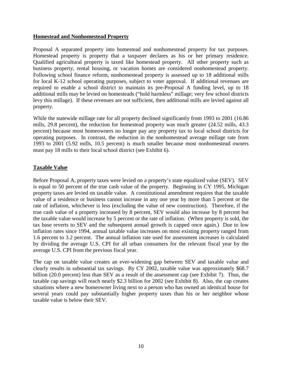#### **Homestead and Nonhomestead Property**

Proposal A separated property into homestead and nonhomestead property for tax purposes. Homestead property is property that a taxpayer declares as his or her primary residence. Qualified agricultural property is taxed like homestead property. All other property such as business property, rental housing, or vacation homes are considered nonhomestead property. Following school finance reform, nonhomestead property is assessed up to 18 additional mills for local K-12 school operating purposes, subject to voter approval. If additional revenues are required to enable a school district to maintain its pre-Proposal A funding level, up to 18 additional mills may be levied on homesteads ("hold harmless" millage; very few school districts levy this millage). If these revenues are not sufficient, then additional mills are levied against all property.

While the statewide millage rate for all property declined significantly from 1993 to 2001 (16.86 mills, 29.8 percent), the reduction for homestead property was much greater (24.52 mills, 43.3 percent) because most homeowners no longer pay any property tax to local school districts for operating purposes. In contrast, the reduction in the nonhomestead average millage rate from 1993 to 2001 (5.92 mills, 10.5 percent) is much smaller because most nonhomestead owners must pay 18 mills to their local school district (see Exhibit 6).

#### **Taxable Value**

Before Proposal A, property taxes were levied on a property's state equalized value (SEV). SEV is equal to 50 percent of the true cash value of the property. Beginning in CY 1995, Michigan property taxes are levied on taxable value. A constitutional amendment requires that the taxable value of a residence or business cannot increase in any one year by more than 5 percent or the rate of inflation, whichever is less (excluding the value of new construction). Therefore, if the true cash value of a property increased by 8 percent, SEV would also increase by 8 percent but the taxable value would increase by 5 percent or the rate of inflation. (When property is sold, the tax base reverts to SEV and the subsequent annual growth is capped once again.) Due to low inflation rates since 1994, annual taxable value increases on most existing property ranged from 1.6 percent to 3.2 percent. The annual inflation rate used for assessment increases is calculated by dividing the average U.S. CPI for all urban consumers for the relevant fiscal year by the average U.S. CPI from the previous fiscal year.

The cap on taxable value creates an ever-widening gap between SEV and taxable value and clearly results in substantial tax savings. By CY 2002, taxable value was approximately \$68.7 billion (20.0 percent) less than SEV as a result of the assessment cap (see Exhibit 7). Thus, the taxable cap savings will reach nearly \$2.3 billion for 2002 (see Exhibit 8). Also, the cap creates situations where a new homeowner living next to a person who has owned an identical house for several years could pay substantially higher property taxes than his or her neighbor whose taxable value is below their SEV.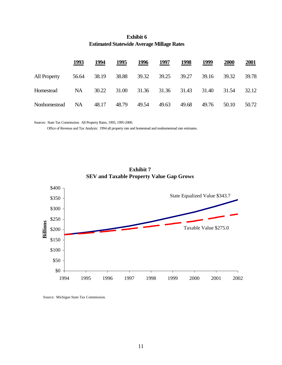|              | 1993      | 1994  | 1995  | 1996  | 1997  | 1998  | <u> 1999</u> | 2000  | <b>2001</b> |
|--------------|-----------|-------|-------|-------|-------|-------|--------------|-------|-------------|
| All Property | 56.64     | 38.19 | 38.88 | 39.32 | 39.25 | 39.27 | 39.16        | 39.32 | 39.78       |
| Homestead    | <b>NA</b> | 30.22 | 31.00 | 31.36 | 31.36 | 31.43 | 31.40        | 31.54 | 32.12       |
| Nonhomestead | <b>NA</b> | 48.17 | 48.79 | 49.54 | 49.63 | 49.68 | 49.76        | 50.10 | 50.72       |

#### **Exhibit 6 Estimated Statewide Average Millage Rates**

Sources: State Tax Commission: All Property Rates, 1993, 1995-2000.

Office of Revenue and Tax Analysis: 1994 all property rate and homestead and nonhomestead rate estimates.



**Exhibit 7 SEV and Taxable Property Value Gap Grows**

Source: Michigan State Tax Commission.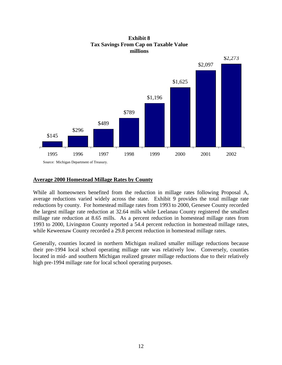

#### **Exhibit 8 Tax Savings From Cap on Taxable Value millions**

#### **Average 2000 Homestead Millage Rates by County**

While all homeowners benefited from the reduction in millage rates following Proposal A, average reductions varied widely across the state. Exhibit 9 provides the total millage rate reductions by county. For homestead millage rates from 1993 to 2000, Genesee County recorded the largest millage rate reduction at 32.64 mills while Leelanau County registered the smallest millage rate reduction at 8.65 mills. As a percent reduction in homestead millage rates from 1993 to 2000, Livingston County reported a 54.4 percent reduction in homestead millage rates, while Keweenaw County recorded a 29.8 percent reduction in homestead millage rates.

Generally, counties located in northern Michigan realized smaller millage reductions because their pre-1994 local school operating millage rate was relatively low. Conversely, counties located in mid- and southern Michigan realized greater millage reductions due to their relatively high pre-1994 millage rate for local school operating purposes.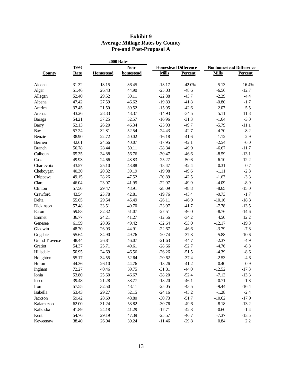#### **Exhibit 9 Average Millage Rates by County Pre-and Post-Proposal A**

|                       |             | 2000 Rates       |           |              |                             |              |                                |  |
|-----------------------|-------------|------------------|-----------|--------------|-----------------------------|--------------|--------------------------------|--|
|                       | 1993        | Non-             |           |              | <b>Homestead Difference</b> |              | <b>Nonhomestead Difference</b> |  |
| <b>County</b>         | <b>Rate</b> | <b>Homestead</b> | homestead | <b>Mills</b> | Percent                     | <b>Mills</b> | <b>Percent</b>                 |  |
| Alcona                | 31.32       | 18.15            | 36.45     | $-13.17$     | $-42.0%$                    | 5.13         | 16.4%                          |  |
| Alger                 | 51.46       | 26.43            | 44.90     | $-25.03$     | $-48.6$                     | $-6.56$      | $-12.7$                        |  |
| Allegan               | 52.40       | 29.52            | 50.11     | $-22.88$     | $-43.7$                     | $-2.29$      | $-4.4$                         |  |
| Alpena                | 47.42       | 27.59            | 46.62     | $-19.83$     | $-41.8$                     | $-0.80$      | $-1.7$                         |  |
| Antrim                | 37.45       | 21.50            | 39.52     | $-15.95$     | $-42.6$                     | 2.07         | 5.5                            |  |
| Arenac                | 43.26       | 28.33            | 48.37     | $-14.93$     | $-34.5$                     | 5.11         | 11.8                           |  |
| Baraga                | 54.21       | 37.25            | 52.57     | $-16.96$     | $-31.3$                     | $-1.64$      | $-3.0$                         |  |
| <b>Barry</b>          | 52.13       | 26.20            | 46.34     | $-25.93$     | $-49.7$                     | $-5.79$      | $-11.1$                        |  |
| <b>Bay</b>            | 57.24       | 32.81            | 52.54     | $-24.43$     | $-42.7$                     | $-4.70$      | $-8.2$                         |  |
| Benzie                | 38.90       | 22.72            | 40.02     | $-16.18$     | $-41.6$                     | 1.12         | 2.9                            |  |
| Berrien               | 42.61       | 24.66            | 40.07     | $-17.95$     | $-42.1$                     | $-2.54$      | $-6.0$                         |  |
| <b>Branch</b>         | 56.78       | 28.44            | 50.11     | $-28.34$     | $-49.9$                     | $-6.67$      | $-11.7$                        |  |
| Calhoun               | 65.35       | 34.88            | 56.76     | $-30.47$     | $-46.6$                     | $-8.59$      | $-13.1$                        |  |
| Cass                  | 49.93       | 24.66            | 43.83     | $-25.27$     | $-50.6$                     | $-6.10$      | $-12.2$                        |  |
| Charlevoix            | 43.57       | 25.10            | 43.88     | $-18.47$     | $-42.4$                     | 0.31         | 0.7                            |  |
| Cheboygan             | 40.30       | 20.32            | 39.19     | $-19.98$     | $-49.6$                     | $-1.11$      | $-2.8$                         |  |
| Chippewa              | 49.15       | 28.26            | 47.52     | $-20.89$     | $-42.5$                     | $-1.63$      | $-3.3$                         |  |
| Clare                 | 46.04       | 23.07            | 41.95     | $-22.97$     | $-49.9$                     | $-4.09$      | $-8.9$                         |  |
| Clinton               | 57.56       | 29.47            | 48.91     | $-28.09$     | $-48.8$                     | $-8.65$      | $-15.0$                        |  |
| Crawford              | 43.54       | 23.78            | 42.81     | $-19.76$     | $-45.4$                     | $-0.73$      | $-1.7$                         |  |
| Delta                 | 55.65       | 29.54            | 45.49     | $-26.11$     | $-46.9$                     | $-10.16$     | $-18.3$                        |  |
| Dickinson             | 57.48       | 33.51            | 49.70     | $-23.97$     | $-41.7$                     | $-7.78$      | $-13.5$                        |  |
| Eaton                 | 59.83       | 32.32            | 51.07     | $-27.51$     | $-46.0$                     | $-8.76$      | $-14.6$                        |  |
| Emmet                 | 36.77       | 24.21            | 41.27     | $-12.56$     | $-34.2$                     | 4.50         | 12.2                           |  |
| Genesee               | 61.59       | 28.95            | 49.42     | $-32.64$     | $-53.0$                     | $-12.17$     | $-19.8$                        |  |
| Gladwin               | 48.70       | 26.03            | 44.91     | $-22.67$     | $-46.6$                     | $-3.79$      | $-7.8$                         |  |
| Gogebic               | 55.64       | 34.90            | 49.76     | $-20.74$     | $-37.3$                     | $-5.88$      | $-10.6$                        |  |
| <b>Grand Traverse</b> | 48.44       | 26.81            | 46.07     | $-21.63$     | $-44.7$                     | $-2.37$      | $-4.9$                         |  |
| Gratiot               | 54.37       | 25.71            | 49.61     | $-28.66$     | $-52.7$                     | $-4.76$      | $-8.8$                         |  |
| Hillsdale             | 50.95       | 24.69            | 46.56     | $-26.26$     | $-51.5$                     | $-4.39$      | $-8.6$                         |  |
| Houghton              | 55.17       | 34.55            | 52.64     | $-20.62$     | $-37.4$                     | $-2.53$      | $-4.6$                         |  |
| Huron                 | 44.36       | 26.10            | 44.76     | $-18.26$     | $-41.2$                     | 0.40         | $0.9\,$                        |  |
| Ingham                | 72.27       | 40.46            | 59.75     | $-31.81$     | $-44.0$                     | $-12.52$     | $-17.3$                        |  |
| Ionia                 | 53.80       | 25.60            | 46.67     | $-28.20$     | $-52.4$                     | $-7.13$      | $-13.3$                        |  |
| Iosco                 | 39.48       | 21.28            | 38.77     | $-18.20$     | $-46.1$                     | $-0.71$      | $-1.8$                         |  |
| Iron                  | 57.55       | 32.50            | 48.11     | $-25.05$     | $-43.5$                     | $-9.44$      | $-16.4$                        |  |
| Isabella              | 53.43       | 29.27            | 52.15     | $-24.16$     | $-45.2$                     | $-1.28$      | $-2.4$                         |  |
| Jackson               | 59.42       | 28.69            | 48.80     | $-30.73$     | $-51.7$                     | $-10.62$     | $-17.9$                        |  |
| Kalamazoo             | 62.00       | 31.24            | 53.82     | $-30.76$     | $-49.6$                     | $-8.18$      | $-13.2$                        |  |
| Kalkaska              | 41.89       | 24.18            | 41.29     | $-17.71$     | $-42.3$                     | $-0.60$      | $-1.4$                         |  |
| Kent                  | 54.76       | 29.19            | 47.39     | $-25.57$     | $-46.7$                     | $-7.37$      | $-13.5$                        |  |
| Keweenaw              |             | 26.94            | 39.24     |              |                             | 0.84         | 2.2                            |  |
|                       | 38.40       |                  |           | $-11.46$     | $-29.8$                     |              |                                |  |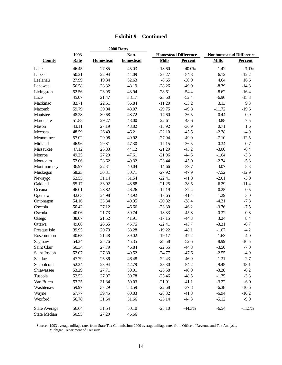|                      |             | 2000 Rates       |           |              |                             |                                |                |  |
|----------------------|-------------|------------------|-----------|--------------|-----------------------------|--------------------------------|----------------|--|
|                      | 1993        |                  | Non-      |              | <b>Homestead Difference</b> | <b>Nonhomestead Difference</b> |                |  |
| <b>County</b>        | <b>Rate</b> | <b>Homestead</b> | homestead | <b>Mills</b> | <b>Percent</b>              | <b>Mills</b>                   | <b>Percent</b> |  |
| Lake                 | 46.45       | 27.85            | 45.03     | $-18.60$     | $-40.0\%$                   | $-1.42$                        | $-3.1%$        |  |
| Lapeer               | 50.21       | 22.94            | 44.09     | $-27.27$     | $-54.3$                     | $-6.12$                        | $-12.2$        |  |
| Leelanau             | 27.99       | 19.34            | 32.63     | $-8.65$      | $-30.9$                     | 4.64                           | 16.6           |  |
| Lenawee              | 56.58       | 28.32            | 48.19     | $-28.26$     | $-49.9$                     | $-8.39$                        | $-14.8$        |  |
| Livingston           | 52.56       | 23.95            | 43.94     | $-28.61$     | $-54.4$                     | $-8.62$                        | $-16.4$        |  |
| Luce                 | 45.07       | 21.47            | 38.17     | $-23.60$     | $-52.4$                     | $-6.90$                        | $-15.3$        |  |
| Mackinac             | 33.71       | 22.51            | 36.84     | $-11.20$     | $-33.2$                     | 3.13                           | 9.3            |  |
| Macomb               | 59.79       | 30.04            | 48.07     | $-29.75$     | $-49.8$                     | $-11.72$                       | $-19.6$        |  |
| Manistee             | 48.28       | 30.68            | 48.72     | $-17.60$     | $-36.5$                     | 0.44                           | 0.9            |  |
| Marquette            | 51.88       | 29.27            | 48.00     | $-22.61$     | $-43.6$                     | $-3.88$                        | $-7.5$         |  |
| Mason                | 43.11       | 27.19            | 43.82     | $-15.92$     | $-36.9$                     | 0.71                           | 1.6            |  |
| Mecosta              | 48.59       | 26.49            | 46.21     | $-22.10$     | $-45.5$                     | $-2.38$                        | $-4.9$         |  |
| Menominee            | 57.02       | 29.08            | 49.92     | $-27.94$     | $-49.0$                     | $-7.10$                        | $-12.5$        |  |
| Midland              | 46.96       | 29.81            | 47.30     | $-17.15$     | $-36.5$                     | 0.34                           | 0.7            |  |
| Missaukee            | 47.12       | 25.83            | 44.12     | $-21.29$     | $-45.2$                     | $-3.00$                        | $-6.4$         |  |
| Monroe               | 49.25       | 27.29            | 47.61     | $-21.96$     | $-44.6$                     | $-1.64$                        | $-3.3$         |  |
| Montcalm             | 52.06       | 28.62            | 49.32     | $-23.44$     | $-45.0$                     | $-2.74$                        | $-5.3$         |  |
|                      | 36.97       | 22.31            | 40.04     | $-14.66$     | $-39.7$                     | 3.07                           | 8.3            |  |
| Montmorency          |             |                  |           |              | $-47.9$                     |                                |                |  |
| Muskegon             | 58.23       | 30.31            | 50.71     | $-27.92$     |                             | $-7.52$                        | $-12.9$        |  |
| Newaygo              | 53.55       | 31.14            | 51.54     | $-22.41$     | $-41.8$                     | $-2.01$                        | $-3.8$         |  |
| Oakland              | 55.17       | 33.92            | 48.88     | $-21.25$     | $-38.5$                     | $-6.29$                        | $-11.4$        |  |
| Oceana               | 46.01       | 28.82            | 46.26     | $-17.19$     | $-37.4$                     | 0.25                           | 0.5            |  |
| Ogemaw               | 42.63       | 24.98            | 43.92     | $-17.65$     | $-41.4$                     | 1.29                           | 3.0            |  |
| Ontonagon            | 54.16       | 33.34            | 49.95     | $-20.82$     | $-38.4$                     | $-4.21$                        | $-7.8$         |  |
| Osceola              | 50.42       | 27.12            | 46.66     | $-23.30$     | $-46.2$                     | $-3.76$                        | $-7.5$         |  |
| Oscoda               | 40.06       | 21.73            | 39.74     | $-18.33$     | $-45.8$                     | $-0.32$                        | $-0.8$         |  |
| Otsego               | 38.67       | 21.52            | 41.91     | $-17.15$     | $-44.3$                     | 3.24                           | 8.4            |  |
| Ottawa               | 49.06       | 26.65            | 45.75     | $-22.41$     | $-45.7$                     | $-3.31$                        | $-6.7$         |  |
| Presque Isle         | 39.95       | 20.73            | 38.28     | $-19.22$     | $-48.1$                     | $-1.67$                        | $-4.2$         |  |
| Roscommon            | 40.65       | 21.48            | 39.02     | $-19.17$     | $-47.2$                     | $-1.63$                        | $-4.0$         |  |
| Saginaw              | 54.34       | 25.76            | 45.35     | $-28.58$     | $-52.6$                     | $-8.99$                        | $-16.5$        |  |
| Saint Clair          | 50.34       | 27.79            | 46.84     | $-22.55$     | $-44.8$                     | $-3.50$                        | $-7.0$         |  |
| Saint Joseph         | 52.07       | 27.30            | 49.52     | $-24.77$     | $-47.6$                     | $-2.55$                        | $-4.9$         |  |
| Sanilac              | 47.79       | 25.36            | 46.48     | $-22.43$     | $-46.9$                     | $-1.31$                        | $-2.7$         |  |
| Schoolcraft          | 52.24       | 23.94            | 42.79     | $-28.30$     | $-54.2$                     | $-9.45$                        | $-18.1$        |  |
| Shiawassee           | 53.29       | 27.71            | 50.01     | $-25.58$     | $-48.0$                     | $-3.28$                        | $-6.2$         |  |
| Tuscola              | 52.53       | 27.07            | 50.78     | $-25.46$     | $-48.5$                     | $-1.75$                        | $-3.3$         |  |
| Van Buren            | 53.25       | 31.34            | 50.03     | $-21.91$     | $-41.1$                     | $-3.22$                        | $-6.0$         |  |
| Washtenaw            | 59.97       | 37.29            | 53.59     | $-22.68$     | $-37.8$                     | $-6.38$                        | $-10.6$        |  |
| Wayne                | 67.77       | 39.45            | 60.83     | $-28.32$     | $-41.8$                     | $-6.94$                        | $-10.2$        |  |
| Wexford              | 56.78       | 31.64            | 51.66     | $-25.14$     | $-44.3$                     | $-5.12$                        | $-9.0$         |  |
| <b>State Average</b> | 56.64       | 31.54            | 50.10     | $-25.10$     | $-44.3%$                    | $-6.54$                        | $-11.5%$       |  |
| <b>State Median</b>  | 50.95       | 27.29            | 46.66     |              |                             |                                |                |  |

## **Exhibit 9 – Continued**

Source: 1993 average millage rates from State Tax Commission; 2000 average millage rates from Office of Revenue and Tax Analysis, Michigan Department of Treasury.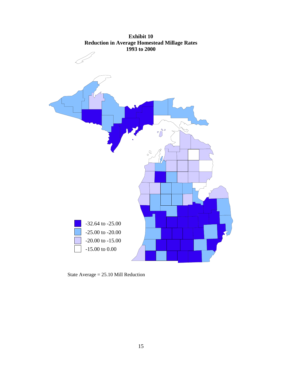

State Average = 25.10 Mill Reduction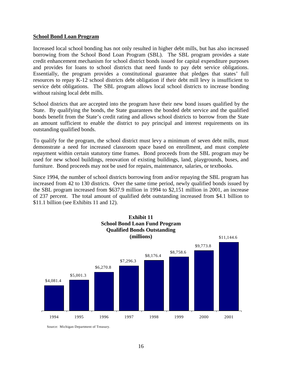#### **School Bond Loan Program**

Increased local school bonding has not only resulted in higher debt mills, but has also increased borrowing from the School Bond Loan Program (SBL). The SBL program provides a state credit enhancement mechanism for school district bonds issued for capital expenditure purposes and provides for loans to school districts that need funds to pay debt service obligations. Essentially, the program provides a constitutional guarantee that pledges that states' full resources to repay K-12 school districts debt obligation if their debt mill levy is insufficient to service debt obligations. The SBL program allows local school districts to increase bonding without raising local debt mills.

School districts that are accepted into the program have their new bond issues qualified by the State. By qualifying the bonds, the State guarantees the bonded debt service and the qualified bonds benefit from the State's credit rating and allows school districts to borrow from the State an amount sufficient to enable the district to pay principal and interest requirements on its outstanding qualified bonds.

To qualify for the program, the school district must levy a minimum of seven debt mills, must demonstrate a need for increased classroom space based on enrollment, and must complete repayment within certain statutory time frames. Bond proceeds from the SBL program may be used for new school buildings, renovation of existing buildings, land, playgrounds, buses, and furniture. Bond proceeds may not be used for repairs, maintenance, salaries, or textbooks.

Since 1994, the number of school districts borrowing from and/or repaying the SBL program has increased from 42 to 130 districts. Over the same time period, newly qualified bonds issued by the SBL program increased from \$637.9 million in 1994 to \$2,151 million in 2001, an increase of 237 percent. The total amount of qualified debt outstanding increased from \$4.1 billion to \$11.1 billion (see Exhibits 11 and 12).



Source: Michigan Department of Treasury.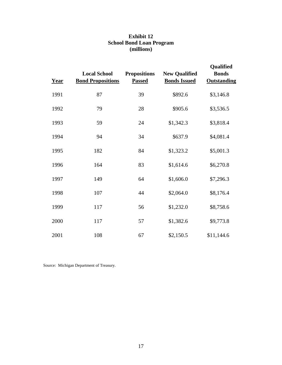| <b>Exhibit 12</b>               |  |  |  |  |  |
|---------------------------------|--|--|--|--|--|
| <b>School Bond Loan Program</b> |  |  |  |  |  |
| (millions)                      |  |  |  |  |  |

| Year | <b>Local School</b><br><b>Bond Propositions</b> | <b>Propositions</b><br><b>Passed</b> | <b>New Qualified</b><br><b>Bonds Issued</b> | Qualified<br><b>Bonds</b><br><b>Outstanding</b> |
|------|-------------------------------------------------|--------------------------------------|---------------------------------------------|-------------------------------------------------|
| 1991 | 87                                              | 39                                   | \$892.6                                     | \$3,146.8                                       |
| 1992 | 79                                              | 28                                   | \$905.6                                     | \$3,536.5                                       |
| 1993 | 59                                              | 24                                   | \$1,342.3                                   | \$3,818.4                                       |
| 1994 | 94                                              | 34                                   | \$637.9                                     | \$4,081.4                                       |
| 1995 | 182                                             | 84                                   | \$1,323.2                                   | \$5,001.3                                       |
| 1996 | 164                                             | 83                                   | \$1,614.6                                   | \$6,270.8                                       |
| 1997 | 149                                             | 64                                   | \$1,606.0                                   | \$7,296.3                                       |
| 1998 | 107                                             | 44                                   | \$2,064.0                                   | \$8,176.4                                       |
| 1999 | 117                                             | 56                                   | \$1,232.0                                   | \$8,758.6                                       |
| 2000 | 117                                             | 57                                   | \$1,382.6                                   | \$9,773.8                                       |
| 2001 | 108                                             | 67                                   | \$2,150.5                                   | \$11,144.6                                      |

Source: Michigan Department of Treasury.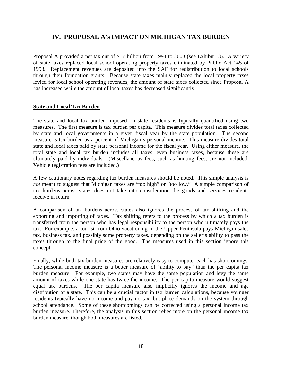# **IV. PROPOSAL A's IMPACT ON MICHIGAN TAX BURDEN**

Proposal A provided a net tax cut of \$17 billion from 1994 to 2003 (see Exhibit 13). A variety of state taxes replaced local school operating property taxes eliminated by Public Act 145 of 1993. Replacement revenues are deposited into the SAF for redistribution to local schools through their foundation grants. Because state taxes mainly replaced the local property taxes levied for local school operating revenues, the amount of state taxes collected since Proposal A has increased while the amount of local taxes has decreased significantly.

#### **State and Local Tax Burden**

The state and local tax burden imposed on state residents is typically quantified using two measures. The first measure is tax burden per capita. This measure divides total taxes collected by state and local governments in a given fiscal year by the state population. The second measure is tax burden as a percent of Michigan's personal income. This measure divides total state and local taxes paid by state personal income for the fiscal year. Using either measure, the total state and local tax burden includes all taxes, even business taxes, because these are ultimately paid by individuals. (Miscellaneous fees, such as hunting fees, are not included. Vehicle registration fees are included.)

A few cautionary notes regarding tax burden measures should be noted. This simple analysis is *not* meant to suggest that Michigan taxes are "too high" or "too low." A simple comparison of tax burdens across states does not take into consideration the goods and services residents receive in return.

A comparison of tax burdens across states also ignores the process of tax shifting and the exporting and importing of taxes. Tax shifting refers to the process by which a tax burden is transferred from the person who has legal responsibility to the person who ultimately pays the tax. For example, a tourist from Ohio vacationing in the Upper Peninsula pays Michigan sales tax, business tax, and possibly some property taxes, depending on the seller's ability to pass the taxes through to the final price of the good. The measures used in this section ignore this concept.

Finally, while both tax burden measures are relatively easy to compute, each has shortcomings. The personal income measure is a better measure of "ability to pay" than the per capita tax burden measure. For example, two states may have the same population and levy the same amount of taxes while one state has twice the income. The per capita measure would suggest equal tax burdens. The per capita measure also implicitly ignores the income and age distribution of a state. This can be a crucial factor in tax burden calculations, because younger residents typically have no income and pay no tax, but place demands on the system through school attendance. Some of these shortcomings can be corrected using a personal income tax burden measure. Therefore, the analysis in this section relies more on the personal income tax burden measure, though both measures are listed.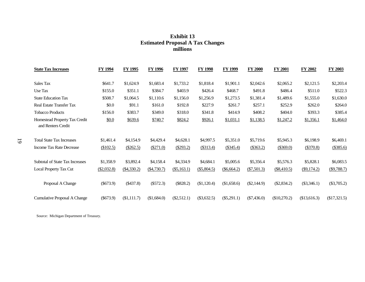| <b>State Tax Increases</b>                          | FY 1994     | <b>FY 1995</b> | <b>FY 1996</b> | <b>FY 1997</b> | <b>FY 1998</b> | FY 1999       | FY 2000       | FY 2001       | FY 2002       | FY 2003       |
|-----------------------------------------------------|-------------|----------------|----------------|----------------|----------------|---------------|---------------|---------------|---------------|---------------|
| Sales Tax                                           | \$641.7     | \$1,624.9      | \$1,683.4      | \$1,733.2      | \$1,818.4      | \$1,901.1     | \$2,042.6     | \$2,065.2     | \$2,121.5     | \$2,203.4     |
| Use Tax                                             | \$155.0     | \$351.1        | \$384.7        | \$403.9        | \$426.4        | \$468.7       | \$491.8       | \$486.4       | \$511.0       | \$522.3       |
| <b>State Education Tax</b>                          | \$508.7     | \$1,064.5      | \$1,110.6      | \$1,156.0      | \$1,256.9      | \$1,273.5     | \$1,381.4     | \$1,489.6     | \$1,555.0     | \$1,630.0     |
| <b>Real Estate Transfer Tax</b>                     | \$0.0       | \$91.1         | \$161.0        | \$192.8        | \$227.9        | \$261.7       | \$257.1       | \$252.9       | \$262.0       | \$264.0       |
| <b>Tobacco Products</b>                             | \$156.0     | \$383.7        | \$349.0        | \$318.0        | \$341.8        | \$414.9       | \$408.2       | \$404.0       | \$393.3       | \$385.4       |
| Homestead Property Tax Credit<br>and Renters Credit | \$0.0       | \$639.6        | \$740.7        | \$824.2        | \$926.1        | \$1,031.1     | \$1,138.5     | \$1,247.2     | \$1,356.1     | \$1,464.0     |
| <b>Total State Tax Increases</b>                    | \$1,461.4   | \$4,154.9      | \$4,429.4      | \$4,628.1      | \$4,997.5      | \$5,351.0     | \$5,719.6     | \$5,945.3     | \$6,198.9     | \$6,469.1     |
| Income Tax Rate Decrease                            | (\$102.5)   | (\$262.5)      | (\$271.0)      | $(\$293.2)$    | (\$313.4)      | $(\$345.4)$   | (\$363.2)     | (\$369.0)     | (\$370.8)     | (\$385.6)     |
| <b>Subtotal of State Tax Increases</b>              | \$1,358.9   | \$3,892.4      | \$4,158.4      | \$4,334.9      | \$4,684.1      | \$5,005.6     | \$5,356.4     | \$5,576.3     | \$5,828.1     | \$6,083.5     |
| Local Property Tax Cut                              | (\$2,032.8) | ( \$4,330.2)   | (\$4,730.7)    | (\$5,163.1)    | (\$5,804.5)    | $(\$6,664.2)$ | (\$7,501.3)   | (\$8,410.5)   | (\$9,174.2)   | (\$9,788.7)   |
| Proposal A Change                                   | $(\$673.9)$ | $(\$437.8)$    | $(\$572.3)$    | (\$828.2)      | (\$1,120.4)    | (\$1,658.6)   | $(\$2,144.9)$ | $(\$2,834.2)$ | $(\$3,346.1)$ | $(\$3,705.2)$ |
| Cumulative Proposal A Change                        | $(\$673.9)$ | (\$1,111.7)    | (\$1,684.0)    | $(\$2,512.1)$  | $(\$3,632.5)$  | $(\$5,291.1)$ | $(\$7,436.0)$ | \$10,270.2    | \$13,616.3    | (\$17,321.5)  |

#### **Exhibit 13 Estimated Proposal A Tax Changes millions**

Source: Michigan Department of Treasury.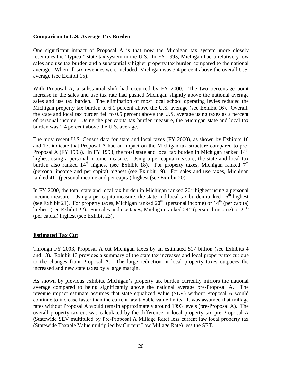#### **Comparison to U.S. Average Tax Burden**

One significant impact of Proposal A is that now the Michigan tax system more closely resembles the "typical" state tax system in the U.S. In FY 1993, Michigan had a relatively low sales and use tax burden and a substantially higher property tax burden compared to the national average. When all tax revenues were included, Michigan was 3.4 percent above the overall U.S. average (see Exhibit 15).

With Proposal A, a substantial shift had occurred by FY 2000. The two percentage point increase in the sales and use tax rate had pushed Michigan slightly above the national average sales and use tax burden. The elimination of most local school operating levies reduced the Michigan property tax burden to 6.1 percent above the U.S. average (see Exhibit 16). Overall, the state and local tax burden fell to 0.5 percent above the U.S. average using taxes as a percent of personal income. Using the per capita tax burden measure, the Michigan state and local tax burden was 2.4 percent above the U.S. average.

The most recent U.S. Census data for state and local taxes (FY 2000), as shown by Exhibits 16 and 17, indicate that Proposal A had an impact on the Michigan tax structure compared to pre-Proposal A (FY 1993). In FY 1993, the total state and local tax burden in Michigan ranked  $14<sup>th</sup>$ highest using a personal income measure. Using a per capita measure, the state and local tax burden also ranked  $14<sup>th</sup>$  highest (see Exhibit 18). For property taxes, Michigan ranked  $7<sup>th</sup>$ (personal income and per capita) highest (see Exhibit 19). For sales and use taxes, Michigan ranked  $41<sup>st</sup>$  (personal income and per capita) highest (see Exhibit 20).

In FY 2000, the total state and local tax burden in Michigan ranked  $20<sup>th</sup>$  highest using a personal income measure. Using a per capita measure, the state and local tax burden ranked  $16<sup>th</sup>$  highest (see Exhibit 21). For property taxes, Michigan ranked  $20<sup>th</sup>$  (personal income) or  $14<sup>th</sup>$  (per capita) highest (see Exhibit 22). For sales and use taxes, Michigan ranked  $24<sup>th</sup>$  (personal income) or  $21<sup>st</sup>$ (per capita) highest (see Exhibit 23).

#### **Estimated Tax Cut**

Through FY 2003, Proposal A cut Michigan taxes by an estimated \$17 billion (see Exhibits 4 and 13). Exhibit 13 provides a summary of the state tax increases and local property tax cut due to the changes from Proposal A. The large reduction in local property taxes outpaces the increased and new state taxes by a large margin.

As shown by previous exhibits, Michigan's property tax burden currently mirrors the national average compared to being significantly above the national average pre-Proposal A. The revenue impact estimate assumes that state equalized value (SEV) without Proposal A would continue to increase faster than the current law taxable value limits. It was assumed that millage rates without Proposal A would remain approximately around 1993 levels (pre-Proposal A). The overall property tax cut was calculated by the difference in local property tax pre-Proposal A (Statewide SEV multiplied by Pre-Proposal A Millage Rate) less current law local property tax (Statewide Taxable Value multiplied by Current Law Millage Rate) less the SET.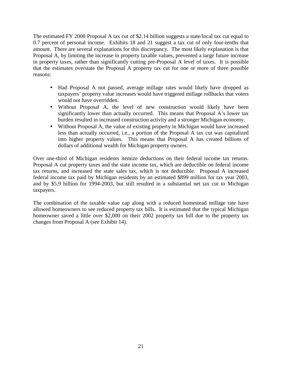The estimated FY 2000 Proposal A tax cut of \$2.14 billion suggests a state/local tax cut equal to 0.7 percent of personal income. Exhibits 18 and 21 suggest a tax cut of only four-tenths that amount. There are several explanations for this discrepancy. The most likely explanation is that Proposal A, by limiting the increase in property taxable values, prevented a large future increase in property taxes, rather than significantly cutting pre-Proposal A level of taxes. It is possible that the estimates overstate the Proposal A property tax cut for one or more of three possible reasons:

- Had Proposal A not passed, average millage rates would likely have dropped as taxpayers' property value increases would have triggered millage rollbacks that voters would not have overridden.
- Without Proposal A, the level of new construction would likely have been significantly lower than actually occurred. This means that Proposal A's lower tax burden resulted in increased construction activity and a stronger Michigan economy.
- Without Proposal A, the value of existing property in Michigan would have increased less than actually occurred, i.e., a portion of the Proposal A tax cut was capitalized into higher property values. This means that Proposal A has created billions of dollars of additional wealth for Michigan property owners.

Over one-third of Michigan residents itemize deductions on their federal income tax returns. Proposal A cut property taxes and the state income tax, which are deductible on federal income tax returns, and increased the state sales tax, which is not deductible. Proposal A increased federal income tax paid by Michigan residents by an estimated \$899 million for tax year 2003, and by \$5.9 billion for 1994-2003, but still resulted in a substantial net tax cut to Michigan taxpayers.

The combination of the taxable value cap along with a reduced homestead millage rate have allowed homeowners to see reduced property tax bills. It is estimated that the typical Michigan homeowner saved a little over \$2,000 on their 2002 property tax bill due to the property tax changes from Proposal A (see Exhibit 14).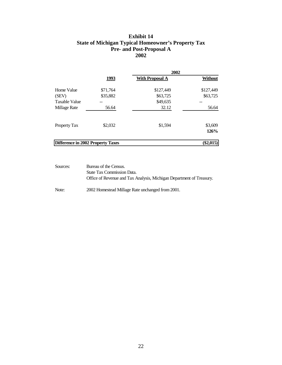#### **Exhibit 14 State of Michigan Typical Homeowner's Property Tax Pre- and Post-Proposal A 2002**

|                                   |          | 2002                   |                 |  |  |  |  |
|-----------------------------------|----------|------------------------|-----------------|--|--|--|--|
|                                   | 1993     | <b>With Proposal A</b> | <b>Without</b>  |  |  |  |  |
| Home Value                        | \$71,764 | \$127,449              | \$127,449       |  |  |  |  |
| (SEV)                             | \$35,882 | \$63,725               | \$63,725        |  |  |  |  |
| <b>Taxable Value</b>              |          | \$49,635               |                 |  |  |  |  |
| Millage Rate                      | 56.64    | 32.12                  | 56.64           |  |  |  |  |
| Property Tax                      | \$2,032  | \$1,594                | \$3,609<br>126% |  |  |  |  |
| Difference in 2002 Property Taxes |          |                        | $(\$2,015)$     |  |  |  |  |

Sources: Bureau of the Census. State Tax Commission Data. Office of Revenue and Tax Analysis, Michigan Department of Treasury.

Note: 2002 Homestead Millage Rate unchanged from 2001.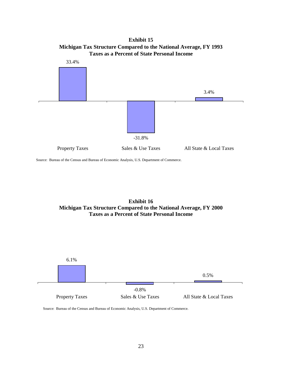**Exhibit 15 Michigan Tax Structure Compared to the National Average, FY 1993 Taxes as a Percent of State Personal Income**



Source: Bureau of the Census and Bureau of Economic Analysis, U.S. Department of Commerce.





Source: Bureau of the Census and Bureau of Economic Analysis, U.S. Department of Commerce.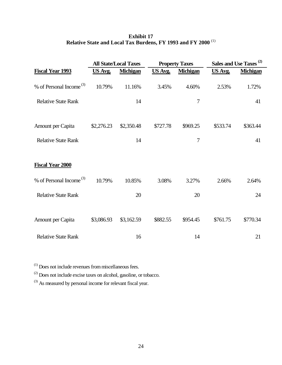|                                     |            | <b>All State/Local Taxes</b> |          | <b>Property Taxes</b> |                | Sales and Use Taxes <sup>(2)</sup> |
|-------------------------------------|------------|------------------------------|----------|-----------------------|----------------|------------------------------------|
| <b>Fiscal Year 1993</b>             | US Avg.    | <b>Michigan</b>              | US Avg.  | <b>Michigan</b>       | <b>US Avg.</b> | <b>Michigan</b>                    |
| % of Personal Income <sup>(3)</sup> | 10.79%     | 11.16%                       | 3.45%    | 4.60%                 | 2.53%          | 1.72%                              |
| <b>Relative State Rank</b>          |            | 14                           |          | $\tau$                |                | 41                                 |
| Amount per Capita                   | \$2,276.23 | \$2,350.48                   | \$727.78 | \$969.25              | \$533.74       | \$363.44                           |
| <b>Relative State Rank</b>          |            | 14                           |          | $\overline{7}$        |                | 41                                 |
| <b>Fiscal Year 2000</b>             |            |                              |          |                       |                |                                    |
| % of Personal Income <sup>(3)</sup> | 10.79%     | 10.85%                       | 3.08%    | 3.27%                 | 2.66%          | 2.64%                              |
| <b>Relative State Rank</b>          |            | 20                           |          | 20                    |                | 24                                 |
| Amount per Capita                   | \$3,086.93 | \$3,162.59                   | \$882.55 | \$954.45              | \$761.75       | \$770.34                           |
| <b>Relative State Rank</b>          |            | 16                           |          | 14                    |                | 21                                 |

### **Exhibit 17 Relative State and Local Tax Burdens, FY 1993 and FY 2000** (1)

(1) Does not include revenues from miscellaneous fees.

(2) Does not include excise taxes on alcohol, gasoline, or tobacco.

(3) As measured by personal income for relevant fiscal year.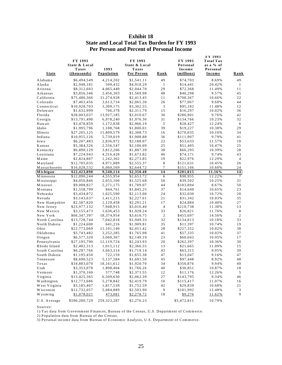| <b>Exhibit 18</b>                                   |
|-----------------------------------------------------|
| <b>State and Local Total Tax Burden for FY 1993</b> |
| <b>Per Person and Percent of Personal Income</b>    |

| <u>State</u>   | FY 1993<br>State & Local<br>Taxes<br>(thousands) | 1993<br>Population | FY 1993<br>State & Local<br>Taxes<br>Per Person | <u>Rank</u>     | FY 1993<br>Personal<br>Income<br>(millions) | FY 1993<br><b>Total Tax</b><br>as a % of<br>Personal<br><b>Income</b> | <u>Rank</u>    |
|----------------|--------------------------------------------------|--------------------|-------------------------------------------------|-----------------|---------------------------------------------|-----------------------------------------------------------------------|----------------|
| Alabama        | \$6,494,549                                      | 4,214,202          | \$1,541.11                                      | 49              | \$74,703                                    | 8.69%                                                                 | 49             |
| Alaska         | \$2,948,181                                      | 599,432            | \$4,918.29                                      | 1               | \$14,441                                    | 20.42%                                                                | $\mathbf{1}$   |
| Arizona        | \$8,312,603                                      | 4,065,440          | \$2,044.70                                      | 29              | \$72,368                                    | 11.49%                                                                | 11             |
| Arkansas       | \$3,856,346                                      | 2,456,303          | \$1,569.98                                      | 48              | \$40,298                                    | 9.57%                                                                 | 45             |
| California     | \$75,480,366                                     | 31,274,928         | \$2,413.45                                      | 11              | \$708,367                                   | 10.66%                                                                | 22             |
| Colorado       | \$7,463,456                                      | 3,613,734          | \$2,065.30                                      | 26              | \$77,067                                    | 9.68%                                                                 | 44             |
| Connecticut    | \$10,928,703                                     | 3,309,175          | \$3,302.55                                      | 3               | \$95,182                                    | 11.48%                                                                | 12             |
| Delaware       | \$1,632,999                                      | 706,378            | \$2,311.79                                      | 15              | \$16,297                                    | 10.02%                                                                | 36             |
| Florida        | \$28,003,037                                     | 13,927,185         | \$2,010.67                                      | 30              | \$286,901                                   | 9.76%                                                                 | 42             |
| Georgia        | \$13,791,490                                     | 6,978,240          | \$1,976.36                                      | 31              | \$134,766                                   | 10.23%                                                                | 32             |
| Hawaii         | \$3,478,859                                      | 1,172,838          | \$2,966.19                                      | 5               | \$28,427                                    | 12.24%                                                                | 6              |
| Idaho          | \$1,995,796                                      | 1,108,768          | \$1,800.01                                      | 39              | \$19,227                                    | 10.38%                                                                | 29             |
| Illinois       | \$27,265,125                                     | 11,809,579         | \$2,308.73                                      | 16              | \$270,035                                   | 10.10%                                                                | 34             |
| Indiana        | \$10,955,126                                     | 5,739,019          | \$1,908.88                                      | 36              | \$111,907                                   | 9.79%                                                                 | 41             |
| Iowa           | \$6,207,483                                      | 2,836,972          | \$2,188.07                                      | 22              | \$53,633                                    | 11.57%                                                                | 10             |
| Kansas         | \$5,384,326                                      | 2,556,547          | \$2,106.09                                      | 25              | \$51,405                                    | 10.47%                                                                | 25             |
| Kentucky       | \$6,890,129                                      | 3,812,206          | \$1,807.39                                      | 38              | \$66,295                                    | 10.39%                                                                | 28             |
| Louisiana      | \$7,224,943                                      | 4,316,428          | \$1,673.82                                      | 46              | \$74,171                                    | 9.74%                                                                 | 43             |
| Maine          | \$2,824,807                                      | 1,242,302          | \$2,273.85                                      | 19              | \$22,976                                    | 12.29%                                                                | $\overline{4}$ |
| Maryland       | \$12,705,035                                     | 4,971,889          | \$2,555.37                                      | 8               | \$121,631                                   | 10.45%                                                                | 26             |
| Massachusetts  | \$16,028,532                                     | 6,060,569          | \$2,644.72                                      | 7               | \$151,166                                   | 10.60%                                                                | 24             |
| Michigan       | \$22,423,890                                     | 9,540,114          | \$2,350.48                                      | $\overline{14}$ | \$201,015                                   | 11.16%                                                                | 14             |
| Minnesota      | \$12,090,244                                     | 4,555,954          | \$2,653.72                                      | 6               | \$98,955                                    | 12.22%                                                                | 7              |
| Mississippi    | \$4,050,846                                      | 2,655,100          | \$1,525.68                                      | 50              | \$39,502                                    | 10.25%                                                                | 31             |
| Missouri       | \$9,008,827                                      | 5, 271, 175        | \$1,709.07                                      | 44              | \$103,894                                   | 8.67%                                                                 | 50             |
| Montana        | \$1,558,799                                      | 844,761            | \$1,845.25                                      | 37              | \$14,640                                    | 10.65%                                                                | 23             |
| Nebraska       | \$3,434,872                                      | 1,625,590          | \$2,113.00                                      | 24              | \$32,030                                    | 10.72%                                                                | 20             |
| Nevada         | \$3,143,637                                      | 1,411,215          | \$2,227.61                                      | 21              | \$31,342                                    | 10.03%                                                                | 35             |
| New Hampshire  | \$2,587,820                                      | 1,129,458          | \$2,291.21                                      | 17              | \$24,884                                    | 10.40%                                                                | 27             |
| New Jersey     | \$23,977,132                                     | 7,948,915          | \$3,016.40                                      | $\overline{4}$  | \$210,738                                   | 11.38%                                                                | 13             |
| New Mexico     | \$3,155,473                                      | 1,636,453          | \$1,928.24                                      | 33              | \$26,821                                    | 11.76%                                                                | $\,8\,$        |
| New York       | \$66,347,397                                     | 18,374,954         | \$3,610.75                                      | $\overline{c}$  | \$455,697                                   | 14.56%                                                                | $\sqrt{2}$     |
| North Carolina | \$13,728,744                                     | 7,042,818          | \$1,949.33                                      | 32              | \$134,813                                   | 10.18%                                                                | 33             |
| North Dakota   | \$1,224,600                                      | 641,216            | \$1,909.81                                      | 35              | \$11,397                                    | 10.74%                                                                | 19             |
| Ohio           | \$22,773,069                                     | 11,101,140         | \$2,051.42                                      | 28              | \$227,352                                   | 10.02%                                                                | 38             |
| Oklahoma       | \$5,743,482                                      | 3,252,285          | \$1,765.98                                      | 41              | \$57,335                                    | 10.02%                                                                | 37             |
| Oregon         | \$6,577,320                                      | 3,060,367          | \$2,149.19                                      | 23              | \$60,043                                    | 10.95%                                                                | 17             |
| Pennsylvania   | \$27,195,790                                     | 12,119,724         | \$2,243.93                                      | 20              | \$262,397                                   | 10.36%                                                                | 30             |
| Rhode Island   | \$2,402,313                                      | 1,015,112          | \$2,366.55                                      | 13              | \$21,665                                    | 11.09%                                                                | 15             |
| South Carolina | \$6,297,766                                      | 3,663,314          | \$1,719.14                                      | 43              | \$63,315                                    | 9.95%                                                                 | 39             |
| South Dakota   | \$1,195,450                                      | 722,159            | \$1,655.38                                      | 47              | \$13,047                                    | 9.16%                                                                 | 47             |
| Tennessee      | \$8,690,523                                      | 5,137,584          | \$1,691.56                                      | 45              | \$97,448                                    | 8.92%                                                                 | 48             |
| $T$ exas       | \$34,883,070                                     | 18,161,612         | \$1,920.70                                      | 34              | \$350,876                                   | 9.94%                                                                 | 40             |
| Utah           | \$3,353,078                                      | 1,898,404          | \$1,766.26                                      | 40              | \$30,851                                    | 10.87%                                                                | 18             |
| Vermont        | \$1,370,160                                      | 577,748            | \$2,371.55                                      | 12              | \$11,176                                    | 12.26%                                                                | 5              |
| Virginia       | \$13,425,365                                     | 6,509,630          | \$2,062.39                                      | 27              | \$143,795                                   | 9.34%                                                                 | 46             |
| Washington     | \$12,773,686                                     | 5,278,842          | \$2,419.79                                      | 10              | \$115,417                                   | 11.07%                                                                | 16             |
| West Virginia  | \$3,185,407                                      | 1,817,539          | \$1,752.59                                      | 42              | \$29,839                                    | 10.68%                                                                | 21             |
| Wisconsin      | \$12,732,057                                     | 5,084,889          | \$2,503.90                                      | 9               | \$101,992                                   | 12.48%                                                                | 3              |
| Wyoming        | \$1,078,021                                      | 473,081            | \$2,278.72                                      | 18              | \$9,276                                     | 11.62%                                                                | 9              |
| U.S. Average   | \$590,280,729                                    | 259, 323, 287      | \$2,276.23                                      |                 | \$5,472,811                                 | 10.79%                                                                |                |

Sources:

1) Tax data from Government Finances, Bureau of the Census, U.S. Department of Commerce.

2) Population data from Bureau of the Census.

3) Personal income data from Bureau of Economic Analysis, U.S. Department of Commerce.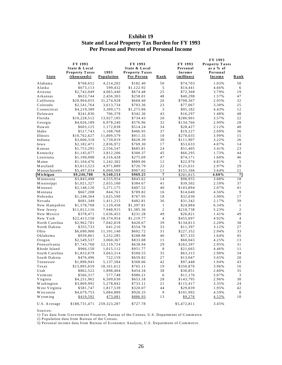| <b>Exhibit 19</b>                                      |
|--------------------------------------------------------|
| <b>State and Local Property Tax Burden for FY 1993</b> |
| <b>Per Person and Percent of Personal Income</b>       |

| <u>State</u>   | FY 1993<br>State & Local<br><b>Property Taxes</b><br>(thousands) | 1993<br><b>Population</b> | FY 1993<br>State & Local<br><b>Property Taxes</b><br>Per Person | <u>Rank</u>    | FY 1993<br>Personal<br>Income<br>(millions) | FY 1993<br><b>Property Taxes</b><br>as a % of<br>Personal<br><b>Income</b> | <u>Rank</u>    |
|----------------|------------------------------------------------------------------|---------------------------|-----------------------------------------------------------------|----------------|---------------------------------------------|----------------------------------------------------------------------------|----------------|
| Alabama        | \$768,652                                                        | 4,214,202                 | \$182.40                                                        | 50             | \$74,703                                    | 1.03%                                                                      | 50             |
| Alaska         | \$673,113                                                        | 599,432                   | \$1,122.92                                                      | $\sqrt{5}$     | \$14,441                                    | 4.66%                                                                      | 6              |
| Arizona        | \$2,742,049                                                      | 4,065,440                 | \$674.48                                                        | 25             | \$72,368                                    | 3.79%                                                                      | 19             |
| Arkansas       | \$633,744                                                        | 2,456,303                 | \$258.01                                                        | 48             | \$40,298                                    | 1.57%                                                                      | 47             |
| California     | \$20,904,055                                                     | 31,274,928                | \$668.40                                                        | 26             | \$708,367                                   | 2.95%                                                                      | 32             |
| Colorado       | \$2,541,764                                                      | 3,613,734                 | \$703.36                                                        | 23             | \$77,067                                    | 3.30%                                                                      | 25             |
| Connecticut    | \$4,219,389                                                      | 3,309,175                 | \$1,275.06                                                      | $\mathfrak{Z}$ | \$95,182                                    | 4.43%                                                                      | 12             |
| Delaware       | \$241,836                                                        | 706,378                   | \$342.36                                                        | 43             | \$16,297                                    | 1.48%                                                                      | 48             |
| Florida        | \$10,228,512                                                     | 13,927,185                | \$734.43                                                        | 20             | \$286,901                                   | 3.57%                                                                      | 22             |
| Georgia        | \$4,026,189                                                      | 6,978,240                 | \$576.96                                                        | 32             | \$134,766                                   | 2.99%                                                                      | 28             |
| Hawaii         | \$603,125                                                        | 1,172,838                 | \$514.24                                                        | 34             | \$28,427                                    | 2.12%                                                                      | 40             |
| Idaho          | \$517,743                                                        | 1,108,768                 | \$466.95                                                        | 37             | \$19,227                                    | 2.69%                                                                      | 36             |
| Illinois       | \$10,762,627                                                     | 11,809,579                | \$911.35                                                        | 10             | \$270,035                                   | 3.99%                                                                      | 15             |
| Indiana        | \$3,606,318                                                      | 5,739,019                 | \$628.39                                                        | 30             | \$111,907                                   | 3.22%                                                                      | 26             |
| Iowa           | \$2,182,471                                                      | 2,836,972                 | \$769.30                                                        | 17             | \$53,633                                    | 4.07%                                                                      | 14             |
| Kansas         | \$1,753,295                                                      | 2,556,547                 | \$685.81                                                        | 24             | \$51,405                                    | 3.41%                                                                      | 23             |
| Kentucky       | \$1,145,077                                                      | 3,812,206                 | \$300.37                                                        | 45             | \$66,295                                    | 1.73%                                                                      | 44             |
| Louisiana      | \$1,190,008                                                      | 4,316,428                 | \$275.69                                                        | 47             | \$74,171                                    | 1.60%                                                                      | 46             |
| Maine          | \$1,104,476                                                      | 1,242,302                 | \$889.06                                                        | 12             | \$22,976                                    | 4.81%                                                                      | 5              |
| Maryland       | \$3,613,523                                                      | 4,971,889                 | \$726.79                                                        | 22             | \$121,631                                   | 2.97%                                                                      | 29             |
| Massachusetts  | \$5,497,034                                                      | 6,060,569                 | \$907.02                                                        | 11             | \$151,166                                   | 3.64%                                                                      | 21             |
| Michigan       | $\overline{$9,246,788}$                                          | 9,540,114                 | \$969.25                                                        | $\overline{7}$ | \$201,015                                   | 4.60%                                                                      | $\overline{7}$ |
| Minnesota      | \$3,843,498                                                      | 4,555,954                 | \$843.62                                                        | 14             | \$98,955                                    | 3.88%                                                                      | 18             |
| Mississippi    | \$1,021,327                                                      | 2,655,100                 | \$384.67                                                        | 41             | \$39,502                                    | 2.59%                                                                      | 37             |
| Missouri       | \$2,148,120                                                      | 5,271,175                 | \$407.52                                                        | 40             | \$103,894                                   | 2.07%                                                                      | 41             |
| Montana        | \$667,208                                                        | 844,761                   | \$789.82                                                        | 16             | \$14,640                                    | 4.56%                                                                      | 9              |
| Nebraska       | \$1,248,364                                                      | 1,625,590                 | \$767.95                                                        | 18             | \$32,030                                    | 3.90%                                                                      | 17             |
| Nevada         | \$681,349                                                        | 1,411,215                 | \$482.81                                                        | 36             | \$31,342                                    | 2.17%                                                                      | 39             |
| New Hampshire  | \$1,578,768                                                      | 1,129,458                 | \$1,397.81                                                      | $\mathbf{1}$   | \$24,884                                    | 6.34%                                                                      | $\mathbf{1}$   |
| New Jersey     | \$11,012,116                                                     | 7,948,915                 | \$1,385.36                                                      | $\overline{2}$ | \$210,738                                   | 5.23%                                                                      | $\overline{c}$ |
| New Mexico     | \$378,471                                                        | 1,636,453                 | \$231.28                                                        | 49             | \$26,821                                    | 1.41%                                                                      | 49             |
| New York       | \$22,413,158                                                     | 18,374,954                | \$1,219.77                                                      | $\overline{4}$ | \$455,697                                   | 4.92%                                                                      | $\overline{4}$ |
| North Carolina | \$2,962,701                                                      | 7,042,818                 | \$420.67                                                        | 39             | \$134,813                                   | 2.20%                                                                      | 38             |
| North Dakota   | \$355,733                                                        | 641,216                   | \$554.78                                                        | 33             | \$11,397                                    | 3.12%                                                                      | 27             |
| Ohio           | \$6,690,900                                                      | 11,101,140                | \$602.72                                                        | 31             | \$227,352                                   | 2.94%                                                                      | 33             |
| Oklahoma       | \$939,861                                                        | 3,252,285                 | \$288.98                                                        | 46             | \$57,335                                    | 1.64%                                                                      | 45             |
| Oregon         | \$2,549,537                                                      | 3,060,367                 | \$833.08                                                        | 15             | \$60,043                                    | 4.25%                                                                      | 13             |
| Pennsylvania   | \$7,743,760                                                      | 12,119,724                | \$638.94                                                        | 29             | \$262,397                                   | 2.95%                                                                      | 31             |
| Rhode Island   | \$966,150                                                        | 1,015,112                 | \$951.77                                                        | 8              | \$21,665                                    | 4.46%                                                                      | 11             |
| South Carolina | \$1,833,679                                                      | 3,663,314                 | \$500.55                                                        | 35             | \$63,315                                    | 2.90%                                                                      | 34             |
| South Dakota   | \$476,496                                                        | 722,159                   | \$659.82                                                        | 27             | \$13,047                                    | 3.65%                                                                      | 20             |
| Tennessee      | \$1,890,943                                                      | 5, 137, 584               | \$368.06                                                        | 42             | \$97,448                                    | 1.94%                                                                      | 43             |
| Texas          | \$13,895,659                                                     | 18,161,612                | \$765.11                                                        | 19             | \$350,876                                   | 3.96%                                                                      | 16             |
| Utah           | \$862,522                                                        | 1,898,404                 | \$454.34                                                        | 38             | \$30,851                                    | 2.80%                                                                      | 35             |
| Vermont        | \$566,317                                                        | 577,748                   | \$980.21                                                        | 6              | \$11,176                                    | 5.07%                                                                      | 3              |
| Virginia       | \$4,251,962                                                      | 6,509,630                 | \$653.18                                                        | 28             | \$143,795                                   | 2.96%                                                                      | 30             |
| Washington     | \$3,869,992                                                      | 5,278,842                 | \$733.11                                                        | 21             | \$115,417                                   | 3.35%                                                                      | 24             |
| West Virginia  | \$581,747                                                        | 1,817,539                 | \$320.07                                                        | 44             | \$29,839                                    | 1.95%                                                                      | 42             |
| Wisconsin      | \$4,679,753                                                      | 5,084,889                 | \$920.33                                                        | 9              | \$101,992                                   | 4.59%                                                                      | 8              |
| Wyoming        | \$419,592                                                        | 473,081                   | \$886.93                                                        | 13             | \$9,276                                     | 4.52%                                                                      | 10             |
| U.S. Average   | \$188,731,471                                                    | 259, 323, 287             | \$727.78                                                        |                | \$5,472,811                                 | 3.45%                                                                      |                |

Sources:

1) Tax data from Government Finances, Bureau of the Census, U.S. Department of Commerce.

2) Population data from Bureau of the Census.

3) Personal income data from Bureau of Economic Analysis, U.S. Department of Commerce.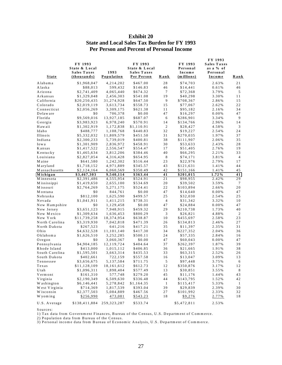| State          | FY 1993<br>State & Local<br><b>Sales Taxes</b><br>(thous and s) | 1993<br>Population | FY 1993<br>State & Local<br><b>Sales Taxes</b><br>Per Person | Rank           | FY 1993<br>Personal<br>Income<br>(millions) | FY 1993<br><b>Sales Taxes</b><br>as a % of<br>Personal<br>Income | Rank            |
|----------------|-----------------------------------------------------------------|--------------------|--------------------------------------------------------------|----------------|---------------------------------------------|------------------------------------------------------------------|-----------------|
| Alabama        | \$1,968,047                                                     | 4, 214, 202        | \$467.00                                                     | 28             | \$74,703                                    | 2.63%                                                            | 21              |
| Alaska         | \$88,013                                                        | 599,432            | \$146.83                                                     | 46             | \$14,441                                    | 0.61%                                                            | 46              |
| Arizona        | \$2,741,409                                                     | 4,065,440          | \$674.32                                                     | $\tau$         | \$72,368                                    | 3.79%                                                            | 5               |
| Arkansas       | \$1,329,048                                                     | 2,456,303          | \$541.08                                                     | 19             | \$40,298                                    | 3.30%                                                            | 11              |
| California     | \$20,250,435                                                    | 31,274,928         | \$647.50                                                     | $\overline{9}$ | \$708,367                                   | 2.86%                                                            | 15              |
| Colorado       | \$2,019,119                                                     | 3,613,734          | \$558.73                                                     | 15             | \$77,067                                    | 2.62%                                                            | 22              |
| Connecticut    | \$2,056,269                                                     | 3,309,175          | \$621.38                                                     | 11             | \$95,182                                    | 2.16%                                                            | 34              |
| Delaware       | \$0                                                             | 706,378            | \$0.00                                                       | 47             | \$16,297                                    | 0.00%                                                            | 47              |
| Florida        | \$9,569,016                                                     | 13,927,185         | \$687.07                                                     | 6              | \$286,901                                   | 3.34%                                                            | 9               |
| Georgia        | \$3,983,923                                                     | 6,978,240          | \$570.91                                                     | 14             | \$134,766                                   | 2.96%                                                            | 14              |
| H aw aii       | \$1,302,919                                                     | 1,172,838          | \$1,110.91                                                   | $\overline{c}$ | \$28,427                                    | 4.58%                                                            | 3               |
| Idaho          | \$488,777                                                       | 1,108,768          | \$440.83                                                     | 32             | \$19,227                                    | 2.54%                                                            | 24              |
| Illinois       | \$5,332,032                                                     | 11,809,579         | \$451.50                                                     | 31             | \$270,035                                   | 1.97%                                                            | 37              |
| Indiana        | \$2,300,233                                                     | 5,739,019          | \$400.81                                                     | 38             | \$111,907                                   | 2.06%                                                            | 35              |
| Iowa           | \$1,301,909                                                     | 2,836,972          | \$458.91                                                     | 30             | \$53,633                                    | 2.43%                                                            | 28              |
| Kansas         | \$1,417,522                                                     | 2,556,547          | \$554.47                                                     | 17             | \$51,405                                    | 2.76%                                                            | 19              |
| Kentucky       | \$1,465,634                                                     | 3,812,206          | \$384.46                                                     | 40             | \$66,295                                    | 2.21%                                                            | 33              |
| Louisiana      | \$2,827,054                                                     | 4, 316, 428        | \$654.95                                                     | 8              | \$74,171                                    | 3.81%                                                            | $\overline{4}$  |
| M aine         | \$641,580                                                       | 1,242,302          | \$516.44                                                     | 23             | \$22,976                                    | 2.79%                                                            | 17              |
| M aryland      | \$1,718,152                                                     | 4,971,889          | \$345.57                                                     | 43             | \$121,631                                   | 1.41%                                                            | 44              |
| Massachusetts  | \$2,124,164                                                     | 6,060,569          | \$350.49                                                     | 42             | \$151,166                                   | 1.41%                                                            | 45              |
| Michigan       | \$3,467,303                                                     | 9,540,114          | \$363.44                                                     | 41             | \$201,015                                   | 1.72%                                                            | $\overline{41}$ |
| Minnesota      | \$2,391,486                                                     | 4,555,954          | \$524.91                                                     | 21             | \$98,955                                    | 2.42%                                                            | 29              |
| Mississippi    | \$1,419,650                                                     | 2,655,100          | \$534.69                                                     | 20             | \$39,502                                    | 3.59%                                                            | $\tau$          |
| Missouri       | \$2,764,269                                                     | 5,271,175          | \$524.41                                                     | 22             | \$103,894                                   | 2.66%                                                            | 20              |
| Montana        | \$0                                                             | 844,761            | \$0.00                                                       | 47             | \$14,640                                    | 0.00%                                                            | 47              |
| Nebraska       | \$812,100                                                       | 1,625,590          | \$499.57                                                     | 25             | \$32,030                                    | 2.54%                                                            | 25              |
| Nevada         | \$1,041,911                                                     | 1,411,215          | \$738.31                                                     | 4              | \$31,342                                    | 3.32%                                                            | 10              |
| New Hampshire  | \$0                                                             | 1,129,458          | \$0.00                                                       | 47             | \$24,884                                    | 0.00%                                                            | 47              |
| New Jersey     | \$3,651,123                                                     | 7,948,915          | \$459.32                                                     | 29             | \$210,738                                   | 1.73%                                                            | 40              |
| New Mexico     | \$1,309,634                                                     | 1,636,453          | \$800.29                                                     | 3              | \$26,821                                    | 4.88%                                                            | $\overline{2}$  |
| New York       | \$11,739,258                                                    | 18,374,954         | \$638.87                                                     | 10             | \$455,697                                   | 2.58%                                                            | 23              |
| North Carolina | \$3,319,930                                                     | 7,042,818          | \$471.39                                                     | 26             | \$134,813                                   | 2.46%                                                            | 27              |
| North Dakota   | \$267,523                                                       | 641,216            | \$417.21                                                     | 35             | \$11,397                                    | 2.35%                                                            | 31              |
| Ohio           | \$4,632,528                                                     | 11,101,140         | \$417.30                                                     | 34             | \$227,352                                   | 2.04%                                                            | 36              |
| Oklahoma       | \$1,626,510                                                     | 3,252,285          | \$500.11                                                     | 24             | \$57,335                                    | 2.84%                                                            | 16              |
| $O$ regon      | \$0                                                             | 3,060,367          | \$0.00                                                       | 47             | \$60,043                                    | 0.00%                                                            | 47              |
| Pennsylvania   | \$4,904,185                                                     | 12,119,724         | \$404.64                                                     | 37             | \$262,397                                   | 1.87%                                                            | 39              |
| Rhode Island   | \$413,000                                                       | 1,015,112          | \$406.85                                                     | 36             | \$21,665                                    | 1.91%                                                            | 38              |
| South Carolina | \$1,595,501                                                     | 3,663,314          | \$435.53                                                     | 33             | \$63,315                                    | 2.52%                                                            | 26              |
| South Dakota   | \$402,661                                                       | 722,159            | \$557.58                                                     | 16             | \$13,047                                    | 3.09%                                                            | 13              |
| Tennessee      | \$3,656,675                                                     | 5, 137, 584        | \$711.75                                                     | 5              | \$97,448                                    | 3.75%                                                            | 6               |
| Texas          | \$11,128,109                                                    | 18, 161, 612       | \$612.73                                                     | 12             | \$350,876                                   | 3.17%                                                            | 12              |
| U tah          | \$1,096,311                                                     | 1,898,404          | \$577.49                                                     | 13             | \$30,851                                    | 3.55%                                                            | $8\phantom{1}$  |
| Vermont        | \$161,310                                                       | 577,748            | \$279.20                                                     | 45             | \$11,176                                    | 1.44%                                                            | 43              |
| Virginia       | \$2,190,349                                                     | 6,509,630          | \$336.48                                                     | 44             | \$143,795                                   | 1.52%                                                            | 42              |
| Washington     | \$6,146,441                                                     | 5,278,842          | \$1,164.35                                                   | -1             | \$115,417                                   | 5.33%                                                            | $\mathbf{1}$    |
| West Virginia  | \$714,369                                                       | 1,817,539          | \$393.04                                                     | 39             | \$29,839                                    | 2.39%                                                            | 30              |
| Wisconsin      | \$2,377,503                                                     | 5,084,889          | \$467.56                                                     | 27             | \$101,992                                   | 2.33%                                                            | 32              |
| Wyoming        | \$256,990                                                       | 473,081            | \$543.23                                                     | 18             | \$9,276                                     | 2.77%                                                            | 18              |
| U.S. Average   | \$138,411,884 259,323,287                                       |                    | \$533.74                                                     |                | \$5,472,811                                 | 2.53%                                                            |                 |

#### **Exhibit 20 State and Local Sales Tax Burden for FY 1993 Per Person and Percent of Personal Income**

Sources:

1) Tax data from G overnm ent Finances, Bureau of the C ensus, U .S. D epartm ent of Com m erce.

2) Population data from Bureau of the Census.

3) Personal incom e data from Bureau of Econom ic A nalysis, U .S. D epartm ent of Com m erce.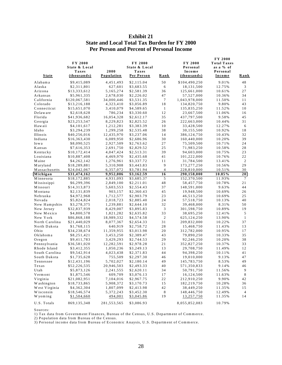|                | FY 2000<br>State & Local<br>Taxes | 2000        | <b>FY 2000</b><br>State & Local<br>Taxes |                | FY 2000<br>Personal<br>Income | <b>FY 2000</b><br><b>Total Taxes</b><br>as a % of<br>Personal |                  |
|----------------|-----------------------------------|-------------|------------------------------------------|----------------|-------------------------------|---------------------------------------------------------------|------------------|
| State          | (thousands)                       | Population  | Per Person                               | Rank           | (thousands)                   | Income                                                        | Rank             |
| Alabama        | \$9,415,089                       | 4,451,493   | \$2,115.04                               | 50             | \$104,490,250                 | 9.01%                                                         | 48               |
| Alaska         | \$2,311,801                       | 627,601     | \$3,683.55                               | 6              | 18,131,500                    | 12.75%                                                        | 3                |
| Arizona        | \$13,333,612                      | 5,165,274   | \$2,581.39                               | 36             | 125,661,000                   | 10.61%                                                        | 27               |
| Arkansas       | \$5,961,335                       | 2,678,030   | \$2,226.02                               | 47             | 57,527,000                    | 10.36%                                                        | 34               |
| California     | \$120,067,581                     | 34,000,446  | \$3,531.35                               | 7              | 1,043,978,000                 | 11.50%                                                        | 11               |
| Colorado       | \$13,216,188                      | 4,323,410   | \$3,056.89                               | 18             | 134,820,750                   | 9.80%                                                         | 43               |
| Connecticut    | \$15,651,070                      | 3,410,079   | \$4,589.65                               | $\mathbf{1}$   | 135,835,250                   | 11.52%                                                        | 10               |
| Delaware       | \$2,618,628                       | 786,234     | \$3,330.60                               | 12             | 23,667,500                    | 11.06%                                                        | 16               |
| Florida        | \$41,936,682                      | 16,054,328  | \$2,612.17                               | 35             | 437,797,500                   | 9.58%                                                         | 45               |
| Georgia        | \$23,253,547                      | 8,229,823   | \$2,825.52                               | 26             | 222,663,000                   | 10.44%                                                        | 31               |
| Hawaii         | \$4,101,617                       | 1,212,281   | \$3,383.39                               | 10             | 33,428,500                    | 12.27%                                                        | 6                |
| Idaho          | \$3,294,239                       | 1,299,258   | \$2,535.48                               | 38             | 30,155,500                    | 10.92%                                                        | 18               |
| Illinois       | \$40,256,016                      | 12,435,970  | \$3,237.06                               | 14             | 386,124,750                   | 10.43%                                                        | 32               |
| Indiana        | \$16,363,430                      | 6,089,950   | \$2,686.96                               | 30             | 160,440,000                   | 10.20%                                                        | 39               |
| Iowa           | \$8,090,525                       | 2,927,509   | \$2,763.62                               | 27             | 75,509,500                    | 10.71%                                                        | 24               |
| Kansas         | \$7,616,353                       | 2,691,750   | \$2,829.52                               | 25             | 71,983,250                    | 10.58%                                                        | 28               |
| Kentucky       | \$10,172,414                      | 4,047,424   | \$2,513.31                               | 39             | 94,603,000                    | 10.75%                                                        | 23               |
| Louisiana      | \$10,887,408                      | 4,469,970   | \$2,435.68                               | 41             | 101,222,000                   | 10.76%                                                        | 22               |
| M aine         | \$4,262,142                       | 1,276,961   | \$3,337.72                               | 11             | 31,784,500                    | 13.41%                                                        | $\boldsymbol{2}$ |
| M aryland      | \$18,289,881                      | 5,310,908   | \$3,443.83                               | 9              | 173,277,250                   | 10.56%                                                        | 29               |
| Massachusetts  | \$24,042,067                      | 6,357,072   | \$3,781.94                               | $\overline{4}$ | 228,810,000                   | 10.51%                                                        | 30               |
| Michigan       | \$31,474,162                      | 9,952,006   | \$3,162.59                               | 16             | 290,158,000                   | 10.85%                                                        | 20               |
| Minnesota      | \$18,172,885                      | 4,931,093   | \$3,685.37                               | 5              | 152,370,500                   | 11.93%                                                        | $\tau$           |
| Mississippi    | \$6,299,396                       | 2,849,100   | \$2.211.01                               | 48             | 58,457,750                    | 10.78%                                                        | 21               |
| Missouri       | \$14,313,873                      | 5,603,553   | \$2,554.43                               | 37             | 148,591,000                   | 9.63%                                                         | 44               |
| Montana        | \$2,131,839                       | 903,157     | \$2,360.43                               | 45             | 19,948,500                    | 10.69%                                                        | 26               |
| Nebraska       | \$4,972,968                       | 1,712,577   | \$2,903.79                               | 23             | 46,513,250                    | 10.69%                                                        | 25               |
| Nevada         | \$5,824,824                       | 2,018,723   | \$2,885.40                               | 24             | 57, 518, 750                  | 10.13%                                                        | 40               |
| New Hampshire  | \$3,278,375                       | 1,239,881   | \$2,644.10                               | 32             | 39,468,000                    | 8.31%                                                         | 50               |
| New Jersey     | \$32,837,939                      | 8,429,007   | \$3,895.83                               | 3              | 301,598,750                   | 10.89%                                                        | 19               |
| New Mexico     | \$4,800,578                       | 1,821,282   | \$2,635.82                               | 33             | 38,695,250                    | 12.41%                                                        | 5                |
| New York       | \$86,868,188                      | 18,989,332  | \$4,574.58                               | $\sqrt{2}$     | 625, 124, 250                 | 13.90%                                                        | $\mathbf{1}$     |
| North Carolina | \$21,440,029                      | 8,077,367   | \$2,654.33                               | 31             | 209,832,000                   | 10.22%                                                        | 37               |
| North Dakota   | \$1,768,115                       | 640,919     | \$2,758.72                               | 28             | 15,468,750                    | 11.43%                                                        | 13               |
| Ohio           | \$34,238,674                      | 11,359,955  | \$3,013.98                               | 20             | 312,782,000                   | 10.95%                                                        | 17               |
| Oklahoma       | \$8,251,421                       | 3,453,250   | \$2,389.47                               | 43             | 79,890,250                    | 10.33%                                                        | 35               |
| Oregon         | \$9,411,783                       | 3,429,293   | \$2,744.53                               | 29             | 92,246,250                    | 10.20%                                                        | 38               |
| Pennsylvania   | \$36,581,020                      | 12,282,591  | \$2,978.28                               | 21             | 352,827,250                   | 10.37%                                                        | 33               |
| Rhode Island   | \$3,412,355                       | 1,050,236   | \$3,249.13                               | 13             | 29,708,750                    | 11.49%                                                        | 12               |
| South Carolina | \$9,542,914                       | 4,023,438   | \$2,371.83                               | 44             | 94,398,250                    | 10.11%                                                        | 41               |
| South Dakota   | \$1,735,628                       | 755,509     | \$2,297.30                               | 46             | 19,010,000                    | 9.13%                                                         | 47               |
| Tennessee      | \$12,431,196                      | 5,702,027   | \$2,180.14                               | 49             | 145,783,750                   | 8.53%                                                         | 49               |
| Texas          | \$52,226,535                      | 20,946,503  | \$2,493.33                               | 40             | 571,350,833                   | 9.14%                                                         | 46               |
| Utah           | \$5,873,126                       | 2, 241, 555 | \$2,620.11                               | 34             | 50,791,750                    | 11.56%                                                        | 9                |
| Vermont        | \$1,875,546                       | 609,709     | \$3,076.13                               | 17             | 16,124,500                    | 11.63%                                                        | 8                |
| Virginia       | \$21,082,951                      | 7,104,016   | \$2,967.75                               | 22             | 212,910,250                   | 9.90%                                                         | 42               |
| Washington     | \$18,733,865                      | 5,908,372   | \$3,170.73                               | 15             | 182,219,750                   | 10.28%                                                        | 36               |
| West Virginia  | \$4,362,304                       | 1,807,099   | \$2,413.98                               | 42             | 38,449,250                    | 11.35%                                                        | 15               |
| Wisconsin      | \$18,546,574                      | 5,372,243   | \$3,452.30                               | $\,8\,$        | 148,446,750                   | 12.49%                                                        | 4                |
| W yoming       | \$1,504,660                       | 494,001     | \$3,045.86                               | 19             | <u>13,257,750</u>             | 11.35%                                                        | 14               |
| U.S. Totals    | 869,135,348                       | 281,553,565 | \$3,086.93                               |                | 8,055,852,083                 | 10.79%                                                        |                  |

#### **Exhibit 21 State and Local Total Tax Burden for FY 2000 Per Person and Percent of Personal Income**

Sources:

1) Tax data from Governm ent Finances, Bureau of the Census, U.S. Departm ent of Com m erce.

2) Population data from Bureau of the Census.

3) Personal income data from Bureau of Economic Anaysis, U.S. Department of Commerce.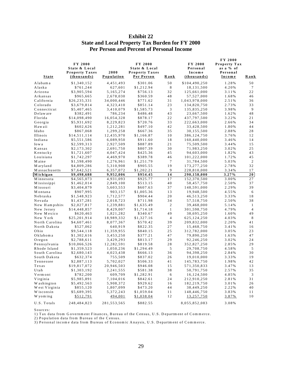| <b>State</b>        | FY 2000<br>State & Local<br><b>Property Taxes</b><br>(thous and s) | 2000<br>Population | FY 2000<br>State & Local<br><b>Property Taxes</b><br>Per Person | Rank           | FY 2000<br>Personal<br>Income<br>$-thous and s)$ | FY 2000<br>Property Tax<br>as a % of<br>Personal<br>Income | Rank           |
|---------------------|--------------------------------------------------------------------|--------------------|-----------------------------------------------------------------|----------------|--------------------------------------------------|------------------------------------------------------------|----------------|
| Alabama             | \$1,340,152                                                        | 4,451,493          | \$301.06                                                        | 50             | \$104,490,250                                    | 1.28%                                                      | 50             |
| Alaska              | \$761,244                                                          | 627,601            | \$1,212.94                                                      | 8              | 18, 131, 500                                     | 4.20%                                                      | 7              |
| Arizona             | \$3,905,594                                                        | 5, 165, 274        | \$756.13                                                        | 32             | 125,661,000                                      | 3.11%                                                      | 22             |
| Arkansas            | \$965,665                                                          | 2,678,030          | \$360.59                                                        | 48             | 57,527,000                                       | 1.68%                                                      | 46             |
| California          | \$26,235,331                                                       | 34,000,446         | \$771.62                                                        | 31             | 1,043,978,000                                    | 2.51%                                                      | 36             |
| Colorado            | \$3,679,814                                                        | 4,323,410          | \$851.14                                                        | 23             | 134,820,750                                      | 2.73%                                                      | 33             |
| Connecticut         | \$5,407,465                                                        | 3,410,079          | \$1,585.73                                                      | 3              | 135,835,250                                      | 3.98%                                                      | 9              |
| Delaware            | \$382,491                                                          | 786,234            | \$486.48                                                        | 43             | 23,667,500                                       | 1.62%                                                      | 48             |
| Florida             | \$14,098,490                                                       | 16,054,328         | \$878.17                                                        | 22             | 437,797,500                                      | 3.22%                                                      | 21             |
| Georgia             | \$5,931,692                                                        | 8,229,823          | \$720.76                                                        | 33             | 222,663,000                                      | 2.66%                                                      | 34             |
| Hawaii              | \$602,626                                                          | 1,212,281          | \$497.10                                                        | 42             | 33,428,500                                       | 1.80%                                                      | 44             |
| Idaho               | \$867,068                                                          | 1,299,258          | \$667.36                                                        | 35             | 30,155,500                                       | 2.88%                                                      | 28             |
| Illinois            | \$14,511,114                                                       | 12,435,970         | \$1,166.87                                                      | 10             | 386,124,750                                      | 3.76%                                                      | 12             |
| Indiana             | \$5,551,586                                                        | 6,089,950          | \$911.60                                                        | 18             | 160,440,000                                      | 3.46%                                                      | 14             |
| Iowa                | \$2,599,313                                                        | 2,927,509          | \$887.89                                                        | 21             | 75,509,500                                       | 3.44%                                                      | 15             |
| Kansas              | \$2,173,302                                                        | 2,691,750          | \$807.39                                                        | 30             | 71,983,250                                       | 3.02%                                                      | 25             |
| Kentucky            | \$1,721,607                                                        | 4,047,424          | \$425.36                                                        | 45             | 94,603,000                                       | 1.82%                                                      | 43             |
| Louisiana           | \$1,742,297                                                        | 4,469,970          | \$389.78                                                        | 46             | 101,222,000                                      | 1.72%                                                      | 45             |
| M aine              | \$1,598,490                                                        | 1,276,961          | \$1,251.79                                                      | $\tau$         | 31,784,500                                       | 5.03%                                                      | 2              |
| M aryland           | \$4,809,286                                                        | 5,310,908          | \$905.55                                                        | 19             | 173,277,250                                      | 2.78%                                                      | 32             |
| Massachusetts       | \$7,642,521                                                        | 6,357,072          | \$1,202.21                                                      | 9              | 228,810,000                                      | 3.34%                                                      | 17             |
| Michigan            | \$9,498,688                                                        | 9,952,006          | \$954.45                                                        | 14             | 290,158,000                                      | 3.27%                                                      | 20             |
| Minnesota           | \$4,565,073                                                        | 4,931,093          | \$925.77                                                        | 17             | 152,370,500                                      | 3.00%                                                      | 27             |
| Mississippi         | \$1,462,014                                                        | 2,849,100          | \$513.15                                                        | 40             | 58,457,750                                       | 2.50%                                                      | 37             |
| M issouri           | \$3,404,879                                                        | 5,603,553          | \$607.63                                                        | 37             | 148,591,000                                      | 2.29%                                                      | 39             |
| Montana             | \$907,995                                                          | 903,157            | \$1,005.36                                                      | 13             | 19,948,500                                       | 4.55%                                                      | 6              |
| Nebraska            | \$1,548,923                                                        | 1,712,577          | \$904.44                                                        | 20             | 46,513,250                                       | 3.33%                                                      | 18             |
| Nevada              | \$1,437,281                                                        | 2,018,723          | \$711.98                                                        | 34             | 57, 518, 750                                     | 2.50%                                                      | 38             |
| New Hampshire       | \$2,027,817                                                        | 1,239,881          | \$1,635.49                                                      | $\mathbf{2}$   | 39,468,000                                       | 5.14%                                                      | $\mathbf{1}$   |
| New Jersey          | \$14,448,857                                                       | 8,429,007          | \$1,714.18                                                      | $\mathbf{1}$   | 301,598,750                                      | 4.79%                                                      | $\overline{4}$ |
| New Mexico          | \$620,463                                                          | 1,821,282          | \$340.67                                                        | 49             | 38,695,250                                       | 1.60%                                                      | 49             |
| New York            | \$25,201,914                                                       | 18,989,332         | \$1,327.16                                                      | $\overline{4}$ | 625, 124, 250                                    | 4.03%                                                      | 8              |
| North Carolina      | \$4,607,461                                                        | 8,077,367          | \$570.42                                                        | 39             | 209,832,000                                      | 2.20%                                                      | 41             |
| North Dakota        | \$527,062                                                          | 640,919            | \$822.35                                                        | 27             | 15,468,750                                       | 3.41%                                                      | 16             |
| Ohio                | \$9,544,118                                                        | 11,359,955         | \$840.15                                                        | 25             | 312,782,000                                      | 3.05%                                                      | 23             |
| Oklahoma            | \$1,302,616                                                        | 3,453,250          | \$377.21                                                        | 47             | 79,890,250                                       | 1.63%                                                      | 47             |
| $O$ regon           | \$2,788,611                                                        | 3,429,293          | \$813.17                                                        | 29             | 92,246,250                                       | 3.02%                                                      | 24             |
| Pennsylvania        | \$10,066,526                                                       | 12,282,591         | \$819.58                                                        | 28             | 352,827,250                                      | 2.85%                                                      | 29             |
| Rhode Island        | \$1,359,523                                                        | 1,050,236          | \$1,294.49                                                      | 5              | 29,708,750                                       | 4.58%                                                      | 5              |
| South Carolina      | \$2,680,143                                                        | 4,023,438          | \$666.13                                                        | 36             | 94,398,250                                       | 2.84%                                                      | 30             |
| South Dakota        | \$632,374                                                          | 755,509            | \$837.02                                                        | 26             | 19,010,000                                       | 3.33%                                                      | 19             |
| Tennessee           | \$2,887,113                                                        | 5,702,027          | \$506.33                                                        | 41             | 145,783,750                                      | 1.98%                                                      | 42             |
| $\mathbf T$ e x a s | \$19,817,072                                                       | 20,946,503         | \$946.08                                                        | $1\,5$         | 571,350,833                                      | 3.47%                                                      | 13             |
| U tah               | \$1,303,192                                                        | 2, 241, 555        | \$581.38                                                        | 38             | 50,791,750                                       | 2.57%                                                      | 35             |
| Vermont             | \$782,200                                                          | 609,709            | \$1,282.91                                                      | 6              | 16,124,500                                       | 4.85%                                                      | 3              |
| Virginia            | \$5,985,891                                                        | 7,104,016          | \$842.61                                                        | 24             | 212,910,250                                      | 2.81%                                                      | 31             |
| Washington          | \$5,492,563                                                        | 5,908,372          | \$929.62                                                        | 16             | 182,219,750                                      | 3.01%                                                      | 26             |
| West Virginia       | \$855,120                                                          | 1,807,099          | \$473.20                                                        | 44             | 38,449,250                                       | 2.22%                                                      | 40             |
| W isconsin          | \$5,689,395                                                        | 5,372,243          | \$1,059.04                                                      | 11             | 148,446,750                                      | 3.83%                                                      | 11             |
| Wyoming             | \$512,791                                                          | 494,001            | \$1,038.04                                                      | 12             | 13,257,750                                       | 3.87%                                                      | 10             |
| U.S. Totals         | 248,484,823                                                        | 281,553,565        | \$882.55                                                        |                | 8,055,852,083                                    | 3.08%                                                      |                |

#### **Exhibit 22 State and Local Property Tax Burden for FY 2000 Per Person and Percent of Personal Income**

Sources:

1) Tax data from G overnm ent Finances, Bureau of the Census, U .S. D epartm ent of Com m erce.

2) Population data from Bureau of the Census.

3) Personal incom e data from Bureau of Econom ic A naysis, U .S. D epartm ent of Com m erce.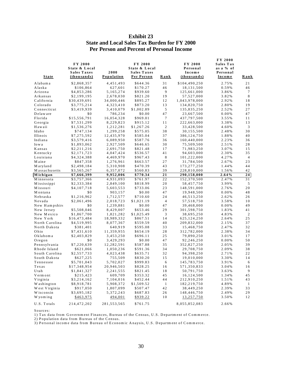| <u>State</u>   | <b>FY 2000</b><br>State & Local<br><b>Sales Taxes</b><br><u>(thousands)</u> | 2000<br><u>Population</u> | <b>FY 2000</b><br>State & Local<br><b>Sales Taxes</b><br>Per Person | <u>Rank</u>      | FY 2000<br>Personal<br>Income<br>(thousands) | FY 2000<br>Sales Tax<br>as a % of<br>Personal<br>Income | <u>Rank</u>    |
|----------------|-----------------------------------------------------------------------------|---------------------------|---------------------------------------------------------------------|------------------|----------------------------------------------|---------------------------------------------------------|----------------|
| Alabama        | \$2,868,357                                                                 | 4,451,493                 | \$644.36                                                            | 31               | \$104,490,250                                | 2.75%                                                   | 21             |
| Alaska         | \$106,864                                                                   | 627,601                   | \$170.27                                                            | 46               | 18,131,500                                   | 0.59%                                                   | 46             |
| Arizona        | \$4,853,286                                                                 | 5, 165, 274               | \$939.60                                                            | 9                | 125,661,000                                  | 3.86%                                                   | 7              |
| Arkansas       | \$2,199,195                                                                 | 2,678,030                 | \$821.20                                                            | 19               | 57,527,000                                   | 3.82%                                                   | 8              |
| California     | \$30,439,691                                                                | 34,000,446                | \$895.27                                                            | 12               | 1,043,978,000                                | 2.92%                                                   | 18             |
| Colorado       | \$3,775,214                                                                 | 4,323,410                 | \$873.20                                                            | 13               | 134,820,750                                  | 2.80%                                                   | 19             |
| Connecticut    | \$3,419,939                                                                 | 3,410,079                 | \$1,002.89                                                          | $\sqrt{5}$       | 135,835,250                                  | 2.52%                                                   | 27             |
| Delaware       | \$0                                                                         | 786,234                   | \$0.00                                                              | 47               | 23,667,500                                   | 0.00%                                                   | 47             |
| Florida        | \$15,556,791                                                                | 16,054,328                | \$969.01                                                            | $\tau$           | 437,797,500                                  | 3.55%                                                   | 11             |
| Georgia        | \$7,531,299                                                                 | 8,229,823                 | \$915.12                                                            | 11               | 222,663,000                                  | 3.38%                                                   | 13             |
| H aw aii       | \$1,536,276                                                                 | 1,212,281                 | \$1,267.26                                                          | $\boldsymbol{2}$ | 33,428,500                                   | 4.60%                                                   | 3              |
| Idaho          | \$747,134                                                                   | 1,299,258                 | \$575.05                                                            | 38               | 30,155,500                                   | 2.48%                                                   | 30             |
| Illinois       | \$7,275,592                                                                 | 12,435,970                | \$585.04                                                            | 37               | 386,124,750                                  | 1.88%                                                   | 40             |
| Indiana        | \$3,579,416                                                                 | 6,089,950                 | \$587.76                                                            | 36               | 160,440,000                                  | 2.23%                                                   | 36             |
| Iowa           | \$1,893,062                                                                 | 2,927,509                 | \$646.65                                                            | 30               | 75,509,500                                   | 2.51%                                                   | 28             |
| Kansas         | \$2,211,216                                                                 | 2,691,750                 | \$821.48                                                            | 17               | 71,983,250                                   | 3.07%                                                   | 15             |
| Kentucky       | \$2,171,723                                                                 | 4,047,424                 | \$536.57                                                            | 41               | 94,603,000                                   | 2.30%                                                   | 35             |
| Louisiana      | \$4,324,388                                                                 | 4,469,970                 | \$967.43                                                            | $\,$ 8 $\,$      | 101,222,000                                  | 4.27%                                                   | $\overline{4}$ |
| M aine         | \$847,358                                                                   | 1,276,961                 | \$663.57                                                            | 27               | 31,784,500                                   | 2.67%                                                   | 23             |
| Maryland       | \$2,498,184                                                                 | 5,310,908                 | \$470.39                                                            | 43               | 173, 277, 250                                | 1.44%                                                   | 44             |
| Massachusetts  | \$3,565,267                                                                 | 6, 357, 072               | \$560.83                                                            | 39               | 228,810,000                                  | 1.56%                                                   | 42             |
| Michigan       | \$7,666,399                                                                 | 9,952,006                 | \$770.34                                                            | 21               | 290,158,000                                  | 2.64%                                                   | 24             |
| Minnesota      | \$3,757,366                                                                 | 4,931,093                 | \$761.97                                                            | 22               | 152,370,500                                  | 2.47%                                                   | 31             |
| Mississippi    | \$2,333,384                                                                 | 2,849,100                 | \$818.99                                                            | 20               | 58,457,750                                   | 3.99%                                                   | 5              |
| Missouri       | \$4,107,718                                                                 | 5,603,553                 | \$733.06                                                            | 23               | 148,591,000                                  | 2.76%                                                   | $2\,0$         |
| Montana        | \$0                                                                         | 903,157                   | \$0.00                                                              | 47               | 19,948,500                                   | 0.00%                                                   | 48             |
| Nebraska       | \$1,216,962                                                                 | 1,712,577                 | \$710.60                                                            | 24               | 46,513,250                                   | 2.62%                                                   | 26             |
| Nevada         | \$2,061,496                                                                 | 2,018,723                 | \$1,021.19                                                          | $\overline{4}$   | 57, 518, 750                                 | 3.58%                                                   | 10             |
| New Hampshire  | \$0                                                                         | 1,239,881                 | \$0.00                                                              | 47               | 39,468,000                                   | 0.00%                                                   | 49             |
| New Jersey     | \$5,508,046                                                                 | 8,429,007                 | \$653.46                                                            | 29               | 301,598,750                                  | 1.83%                                                   | 41             |
| New Mexico     | \$1,867,700                                                                 | 1,821,282                 | \$1,025.49                                                          | 3                | 38,695,250                                   | 4.83%                                                   | $\overline{2}$ |
| New York       | \$16,473,484                                                                | 18,989,332                | \$867.51                                                            | 14               | 625, 124, 250                                | 2.64%                                                   | 25             |
| North Carolina | \$4,519,995                                                                 | 8,077,367                 | \$559.59                                                            | 40               | 209,832,000                                  | 2.15%                                                   | 37             |
| North Dakota   | \$381,401                                                                   | 640,919                   | \$595.08                                                            | 33               | 15,468,750                                   | 2.47%                                                   | 32             |
| Ohio           | \$7,431,610                                                                 | 11,359,955                | \$654.19                                                            | 28               | 312,782,000                                  | 2.38%                                                   | 34             |
| Oklahoma       | \$2,403,829                                                                 | 3,453,250                 | \$696.11                                                            | 25               | 79,890,250                                   | 3.01%                                                   | 17             |
| $O$ regon      | \$0                                                                         | 3,429,293                 | \$0.00                                                              | 47               | 92,246,250                                   | 0.00%                                                   | 50             |
| Pennsylvania   | \$7,220,639                                                                 | 12,282,591                | \$587.88                                                            | 35               | 352,827,250                                  | 2.05%                                                   | 39             |
| Rhode Island   | \$621,066                                                                   | 1,050,236                 | \$591.36                                                            | 34               | 29,708,750                                   | 2.09%                                                   | 38             |
| South Carolina | \$2,557,733                                                                 | 4,023,438                 | \$635.71                                                            | 32               | 94,398,250                                   | 2.71%                                                   | 22             |
| South Dakota   | \$627,225                                                                   | 755,509                   | \$830.20                                                            | 15               | 19,010,000                                   | 3.30%                                                   | 14             |
| Tennessee      | \$5,701,043                                                                 | 5,702,027                 | \$999.83                                                            | 6                | 145,783,750                                  | 3.91%                                                   | 6              |
| $T$ e x a s    | \$17,348,954                                                                | 20,946,503                | \$828.25                                                            | 16               | 571,350,833                                  | 3.04%                                                   | 16             |
| U tah          | \$1,841,327                                                                 | 2, 241, 555               | \$821.45                                                            | 18               | 50,791,750                                   | 3.63%                                                   | 9              |
| Vermont        | \$215,423                                                                   | 609,709                   | \$353.32                                                            | 45               | 16,124,500                                   | 1.34%                                                   | 45             |
| Virginia       | \$3,214,162                                                                 | 7,104,016                 | \$452.44                                                            | 44               | 212,910,250                                  | 1.51%                                                   | 43             |
| W ashington    | \$8,918,781                                                                 | 5,908,372                 | \$1,509.52                                                          | $\mathbf{1}$     | 182,219,750                                  | 4.89%                                                   | $\mathbf{1}$   |
| West Virginia  | \$917,050                                                                   | 1,807,099                 | \$507.47                                                            | 42               | 38,449,250                                   | 2.39%                                                   | 33             |
| Wisconsin      | \$3,695,182                                                                 | 5,372,243                 | \$687.83                                                            | 26               | 148,446,750                                  | 2.49%                                                   | 29             |
| Wyoming        | \$463,975                                                                   | 494,001                   | \$939.22                                                            | 10               | 13,257,750                                   | 3.50%                                                   | 12             |
| U.S. Totals    | 214,472,202                                                                 | 281,553,565               | \$761.75                                                            |                  | 8,055,852,083                                | 2.66%                                                   |                |

#### **Exhibit 23 State and Local Sales Tax Burden for FY 2000 Per Person and Percent of Personal Income**

Sources:

1) Tax data from Government Finances, Bureau of the Census, U.S. Department of Commerce.

2) Population data from Bureau of the Census.

3) Personal incom e data from Bureau of Econom ic A naysis, U .S. D epartm ent of Com m erce.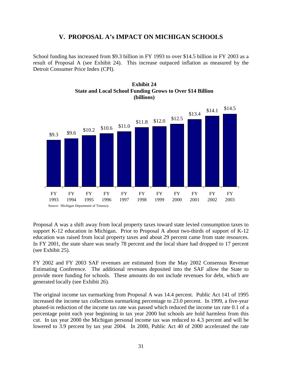## **V. PROPOSAL A's IMPACT ON MICHIGAN SCHOOLS**

School funding has increased from \$9.3 billion in FY 1993 to over \$14.5 billion in FY 2003 as a result of Proposal A (see Exhibit 24). This increase outpaced inflation as measured by the Detroit Consumer Price Index (CPI).





Proposal A was a shift away from local property taxes toward state levied consumption taxes to support K-12 education in Michigan. Prior to Proposal A about two-thirds of support of K-12 education was raised from local property taxes and about 29 percent came from state resources. In FY 2001, the state share was nearly 78 percent and the local share had dropped to 17 percent (see Exhibit 25).

FY 2002 and FY 2003 SAF revenues are estimated from the May 2002 Consensus Revenue Estimating Conference*.* The additional revenues deposited into the SAF allow the State to provide more funding for schools. These amounts do not include revenues for debt, which are generated locally (see Exhibit 26).

The original income tax earmarking from Proposal A was 14.4 percent. Public Act 141 of 1995 increased the income tax collections earmarking percentage to 23.0 percent. In 1999, a five-year phased-in reduction of the income tax rate was passed which reduced the income tax rate 0.1 of a percentage point each year beginning in tax year 2000 but schools are hold harmless from this cut. In tax year 2000 the Michigan personal income tax was reduced to 4.3 percent and will be lowered to 3.9 percent by tax year 2004. In 2000, Public Act 40 of 2000 accelerated the rate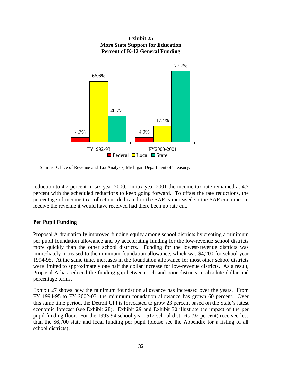

#### **Exhibit 25 More State Support for Education Percent of K-12 General Funding**

reduction to 4.2 percent in tax year 2000. In tax year 2001 the income tax rate remained at 4.2 percent with the scheduled reductions to keep going forward. To offset the rate reductions, the percentage of income tax collections dedicated to the SAF is increased so the SAF continues to receive the revenue it would have received had there been no rate cut.

#### **Per Pupil Funding**

Proposal A dramatically improved funding equity among school districts by creating a minimum per pupil foundation allowance and by accelerating funding for the low-revenue school districts more quickly than the other school districts. Funding for the lowest-revenue districts was immediately increased to the minimum foundation allowance, which was \$4,200 for school year 1994-95. At the same time, increases in the foundation allowance for most other school districts were limited to approximately one half the dollar increase for low-revenue districts. As a result, Proposal A has reduced the funding gap between rich and poor districts in absolute dollar and percentage terms.

Exhibit 27 shows how the minimum foundation allowance has increased over the years. From FY 1994-95 to FY 2002-03, the minimum foundation allowance has grown 60 percent. Over this same time period, the Detroit CPI is forecasted to grow 23 percent based on the State's latest economic forecast (see Exhibit 28). Exhibit 29 and Exhibit 30 illustrate the impact of the per pupil funding floor. For the 1993-94 school year, 512 school districts (92 percent) received less than the \$6,700 state and local funding per pupil (please see the Appendix for a listing of all school districts).

Source: Office of Revenue and Tax Analysis, Michigan Department of Treasury.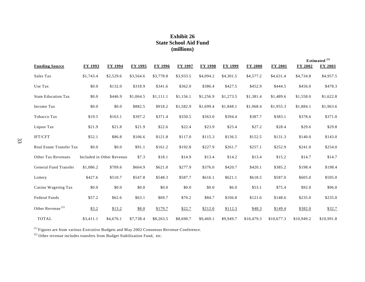#### **Exhibit 26 State School Aid Fund (millions)**

|                            |                |                           |                |                |                |                |                |                |            |                | Estimated <sup>(1)</sup> |
|----------------------------|----------------|---------------------------|----------------|----------------|----------------|----------------|----------------|----------------|------------|----------------|--------------------------|
| <b>Funding Source</b>      | <b>FY 1993</b> | <b>FY 1994</b>            | <b>FY 1995</b> | <b>FY 1996</b> | <b>FY 1997</b> | <b>FY 1998</b> | <b>FY 1999</b> | <b>FY 2000</b> | FY 2001    | <b>FY 2002</b> | <b>FY 2003</b>           |
| Sales Tax                  | \$1,743.4      | \$2,529.6                 | \$3,564.6      | \$3,778.8      | \$3,933.5      | \$4,094.2      | \$4,301.5      | \$4,577.2      | \$4,631.4  | \$4,734.8      | \$4,957.5                |
| Use Tax                    | \$0.0          | \$132.0                   | \$318.9        | \$341.6        | \$362.0        | \$386.4        | \$427.5        | \$452.9        | \$444.5    | \$456.0        | \$478.3                  |
| <b>State Education Tax</b> | \$0.0          | \$446.9                   | \$1,064.5      | \$1,111.1      | \$1,156.1      | \$1,256.9      | \$1,273.5      | \$1,381.4      | \$1,489.6  | \$1,558.0      | \$1,622.8                |
| Income Tax                 | \$0.0          | \$0.0                     | \$882.5        | \$918.2        | \$1,582.9      | \$1,699.4      | \$1,848.1      | \$1,968.4      | \$1,955.3  | \$1,884.1      | \$1,963.6                |
| Tobacco Tax                | \$19.5         | \$163.1                   | \$397.2        | \$371.4        | \$350.5        | \$363.0        | \$394.4        | \$387.7        | \$383.1    | \$378.6        | \$371.0                  |
| Liquor Tax                 | \$21.9         | \$21.8                    | \$21.9         | \$22.6         | \$22.4         | \$23.9         | \$25.4         | \$27.2         | \$28.4     | \$29.6         | \$29.8                   |
| IFT/CFT                    | \$52.1         | \$86.8                    | \$106.6        | \$121.8        | \$117.0        | \$115.3        | \$136.5        | \$152.5        | \$131.3    | \$140.0        | \$143.0                  |
| Real Estate Transfer Tax   | \$0.0          | \$0.0                     | \$91.1         | \$161.2        | \$192.8        | \$227.9        | \$261.7        | \$257.1        | \$252.9    | \$241.0        | \$254.0                  |
| Other Tax Revenues         |                | Included in Other Revenue | \$7.3          | \$18.1         | \$14.9         | \$13.4         | \$14.2         | \$13.4         | \$15.2     | \$14.7         | \$14.7                   |
| General Fund Transfer      | \$1,086.2      | \$709.6                   | \$664.9        | \$621.0        | \$277.9        | \$376.0        | \$420.7        | \$420.1        | \$385.2    | \$198.4        | \$198.4                  |
| Lottery                    | \$427.6        | \$510.7                   | \$547.8        | \$548.3        | \$587.7        | \$616.1        | \$621.1        | \$618.5        | \$587.0    | \$605.0        | \$595.0                  |
| Casino Wagering Tax        | \$0.0          | \$0.0                     | \$0.0          | \$0.0          | \$0.0          | \$0.0          | \$6.0          | \$53.1         | \$75.4     | \$92.0         | \$96.0                   |
| Federal Funds              | \$57.2         | \$62.6                    | \$63.1         | \$69.7         | \$70.2         | \$84.7         | \$106.8        | \$121.6        | \$148.6    | \$235.0        | \$235.0                  |
| Other Revenue $^{(2)}$     | \$3.2          | \$13.2                    | \$8.0          | \$179.7        | \$22.7         | \$212.0        | \$112.3        | \$48.3         | \$149.4    | \$382.0        | \$32.7                   |
| <b>TOTAL</b>               | \$3,411.1      | \$4,676.1                 | \$7,738.4      | \$8,263.5      | \$8,690.7      | \$9,469.1      | \$9,949.7      | \$10,479.3     | \$10,677.3 | \$10,949.2     | \$10,991.8               |

 $(1)$  Figures are from various Executive Budgets and May 2002 Consensus Revenue Conference.

(2) Other revenue includes transfers from Budget Stabilization Fund, etc.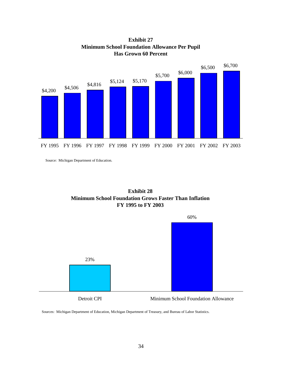

**Exhibit 27 Minimum School Foundation Allowance Per Pupil Has Grown 60 Percent**

Source: Michigan Department of Education.





Detroit CPI Minimum School Foundation Allowance

Sources: Michigan Department of Education, Michigan Department of Treasury, and Bureau of Labor Statistics.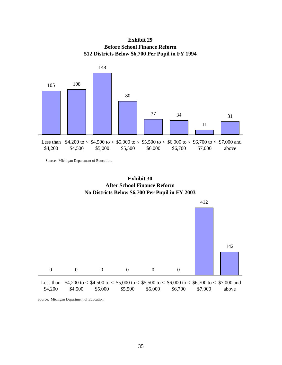**Exhibit 29 Before School Finance Reform 512 Districts Below \$6,700 Per Pupil in FY 1994**



Source: Michigan Department of Education.



Source: Michigan Department of Education.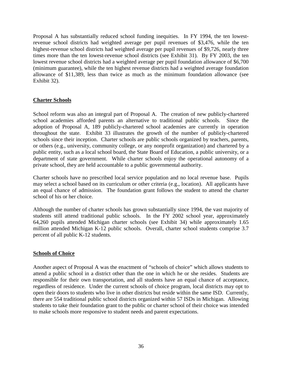Proposal A has substantially reduced school funding inequities. In FY 1994, the ten lowestrevenue school districts had weighted average per pupil revenues of \$3,476, while the ten highest-revenue school districts had weighted average per pupil revenues of \$9,726, nearly three times more than the ten lowest-revenue school districts (see Exhibit 31). By FY 2003, the ten lowest revenue school districts had a weighted average per pupil foundation allowance of \$6,700 (minimum guarantee), while the ten highest revenue districts had a weighted average foundation allowance of \$11,389, less than twice as much as the minimum foundation allowance (see Exhibit 32).

#### **Charter Schools**

School reform was also an integral part of Proposal A. The creation of new publicly-chartered school academies afforded parents an alternative to traditional public schools. Since the adoption of Proposal A, 189 publicly-chartered school academies are currently in operation throughout the state. Exhibit 33 illustrates the growth of the number of publicly-chartered schools since their inception. Charter schools are public schools organized by teachers, parents, or others (e.g., university, community college, or any nonprofit organization) and chartered by a public entity, such as a local school board, the State Board of Education, a public university, or a department of state government. While charter schools enjoy the operational autonomy of a private school, they are held accountable to a public governmental authority.

Charter schools have no prescribed local service population and no local revenue base. Pupils may select a school based on its curriculum or other criteria (e.g., location). All applicants have an equal chance of admission. The foundation grant follows the student to attend the charter school of his or her choice.

Although the number of charter schools has grown substantially since 1994, the vast majority of students still attend traditional public schools. In the FY 2002 school year, approximately 64,260 pupils attended Michigan charter schools (see Exhibit 34) while approximately 1.65 million attended Michigan K-12 public schools. Overall, charter school students comprise 3.7 percent of all public K-12 students.

#### **Schools of Choice**

Another aspect of Proposal A was the enactment of "schools of choice" which allows students to attend a public school in a district other than the one in which he or she resides. Students are responsible for their own transportation, and all students have an equal chance of acceptance, regardless of residence. Under the current schools of choice program, local districts may opt to open their doors to students who live in other districts but reside within the same ISD. Currently, there are 554 traditional public school districts organized within 57 ISDs in Michigan. Allowing students to take their foundation grant to the public or charter school of their choice was intended to make schools more responsive to student needs and parent expectations.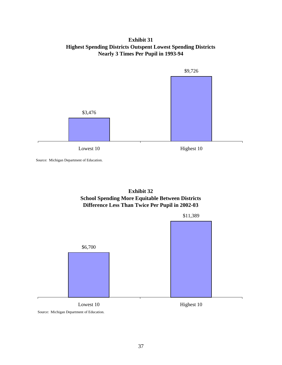#### **Exhibit 31 Highest Spending Districts Outspent Lowest Spending Districts Nearly 3 Times Per Pupil in 1993-94**



Source: Michigan Department of Education.

#### **Exhibit 32 School Spending More Equitable Between Districts Difference Less Than Twice Per Pupil in 2002-03**



Source: Michigan Department of Education.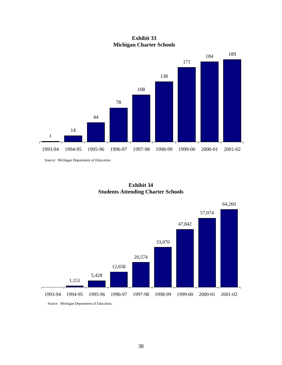**Exhibit 33 Michigan Charter Schools**



Source: Michigan Department of Education.

**Exhibit 34 Students Attending Charter Schools**



Source: Michigan Department of Education.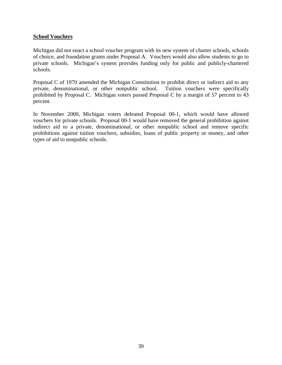#### **School Vouchers**

Michigan did not enact a school voucher program with its new system of charter schools, schools of choice, and foundation grants under Proposal A. Vouchers would also allow students to go to private schools. Michigan's system provides funding only for public and publicly-chartered schools.

Proposal C of 1970 amended the Michigan Constitution to prohibit direct or indirect aid to any private, denominational, or other nonpublic school. Tuition vouchers were specifically prohibited by Proposal C. Michigan voters passed Proposal C by a margin of 57 percent to 43 percent.

In November 2000, Michigan voters defeated Proposal 00-1, which would have allowed vouchers for private schools. Proposal 00-1 would have removed the general prohibition against indirect aid to a private, denominational, or other nonpublic school and remove specific prohibitions against tuition vouchers, subsidies, loans of public property or money, and other types of aid to nonpublic schools.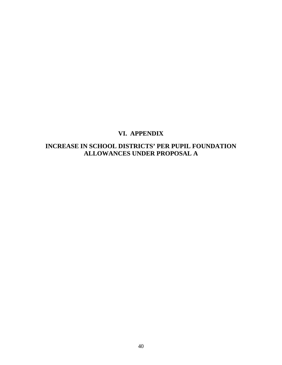# **VI. APPENDIX**

# **INCREASE IN SCHOOL DISTRICTS' PER PUPIL FOUNDATION ALLOWANCES UNDER PROPOSAL A**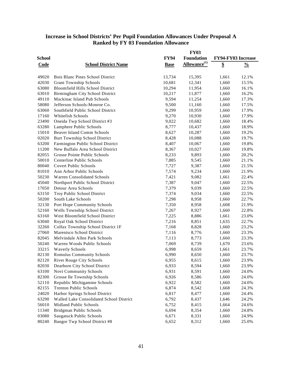#### **Increase in School Districts' Per Pupil Foundation Allowances Under Proposal A Ranked by FY 03 Foundation Allowance**

|               |                                          | <b>FY03</b> |                          |                           |               |  |
|---------------|------------------------------------------|-------------|--------------------------|---------------------------|---------------|--|
| <b>School</b> |                                          | <b>FY94</b> | Foundation               | <b>FY94-FY03 Increase</b> |               |  |
| Code          | <b>School District Name</b>              | <b>Base</b> | Allowance <sup>(1)</sup> | \$                        | $\frac{0}{0}$ |  |
|               |                                          |             |                          |                           |               |  |
| 49020         | Bois Blanc Pines School District         | 13,734      | 15,395                   | 1,661                     | 12.1%         |  |
| 42030         | <b>Grant Township Schools</b>            | 10,681      | 12,341                   | 1,660                     | 15.5%         |  |
| 63080         | <b>Bloomfield Hills School District</b>  | 10,294      | 11,954                   | 1,660                     | 16.1%         |  |
| 63010         | Birmingham City School District          | 10,217      | 11,877                   | 1,660                     | 16.2%         |  |
| 49110         | Mackinac Island Pub Schools              | 9,594       | 11,254                   | 1,660                     | 17.3%         |  |
| 58080         | Jefferson Schools-Monroe Co.             | 9,500       | 11,160                   | 1,660                     | 17.5%         |  |
| 63060         | Southfield Public School District        | 9,299       | 10,959                   | 1,660                     | 17.9%         |  |
| 17160         | Whitefish Schools                        | 9,270       | 10,930                   | 1,660                     | 17.9%         |  |
| 23490         | Oneida Twp School District #3            | 9,022       | 10,682                   | 1,660                     | 18.4%         |  |
| 63280         | Lamphere Public Schools                  | 8,777       | 10,437                   | 1,660                     | 18.9%         |  |
| 15010         | <b>Beaver Island Comm Schools</b>        | 8,627       | 10,287                   | 1,660                     | 19.2%         |  |
| 02020         | <b>Burt Township School District</b>     | 8,428       | 10,088                   | 1,660                     | 19.7%         |  |
| 63200         | Farmington Public School District        | 8,407       | 10,067                   | 1,660                     | 19.8%         |  |
| 11200         | New Buffalo Area School District         | 8,367       | 10,027                   | 1,660                     | 19.8%         |  |
| 82055         | Grosse Pointe Public Schools             | 8,233       | 9,893                    | 1,660                     | 20.2%         |  |
| 50010         | Centerline Public Schools                | 7,885       | 9,545                    | 1,660                     | 21.1%         |  |
| 80040         | <b>Covert Public Schools</b>             | 7,727       | 9,387                    | 1,660                     | 21.5%         |  |
| 81010         | Ann Arbor Public Schools                 | 7,574       | 9,234                    | 1,660                     | 21.9%         |  |
| 50230         | Warren Consolidated Schools              | 7,421       | 9,082                    | 1,661                     | 22.4%         |  |
| 45040         | Northport Public School District         | 7,387       | 9,047                    | 1,660                     | 22.5%         |  |
| 17050         | Detour Area Schools                      | 7,379       | 9,039                    | 1,660                     | 22.5%         |  |
| 63150         | Troy Public School District              | 7,374       | 9,034                    | 1,660                     | 22.5%         |  |
| 50200         | South Lake Schools                       | 7,298       | 8,958                    | 1,660                     | 22.7%         |  |
| 32130         | Port Hope Community Schools              | 7,350       | 8,958                    | 1,608                     | 21.9%         |  |
| 52160         | Wells Township School District           | 7,267       | 8,927                    | 1,660                     | 22.8%         |  |
| 63160         | West Bloomfield School District          | 7,225       | 8,886                    | 1,661                     | 23.0%         |  |
| 63040         | Royal Oak School District                | 7,216       | 8,851                    | 1,635                     | 22.7%         |  |
| 32260         | Colfax Township School District 1F       | 7,168       | 8,828                    | 1,660                     | 23.2%         |  |
| 27060         | Marenisco School District                | 7,116       | 8,776                    | 1,660                     | 23.3%         |  |
| 82045         | Melvindale Allen Park Schools            | 7,113       | 8,773                    | 1,660                     | 23.3%         |  |
| 50240         |                                          | 7,069       | 8,739                    |                           | 23.6%         |  |
| 33215         | Warren Woods Public Schools              | 6,998       | 8,659                    | 1,670                     | 23.7%         |  |
| 82130         | <b>Waverly Schools</b>                   | 6,990       | 8,650                    | 1,661                     | 23.7%         |  |
|               | <b>Romulus Community Schools</b>         |             |                          | 1,660                     |               |  |
| 82120         | River Rouge City Schools                 | 6,955       | 8,615                    | 1,660                     | 23.9%         |  |
| 82030         | Dearborn City School District            | 6,933       | 8,594                    | 1,660                     | 23.9%         |  |
| 63100         | Novi Community Schools                   | 6,931       | 8,591                    | 1,660                     | 24.0%         |  |
| 82300         | Grosse Ile Township Schools              | 6,926       | 8,586                    | 1,660                     | 24.0%         |  |
| 52110         | Republic Michigamme Schools              | 6,922       | 8,582                    | 1,660                     | 24.0%         |  |
| 82155         | <b>Trenton Public Schools</b>            | 6,874       | 8,542                    | 1,668                     | 24.3%         |  |
| 24020         | Harbor Springs School District           | 6,817       | 8,477                    | 1,660                     | 24.4%         |  |
| 63290         | Walled Lake Consolidated School District | 6,792       | 8,437                    | 1,646                     | 24.2%         |  |
| 56010         | Midland Public Schools                   | 6,752       | 8,415                    | 1,664                     | 24.6%         |  |
| 11340         | Bridgman Public Schools                  | 6,694       | 8,354                    | 1,660                     | 24.8%         |  |
| 03080         | Saugatuck Public Schools                 | 6,671       | 8,331                    | 1,660                     | 24.9%         |  |
| 80240         | <b>Bangor Twp School District #8</b>     | 6,652       | 8,312                    | 1,660                     | 25.0%         |  |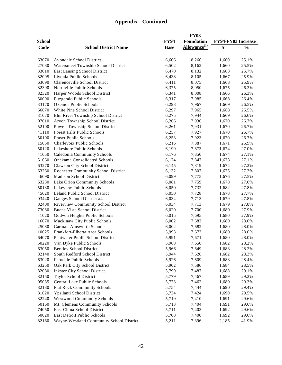|               |                                          |             | <b>FY03</b>              |                    |               |
|---------------|------------------------------------------|-------------|--------------------------|--------------------|---------------|
| <b>School</b> |                                          | <b>FY94</b> | <b>Foundation</b>        | FY94-FY03 Increase |               |
| <b>Code</b>   | <b>School District Name</b>              | <b>Base</b> | Allowance <sup>(1)</sup> | \$                 | $\frac{0}{0}$ |
|               |                                          |             |                          |                    |               |
| 63070         | Avondale School District                 | 6,606       | 8,266                    | 1,660              | 25.1%         |
| 27080         | Watersmeet Township School District      | 6,502       | 8,162                    | 1,660              | 25.5%         |
| 33010         | East Lansing School District             | 6,470       | 8,132                    | 1,663              | 25.7%         |
| 82095         | Livonia Public Schools                   | 6,438       | 8,105                    | 1,667              | 25.9%         |
| 63090         | Clarenceville School District            | 6,411       | 8,075                    | 1,663              | 25.9%         |
| 82390         | Northville Public Schools                | 6,375       | 8,050                    | 1,675              | 26.3%         |
| 82320         | Harper Woods School District             | 6,341       | 8,008                    | 1,666              | 26.3%         |
| 50090         | <b>Fitzgerald Public Schools</b>         | 6,317       | 7,985                    | 1,668              | 26.4%         |
| 33170         | Okemos Public Schools                    | 6,298       | 7,967                    | 1,669              | 26.5%         |
| 66070         | White Pine School District               | 6,297       | 7,965                    | 1,668              | 26.5%         |
| 31070         | Elm River Township School District       | 6,275       | 7,944                    | 1,669              | 26.6%         |
| 07010         | Arvon Township School District           | 6,266       | 7,936                    | 1,670              | 26.7%         |
| 52100         | Powell Township School District          | 6,261       | 7,931                    | 1,670              | 26.7%         |
| 41110         | Forest Hills Public Schools              | 6,257       | 7,927                    | 1,670              | 26.7%         |
| 50100         | <b>Fraser Public Schools</b>             | 6,253       | 7,923                    | 1,670              | 26.7%         |
| 15050         | Charlevoix Public Schools                | 6,216       | 7,887                    | 1,671              | 26.9%         |
| 50120         | Lakeshore Public Schools                 | 6,199       | 7,873                    | 1,674              | 27.0%         |
| 41050         | Caledonia Community Schools              | 6,176       | 7,850                    | 1,674              | 27.1%         |
| 51060         | <b>Onekama Consolidated Schools</b>      | 6,174       | 7,847                    | 1,673              | 27.1%         |
| 63270         | Clawson City School District             | 6,145       | 7,819                    | 1,674              | 27.2%         |
| 63260         | Rochester Community School District      | 6,132       | 7,807                    | 1,675              | 27.3%         |
| 46090         | <b>Madison School District</b>           | 6,099       | 7,775                    | 1,676              | 27.5%         |
| 63230         | Lake Orion Community Schools             | 6,081       | 7,759                    | 1,678              | 27.6%         |
| 50130         | Lakeview Public Schools                  | 6,050       | 7,732                    | 1,682              | 27.8%         |
| 45020         | Leland Public School District            | 6,050       | 7,728                    | 1,678              | 27.7%         |
| 03440         | Ganges School District #4                | 6,034       | 7,713                    | 1,679              | 27.8%         |
| 82400         | Riverview Community School District      | 6,034       | 7,713                    | 1,679              | 27.8%         |
| 73080         | Buena Vista School District              | 6,020       | 7,700                    | 1,680              | 27.9%         |
| 41020         | Godwin Heights Public Schools            | 6,015       | 7,695                    | 1,680              | 27.9%         |
| 16070         | Mackinaw City Public Schools             | 6,002       | 7,682                    | 1,680              | 28.0%         |
| 25080         | Carman-Ainsworth Schools                 | 6,002       | 7,682                    | 1,680              | 28.0%         |
| 10025         | Frankfort-Elberta Area Schools           | 5,993       | 7,673                    | 1,680              | 28.0%         |
| 64070         | Pentwater Public School District         | 5,991       | 7,671                    | 1,680              | 28.0%         |
| 50220         | Van Dyke Public Schools                  | 5,968       | 7,650                    | 1,682              | 28.2%         |
| 63050         | <b>Berkley School District</b>           | 5,966       | 7,649                    | 1,683              | 28.2%         |
| 82140         | South Redford School District            | 5,944       | 7,626                    | 1,682              | 28.3%         |
| 63020         | Ferndale Public Schools                  | 5,926       | 7,609                    | 1,683              | 28.4%         |
| 63250         | Oak Park City School District            | 5,902       | 7,586                    | 1,684              | 28.5%         |
| 82080         | <b>Inkster City School District</b>      | 5,799       | 7,487                    | 1,688              | 29.1%         |
| 82150         | Taylor School District                   | 5,779       | 7,467                    | 1,689              | 29.2%         |
| 05035         | Central Lake Public Schools              | 5,773       | 7,462                    | 1,689              | 29.3%         |
| 82180         | <b>Flat Rock Community Schools</b>       | 5,754       | 7,444                    | 1,690              | 29.4%         |
| 81020         | Ypsilanti School District                | 5,734       | 7,424                    | 1,690              | 29.5%         |
| 82240         | <b>Westwood Community Schools</b>        | 5,719       | 7,410                    | 1,691              | 29.6%         |
| 50160         | Mt. Clemens Community Schools            | 5,713       | 7,404                    | 1,691              | 29.6%         |
| 74050         | East China School District               | 5,711       | 7,403                    | 1,692              | 29.6%         |
| 50020         | East Detroit Public Schools              | 5,708       | 7,400                    | 1,692              | 29.6%         |
| 82160         | Wayne-Westland Community School District | 5,211       | 7,396                    | 2,185              | 41.9%         |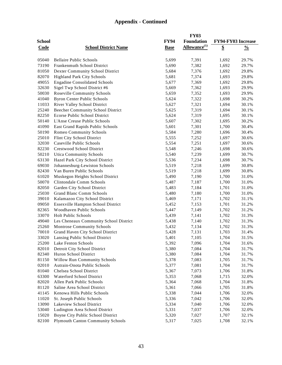|               |                                          |             | <b>FY03</b>              |                    |               |
|---------------|------------------------------------------|-------------|--------------------------|--------------------|---------------|
| <b>School</b> |                                          | <b>FY94</b> | Foundation               | FY94-FY03 Increase |               |
| Code          | <b>School District Name</b>              | <b>Base</b> | Allowance <sup>(1)</sup> | \$                 | $\frac{0}{0}$ |
|               |                                          |             |                          |                    |               |
| 05040         | <b>Bellaire Public Schools</b>           | 5,699       | 7,391                    | 1,692              | 29.7%         |
| 73190         | Frankenmuth School District              | 5,690       | 7,382                    | 1,692              | 29.7%         |
| 81050         | Dexter Community School District         | 5,684       | 7,376                    | 1,692              | 29.8%         |
| 82070         | <b>Highland Park City Schools</b>        | 5,681       | 7,374                    | 1,693              | 29.8%         |
| 49055         | <b>Engadine Consolidated Schools</b>     | 5,677       | 7,369                    | 1,692              | 29.8%         |
| 32630         | Sigel Twp School District #6             | 5,669       | 7,362                    | 1,693              | 29.9%         |
| 50030         | Roseville Community Schools              | 5,659       | 7,352                    | 1,693              | 29.9%         |
| 41040         | <b>Byron Center Public Schools</b>       | 5,624       | 7,322                    | 1,698              | 30.2%         |
| 11033         | River Valley School District             | 5,627       | 7,321                    | 1,694              | 30.1%         |
| 25240         | <b>Beecher Community School District</b> | 5,625       | 7,319                    | 1,694              | 30.1%         |
| 82250         | Ecorse Public School District            | 5,624       | 7,319                    | 1,695              | 30.1%         |
| 50140         | L'Anse Creuse Public Schools             | 5,607       | 7,302                    | 1,695              | 30.2%         |
| 41090         |                                          |             |                          |                    | 30.4%         |
|               | East Grand Rapids Public Schools         | 5,601       | 7,301                    | 1,700              |               |
| 50190         | Romeo Community Schools                  | 5,584       | 7,280                    | 1,696              | 30.4%         |
| 25010         | Flint City School District               | 5,555       | 7,252                    | 1,697              | 30.6%         |
| 32030         | Caseville Public Schools                 | 5,554       | 7,251                    | 1,697              | 30.6%         |
| 82230         | <b>Crestwood School District</b>         | 5,548       | 7,246                    | 1,698              | 30.6%         |
| 50210         | <b>Utica Community Schools</b>           | 5,540       | 7,239                    | 1,699              | 30.7%         |
| 63130         | Hazel Park City School District          | 5,536       | 7,234                    | 1,698              | 30.7%         |
| 69030         | Johannesburg-Lewiston Schools            | 5,519       | 7,218                    | 1,699              | 30.8%         |
| 82430         | Van Buren Public Schools                 | 5,519       | 7,218                    | 1,699              | 30.8%         |
| 61020         | Muskegon Heights School District         | 5,490       | 7,190                    | 1,700              | 31.0%         |
| 50070         | Clintondale Comm Schools                 | 5,487       | 7,187                    | 1,700              | 31.0%         |
| 82050         | Garden City School District              | 5,483       | 7,184                    | 1,701              | 31.0%         |
| 25030         | <b>Grand Blanc Comm Schools</b>          | 5,480       | 7,180                    | 1,700              | 31.0%         |
| 39010         | Kalamazoo City School District           | 5,469       | 7,171                    | 1,702              | 31.1%         |
| 09050         | Essexville Hampton School District       | 5,452       | 7,153                    | 1,701              | 31.2%         |
| 82365         | Woodhaven Public Schools                 | 5,447       | 7,149                    | 1,702              | 31.2%         |
| 33070         | <b>Holt Public Schools</b>               | 5,439       | 7,141                    | 1,702              | 31.3%         |
| 49040         | Les Cheneaux Community School District   | 5,438       | 7,140                    | 1,702              | 31.3%         |
| 25260         | <b>Montrose Community Schools</b>        | 5,432       | 7,134                    | 1,702              | 31.3%         |
| 70010         | Grand Haven City School District         | 5,428       | 7,131                    | 1,703              | 31.4%         |
| 33020         | Lansing Public School District           | 5,401       | 7,105                    | 1,704              | 31.5%         |
| 25200         | Lake Fenton Schools                      | 5,392       | 7,096                    | 1,704              | 31.6%         |
| 82010         | Detroit City School District             | 5,380       | 7,084                    | 1,704              | 31.7%         |
| 82340         | Huron School District                    | 5,380       | 7,084                    | 1,704              | 31.7%         |
| 81150         | <b>Willow Run Community Schools</b>      | 5,378       | 7,083                    | 1,705              | 31.7%         |
| 02010         | Autrain-Onota Public Schools             | 5,377       | 7,081                    | 1,704              | 31.7%         |
| 81040         | Chelsea School District                  | 5,367       | 7,073                    | 1,706              | 31.8%         |
| 63300         | Waterford School District                | 5,353       | 7,068                    | 1,715              | 32.0%         |
| 82020         | Allen Park Public Schools                | 5,364       | 7,068                    | 1,704              | 31.8%         |
| 81120         | Saline Area School District              | 5,361       | 7,066                    | 1,705              | 31.8%         |
| 41145         | Kenowa Hills Public Schools              | 5,338       | 7,044                    | 1,706              | 32.0%         |
| 11020         | St. Joseph Public Schools                | 5,336       | 7,042                    | 1,706              | 32.0%         |
| 13090         | Lakeview School District                 | 5,334       | 7,040                    | 1,706              | 32.0%         |
| 53040         | Ludington Area School District           | 5,331       | 7,037                    | 1,706              | 32.0%         |
| 15020         | Boyne City Public School District        | 5,320       | 7,027                    | 1,707              | 32.1%         |
| 82100         | <b>Plymouth Canton Community Schools</b> | 5,317       | 7,025                    | 1,708              | 32.1%         |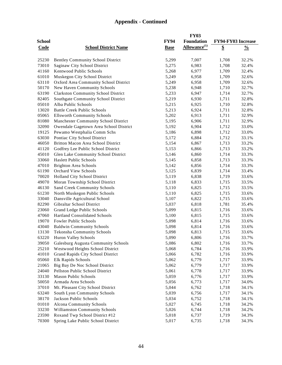|               |                                            |             | <b>FY03</b>                     |                    |               |
|---------------|--------------------------------------------|-------------|---------------------------------|--------------------|---------------|
| <b>School</b> |                                            | <b>FY94</b> | <b>Foundation</b>               | FY94-FY03 Increase |               |
| <b>Code</b>   | <b>School District Name</b>                | <b>Base</b> | <b>Allowance</b> <sup>(1)</sup> | \$                 | $\frac{0}{0}$ |
|               |                                            |             |                                 |                    |               |
| 25230         | <b>Bentley Community School District</b>   | 5,299       | 7,007                           | 1,708              | 32.2%         |
| 73010         | Saginaw City School District               | 5,275       | 6,983                           | 1,708              | 32.4%         |
| 41160         | Kentwood Public Schools                    | 5,268       | 6,977                           | 1,709              | 32.4%         |
| 61010         |                                            | 5,249       | 6,958                           | 1,709              | 32.6%         |
| 63110         | Muskegon City School District              |             | 6,958                           | 1,709              | 32.6%         |
| 50170         | Oxford Area Community School District      | 5,249       |                                 |                    |               |
|               | New Haven Community Schools                | 5,238       | 6,948                           | 1,710              | 32.7%         |
| 63190         | <b>Clarkston Community School District</b> | 5,233       | 6,947                           | 1,714              | 32.7%         |
| 82405         | Southgate Community School District        | 5,219       | 6,930                           | 1,711              | 32.8%         |
| 05010         | Alba Public Schools                        | 5,215       | 6,925                           | 1,710              | 32.8%         |
| 13020         | <b>Battle Creek Public Schools</b>         | 5,213       | 6,924                           | 1,711              | 32.8%         |
| 05065         | <b>Ellsworth Community Schools</b>         | 5,202       | 6,913                           | 1,711              | 32.9%         |
| 81080         | Manchester Community School District       | 5,195       | 6,906                           | 1,711              | 32.9%         |
| 32090         | Owendale Gagetown Area School District     | 5,192       | 6,904                           | 1,712              | 33.0%         |
| 19125         | Pewamo Westphalia Comm Schs                | 5,186       | 6,898                           | 1,712              | 33.0%         |
| 63030         | Pontiac City School District               | 5,172       | 6,884                           | 1,712              | 33.1%         |
| 46050         | Britton Macon Area School District         | 5,154       | 6,867                           | 1,713              | 33.2%         |
| 41120         | Godfrey Lee Public School District         | 5,153       | 6,866                           | 1,713              | 33.2%         |
| 45010         | Glen Lake Community School District        | 5,146       | 6,860                           | 1,714              | 33.3%         |
| 33060         | <b>Haslett Public Schools</b>              | 5,145       | 6,858                           | 1,713              | 33.3%         |
| 47010         | <b>Brighton Area Schools</b>               | 5,142       | 6,856                           | 1,714              | 33.3%         |
| 61190         | <b>Orchard View Schools</b>                | 5,125       | 6,839                           | 1,714              | 33.4%         |
| 70020         | Holland City School District               | 5,119       | 6,838                           | 1,719              | 33.6%         |
| 49070         | Moran Township School District             | 5,118       | 6,833                           | 1,715              | 33.5%         |
| 46130         | Sand Creek Community Schools               | 5,110       | 6,825                           | 1,715              | 33.5%         |
| 61230         | North Muskegon Public Schools              | 5,110       | 6,825                           | 1,715              | 33.6%         |
| 33040         | Dansville Agricultural School              | 5,107       | 6,822                           | 1,715              | 33.6%         |
| 82290         | Gibraltar School District                  | 5,037       | 6,818                           | 1,781              | 35.4%         |
| 23060         | Grand Ledge Public Schools                 | 5,099       | 6,815                           | 1,716              | 33.6%         |
| 47060         | <b>Hartland Consolidated Schools</b>       | 5,100       | 6,815                           | 1,715              | 33.6%         |
| 19070         | Fowler Public Schools                      | 5,098       | 6,814                           | 1,716              | 33.6%         |
| 43040         | <b>Baldwin Community Schools</b>           | 5,098       | 6,814                           | 1,716              | 33.6%         |
| 13130         | Tekonsha Community Schools                 | 5,098       | 6,813                           | 1,715              | 33.6%         |
| 63220         | Huron Valley Schools                       | 5,090       | 6,806                           | 1,716              | 33.7%         |
| 39050         | Galesburg Augusta Community Schools        | 5,086       | 6,802                           | 1,716              | 33.7%         |
| 25210         | Westwood Heights School District           | 5,068       | 6,784                           | 1,716              | 33.9%         |
| 41010         | Grand Rapids City School District          | 5,066       | 6,782                           | 1,716              | 33.9%         |
| 05060         | Elk Rapids Schools                         | 5,062       | 6,779                           | 1,717              | 33.9%         |
| 21065         | Big Bay De Noc School District             | 5,062       | 6,779                           | 1,717              | 33.9%         |
| 24040         | Pellston Public School District            | 5,061       | 6,778                           | 1,717              | 33.9%         |
| 33130         | Mason Public Schools                       | 5,059       | 6,776                           | 1,717              | 33.9%         |
| 50050         | Armada Area Schools                        | 5,056       | 6,773                           | 1,717              | 34.0%         |
| 37010         | Mt. Pleasant City School District          | 5,044       | 6,762                           | 1,718              | 34.1%         |
| 63240         | South Lyon Community Schools               | 5,039       | 6,756                           | 1,717              | 34.1%         |
|               |                                            |             | 6,752                           |                    |               |
| 38170         | Jackson Public Schools                     | 5,034       |                                 | 1,718              | 34.1%         |
| 01010         | Alcona Community Schools                   | 5,027       | 6,745                           | 1,718              | 34.2%         |
| 33230         | Williamston Community Schools              | 5,026       | 6,744                           | 1,718              | 34.2%         |
| 23590         | Roxand Twp School District #12             | 5,018       | 6,737                           | 1,719              | 34.3%         |
| 70300         | Spring Lake Public School District         | 5,017       | 6,735                           | 1,718              | 34.3%         |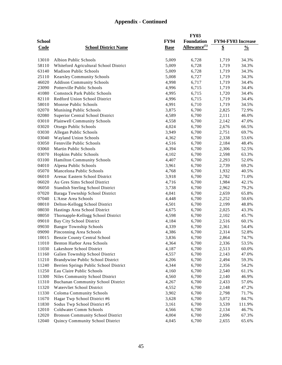|               |                                           |             | <b>FY03</b>              |       |                    |
|---------------|-------------------------------------------|-------------|--------------------------|-------|--------------------|
| <b>School</b> |                                           | <b>FY94</b> | <b>Foundation</b>        |       | FY94-FY03 Increase |
| <b>Code</b>   | <b>School District Name</b>               | <b>Base</b> | Allowance <sup>(1)</sup> | \$    | $\frac{0}{0}$      |
|               |                                           |             |                          |       |                    |
| 13010         | <b>Albion Public Schools</b>              | 5,009       | 6,728                    | 1,719 | 34.3%              |
| 58110         | Whiteford Agricultural School District    | 5,009       | 6,728                    | 1,719 | 34.3%              |
| 63140         | Madison Public Schools                    | 5,009       | 6,728                    | 1,719 | 34.3%              |
| 25110         | <b>Kearsley Community Schools</b>         | 5,008       | 6,727                    | 1,719 | 34.3%              |
| 46020         | <b>Addison Community Schools</b>          | 4,998       | 6,717                    | 1,719 | 34.4%              |
| 23090         | Potterville Public Schools                |             | 6,715                    |       | 34.4%              |
|               |                                           | 4,996       |                          | 1,719 |                    |
| 41080         | <b>Comstock Park Public Schools</b>       | 4,995       | 6,715                    | 1,720 | 34.4%              |
| 82110         | Redford Union School District             | 4,996       | 6,715                    | 1,719 | 34.4%              |
| 58010         | Monroe Public Schools                     | 4,991       | 6,710                    | 1,719 | 34.5%              |
| 02070         | Munising Public Schools                   | 3,875       | 6,700                    | 2,825 | 72.9%              |
| 02080         | Superior Central School District          | 4,589       | 6,700                    | 2,111 | 46.0%              |
| 03010         | <b>Plainwell Community Schools</b>        | 4,558       | 6,700                    | 2,142 | 47.0%              |
| 03020         | Otsego Public Schools                     | 4,024       | 6,700                    | 2,676 | 66.5%              |
| 03030         | Allegan Public Schools                    | 3,949       | 6,700                    | 2,751 | 69.7%              |
| 03040         | Wayland Union Schools                     | 4,362       | 6,700                    | 2,338 | 53.6%              |
| 03050         | Fennville Public Schools                  | 4,516       | 6,700                    | 2,184 | 48.4%              |
| 03060         | <b>Martin Public Schools</b>              | 4,394       | 6,700                    | 2,306 | 52.5%              |
| 03070         | Hopkins Public Schools                    | 4,102       | 6,700                    | 2,598 | 63.3%              |
| 03100         | Hamilton Community Schools                | 4,407       | 6,700                    | 2,293 | 52.0%              |
| 04010         | Alpena Public Schools                     | 3,961       | 6,700                    | 2,739 | 69.2%              |
| 05070         | Mancelona Public Schools                  | 4,768       | 6,700                    | 1,932 | 40.5%              |
| 06010         | Arenac Eastern School District            | 3,918       | 6,700                    | 2,782 | 71.0%              |
| 06020         | Au Gres Sims School District              | 4,716       | 6,700                    | 1,984 | 42.1%              |
| 06050         | <b>Standish Sterling School District</b>  | 3,738       | 6,700                    | 2,962 | 79.2%              |
| 07020         | Baraga Township School District           | 4,041       | 6,700                    | 2,659 | 65.8%              |
| 07040         | L'Anse Area Schools                       | 4,448       | 6,700                    | 2,252 | 50.6%              |
| 08010         | Delton-Kellogg School District            | 4,501       | 6,700                    | 2,199 | 48.8%              |
| 08030         | Hastings Area School District             | 4,675       | 6,700                    | 2,025 | 43.3%              |
| 08050         | Thornapple-Kellogg School District        | 4,598       | 6,700                    | 2,102 | 45.7%              |
| 09010         | Bay City School District                  | 4,184       | 6,700                    | 2,516 | 60.1%              |
| 09030         | <b>Bangor Township Schools</b>            | 4,339       | 6,700                    | 2,361 | 54.4%              |
| 09090         | Pinconning Area Schools                   | 4,386       | 6,700                    | 2,314 | 52.8%              |
| 10015         | <b>Benzie County Central School</b>       | 3,836       | 6,700                    | 2,864 | 74.7%              |
| 11010         | Benton Harbor Area Schools                | 4,364       | 6,700                    | 2,336 | 53.5%              |
| 11030         | Lakeshore School District                 | 4,187       | 6,700                    | 2,513 | 60.0%              |
| 11160         | Galien Township School District           | 4,557       | 6,700                    | 2,143 | 47.0%              |
| 11210         | Brandywine Public School District         | 4,206       | 6,700                    | 2,494 | 59.3%              |
| 11240         | Berrien Springs Public School District    | 4,344       | 6,700                    | 2,356 | 54.2%              |
| 11250         | Eau Claire Public Schools                 | 4,160       | 6,700                    | 2,540 | 61.1%              |
| 11300         | Niles Community School District           | 4,560       | 6,700                    | 2,140 | 46.9%              |
| 11310         |                                           |             |                          |       |                    |
|               | <b>Buchanan Community School District</b> | 4,267       | 6,700                    | 2,433 | 57.0%              |
| 11320         | Watervliet School District                | 4,552       | 6,700                    | 2,148 | 47.2%              |
| 11330         | Coloma Community Schools                  | 3,902       | 6,700                    | 2,798 | 71.7%              |
| 11670         | Hagar Twp School District #6              | 3,628       | 6,700                    | 3,072 | 84.7%              |
| 11830         | Sodus Twp School District #5              | 3,161       | 6,700                    | 3,539 | 111.9%             |
| 12010         | Coldwater Comm Schools                    | 4,566       | 6,700                    | 2,134 | 46.7%              |
| 12020         | <b>Bronson Community School District</b>  | 4,004       | 6,700                    | 2,696 | 67.3%              |
| 12040         | Quincy Community School District          | 4,045       | 6,700                    | 2,655 | 65.6%              |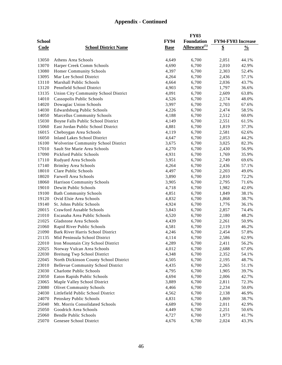|               |                                             |             | <b>FY03</b>              |                    |               |
|---------------|---------------------------------------------|-------------|--------------------------|--------------------|---------------|
| <b>School</b> |                                             | <b>FY94</b> | <b>Foundation</b>        | FY94-FY03 Increase |               |
| <b>Code</b>   | <b>School District Name</b>                 | <b>Base</b> | Allowance <sup>(1)</sup> | $\overline{\$}$    | $\frac{0}{0}$ |
|               |                                             |             |                          |                    |               |
| 13050         | Athens Area Schools                         | 4,649       | 6,700                    | 2,051              | 44.1%         |
| 13070         | Harper Creek Comm Schools                   | 4,690       | 6,700                    | 2,010              | 42.9%         |
| 13080         | Homer Community Schools                     | 4,397       | 6,700                    | 2,303              | 52.4%         |
| 13095         | Mar Lee School District                     | 4,264       | 6,700                    | 2,436              | 57.1%         |
| 13110         | <b>Marshall Public Schools</b>              | 4,664       |                          | 2,036              |               |
|               |                                             |             | 6,700                    |                    | 43.7%         |
| 13120         | Pennfield School District                   | 4,903       | 6,700                    | 1,797              | 36.6%         |
| 13135         | <b>Union City Community School District</b> | 4,091       | 6,700                    | 2,609              | 63.8%         |
| 14010         | Cassopolis Public Schools                   | 4,526       | 6,700                    | 2,174              | 48.0%         |
| 14020         | Dowagiac Union Schools                      | 3,997       | 6,700                    | 2,703              | 67.6%         |
| 14030         | Edwardsburg Public Schools                  | 4,226       | 6,700                    | 2,474              | 58.5%         |
| 14050         | Marcellus Community Schools                 | 4,188       | 6,700                    | 2,512              | 60.0%         |
| 15030         | Boyne Falls Public School District          | 4,149       | 6,700                    | 2,551              | 61.5%         |
| 15060         | East Jordan Public School District          | 4,881       | 6,700                    | 1,819              | 37.3%         |
| 16015         | Cheboygan Area Schools                      | 4,119       | 6,700                    | 2,581              | 62.6%         |
| 16050         | <b>Inland Lakes School District</b>         | 4,647       | 6,700                    | 2,053              | 44.2%         |
| 16100         | Wolverine Community School District         | 3,675       | 6,700                    | 3,025              | 82.3%         |
| 17010         | Sault Ste Marie Area Schools                | 4,270       | 6,700                    | 2,430              | 56.9%         |
| 17090         | Pickford Public Schools                     | 4,931       | 6,700                    | 1,769              | 35.9%         |
| 17110         | Rudyard Area Schools                        | 3,951       | 6,700                    | 2,749              | 69.6%         |
| 17140         | <b>Brimley Area Schools</b>                 | 4,264       | 6,700                    | 2,436              | 57.1%         |
| 18010         | Clare Public Schools                        | 4,497       | 6,700                    | 2,203              | 49.0%         |
| 18020         | Farwell Area Schools                        | 3,890       | 6,700                    | 2,810              | 72.2%         |
| 18060         | Harrison Community Schools                  | 3,905       | 6,700                    | 2,795              | 71.6%         |
| 19010         | Dewitt Public Schools                       | 4,718       | 6,700                    | 1,982              | 42.0%         |
| 19100         | <b>Bath Community Schools</b>               | 4,851       | 6,700                    | 1,849              | 38.1%         |
| 19120         | Ovid Elsie Area Schools                     | 4,832       | 6,700                    | 1,868              | 38.7%         |
| 19140         | St. Johns Public Schools                    | 4,924       | 6,700                    | 1,776              | 36.1%         |
| 20015         | Crawford Ausable Schools                    | 3,843       | 6,700                    | 2,857              | 74.4%         |
| 21010         | Escanaba Area Public Schools                | 4,520       | 6,700                    | 2,180              | 48.2%         |
| 21025         | Gladstone Area Schools                      | 4,439       | 6,700                    | 2,261              | 50.9%         |
| 21060         | Rapid River Public Schools                  | 4,581       | 6,700                    | 2,119              | 46.2%         |
| 21090         | Bark River Harris School District           | 4,246       | 6,700                    | 2,454              | 57.8%         |
| 21135         | Mid Peninsula School District               | 4,114       | 6,700                    | 2,586              | 62.9%         |
| 22010         | Iron Mountain City School District          | 4,289       | 6,700                    | 2,411              | 56.2%         |
| 22025         | Norway Vulcan Area Schools                  | 4,012       | 6,700                    | 2,688              | 67.0%         |
| 22030         | <b>Breitung Twp School District</b>         | 4,348       | 6,700                    | 2,352              | 54.1%         |
| 22045         | North Dickinson County School District      | 4,505       | 6,700                    | 2,195              | 48.7%         |
| 23010         | <b>Bellevue Community School District</b>   | 4,435       | 6,700                    | 2,265              | 51.1%         |
| 23030         | Charlotte Public Schools                    | 4,795       | 6,700                    | 1,905              | 39.7%         |
| 23050         | Eaton Rapids Public Schools                 | 4,694       | 6,700                    | 2,006              | 42.7%         |
| 23065         | Maple Valley School District                | 3,889       | 6,700                    | 2,811              | 72.3%         |
| 23080         | <b>Olivet Community Schools</b>             | 4,466       | 6,700                    | 2,234              | 50.0%         |
| 24030         | Littlefield Public School District          | 4,562       | 6,700                    | 2,138              | 46.9%         |
| 24070         | Petoskey Public Schools                     | 4,831       | 6,700                    | 1,869              | 38.7%         |
| 25040         | Mt. Morris Consolidated Schools             | 4,689       | 6,700                    | 2,011              | 42.9%         |
| 25050         | Goodrich Area Schools                       | 4,449       | 6,700                    | 2,251              | 50.6%         |
| 25060         | <b>Bendle Public Schools</b>                | 4,727       | 6,700                    | 1,973              | 41.7%         |
| 25070         | Genesee School District                     | 4,676       | 6,700                    | 2,024              | 43.3%         |
|               |                                             |             |                          |                    |               |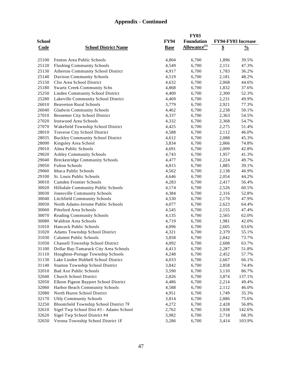|                |                                                                         |                | <b>FY03</b>              |                |                           |
|----------------|-------------------------------------------------------------------------|----------------|--------------------------|----------------|---------------------------|
| <b>School</b>  |                                                                         | <b>FY94</b>    | <b>Foundation</b>        |                | <b>FY94-FY03 Increase</b> |
| <b>Code</b>    | <b>School District Name</b>                                             | <b>Base</b>    | Allowance <sup>(1)</sup> | \$             | $\frac{0}{0}$             |
|                |                                                                         |                |                          |                |                           |
| 25100          | Fenton Area Public Schools                                              | 4,804          | 6,700                    | 1,896          | 39.5%                     |
| 25120          | <b>Flushing Community Schools</b>                                       | 4,549          | 6,700                    | 2,151          | 47.3%                     |
| 25130          | <b>Atherton Community School District</b>                               | 4,917          | 6,700                    | 1,783          | 36.2%                     |
| 25140          | <b>Davison Community Schools</b>                                        | 4,519          | 6,700                    | 2,181          | 48.2%                     |
| 25150          | Clio Area School District                                               | 4,632          | 6,700                    | 2,068          | 44.6%                     |
| 25180          | <b>Swartz Creek Community Schs</b>                                      | 4,868          | 6,700                    | 1,832          | 37.6%                     |
| 25250          | <b>Linden Community School District</b>                                 | 4,400          | 6,700                    | 2,300          | 52.3%                     |
| 25280          | Lakeville Community School District                                     | 4,469          | 6,700                    | 2,231          | 49.9%                     |
| 26010          | <b>Beaverton Rural Schools</b>                                          | 3,779          | 6,700                    | 2,921          | 77.3%                     |
| 26040          | Gladwin Community Schools                                               | 4,462          | 6,700                    | 2,238          | 50.1%                     |
| 27010          | <b>Bessemer City School District</b>                                    | 4,337          | 6,700                    | 2,363          | 54.5%                     |
| 27020          | Ironwood Area Schools                                                   | 4,332          | 6,700                    | 2,368          | 54.7%                     |
| 27070          | Wakefield Township School District                                      | 4,425          | 6,700                    | 2,275          | 51.4%                     |
| 28010          | Traverse City School District                                           | 4,588          | 6,700                    | 2,112          | 46.0%                     |
| 28035          | <b>Buckley Community School District</b>                                | 4,612          | 6,700                    | 2,088          | 45.3%                     |
| 28090          | Kingsley Area School                                                    | 3,834          | 6,700                    | 2,866          | 74.8%                     |
| 29010          | Alma Public Schools                                                     | 4,691          | 6,700                    | 2,009          | 42.8%                     |
| 29020          | <b>Ashley Community Schools</b>                                         | 4,743          | 6,700                    | 1,957          | 41.3%                     |
| 29040          | <b>Breckenridge Community Schools</b>                                   | 4,477          | 6,700                    | 2,224          | 49.7%                     |
| 29050          | <b>Fulton Schools</b>                                                   | 4,815          | 6,700                    | 1,885          | 39.1%                     |
| 29060          | Ithaca Public Schools                                                   | 4,562          | 6,700                    | 2,138          | 46.9%                     |
| 29100          | St. Louis Public Schools                                                | 4,646          | 6,700                    | 2,054          | 44.2%                     |
| 30010          | Camden Frontier Schools                                                 | 4,283          | 6,700                    | 2,417          | 56.4%                     |
| 30020          | Hillsdale Community Public Schools                                      | 4,174          | 6,700                    | 2,526          | 60.5%                     |
| 30030          | Jonesville Community Schools                                            | 4,384          | 6,700                    | 2,316          | 52.8%                     |
| 30040          | <b>Litchfield Community Schools</b>                                     | 4,530          | 6,700                    | 2,170          | 47.9%                     |
| 30050          | North Adams-Jerome Public Schools                                       | 4,077          | 6,700                    | 2,623          | 64.4%                     |
| 30060          | Pittsford Area Schools                                                  | 4,545          | 6,700                    | 2,155          | 47.4%                     |
| 30070          | <b>Reading Community Schools</b>                                        | 4,135          | 6,700                    | 2,565          | 62.0%                     |
| 30080          | <b>Waldron Area Schools</b>                                             | 4,719          | 6,700                    | 1,981          | 42.0%                     |
| 31010          | <b>Hancock Public Schools</b>                                           | 4,096          | 6,700                    | 2,605          | 63.6%                     |
| 31020          | Adams Township School District                                          | 4,321          | 6,700                    | 2,379          | 55.1%                     |
| 31030          | <b>Calumet Public Schools</b>                                           | 3,858          | 6,700                    | 2,842          | 73.7%                     |
| 31050          | Chassell Township School District                                       | 4,092          | 6,700                    | 2,608          | 63.7%                     |
| 31100          | Dollar Bay-Tamarack City Area Schools                                   | 4,413          | 6,700                    | 2,287          | 51.8%                     |
| 31110          | Houghton-Portage Township Schools                                       | 4,248          | 6,700                    | 2,452          | 57.7%                     |
| 31130          | Lake Linden Hubbell School District                                     | 4,033          | 6,700                    | 2,667          | 66.1%                     |
| 31140          | <b>Stanton Township School District</b>                                 | 3,842          | 6,700                    | 2,858          | 74.4%                     |
| 32010          | <b>Bad Axe Public Schools</b>                                           | 3,590          | 6,700                    | 3,110          | 86.7%                     |
| 32040          | <b>Church School District</b>                                           | 2,826          | 6,700                    | 3,874          | 137.1%                    |
| 32050          | Elkton Pigeon Bayport School District                                   | 4,486          | 6,700                    | 2,214          | 49.4%                     |
| 32060          |                                                                         | 4,588          | 6,700                    |                |                           |
| 32080          | Harbor Beach Community Schools<br>North Huron School District           | 4,951          | 6,700                    | 2,112<br>1,749 | 46.0%<br>35.3%            |
|                |                                                                         |                |                          |                |                           |
| 32170<br>32250 | <b>Ubly Community Schools</b><br>Bloomfield Township School District 7F | 3,814<br>4,272 | 6,700<br>6,700           | 2,886          | 75.6%                     |
| 32610          | Sigel Twp School Dist #3 - Adams School                                 | 2,762          | 6,700                    | 2,428<br>3,938 | 56.8%                     |
| 32620          | Sigel Twp School District #4                                            | 3,982          | 6,700                    |                | 142.6%<br>68.3%           |
| 32650          | Verona Township School District 1F                                      | 3,286          | 6,700                    | 2,718<br>3,414 | 103.9%                    |
|                |                                                                         |                |                          |                |                           |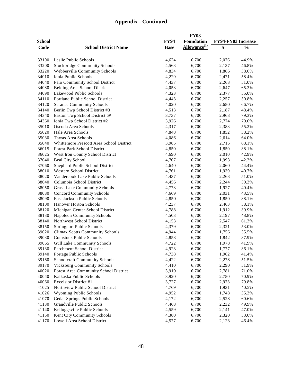|               |                                                                |             | <b>FY03</b>              |                    |               |
|---------------|----------------------------------------------------------------|-------------|--------------------------|--------------------|---------------|
| <b>School</b> |                                                                | <b>FY94</b> | <b>Foundation</b>        | FY94-FY03 Increase |               |
| Code          | <b>School District Name</b>                                    | <b>Base</b> | Allowance <sup>(1)</sup> | \$                 | $\frac{0}{0}$ |
|               |                                                                |             |                          |                    |               |
| 33100         | Leslie Public Schools                                          | 4,624       | 6,700                    | 2,076              | 44.9%         |
| 33200         | <b>Stockbridge Community Schools</b>                           | 4,563       | 6,700                    | 2,137              | 46.8%         |
| 33220         | Webberville Community Schools                                  | 4,834       | 6,700                    | 1,866              | 38.6%         |
| 34010         | Ionia Public Schools                                           | 4,229       | 6,700                    | 2,471              | 58.4%         |
| 34040         | Palo Community School District                                 | 4,437       | 6,700                    | 2,263              | 51.0%         |
| 34080         | Belding Area School District                                   | 4,053       | 6,700                    | 2,647              | 65.3%         |
| 34090         | Lakewood Public Schools                                        | 4,323       | 6,700                    | 2,377              | 55.0%         |
| 34110         | Portland Public School District                                | 4,443       | 6,700                    | 2,257              | 50.8%         |
| 34120         | <b>Saranac Community Schools</b>                               | 4,020       | 6,700                    | 2,680              | 66.7%         |
| 34140         | Berlin Twp School District #3                                  | 4,513       | 6,700                    | 2,187              | 48.4%         |
| 34340         | Easton Twp School District 6#                                  | 3,737       | 6,700                    | 2,963              | 79.3%         |
| 34360         | Ionia Twp School District #2                                   | 3,926       | 6,700                    | 2,774              | 70.6%         |
| 35010         | Oscoda Area Schools                                            | 4,317       | 6,700                    | 2,383              | 55.2%         |
| 35020         | Hale Area Schools                                              | 4,848       | 6,700                    | 1,852              | 38.2%         |
| 35030         | Tawas Area Schools                                             | 4,086       | 6,700                    | 2,614              | 64.0%         |
| 35040         | Whittemore Prescott Area School District                       | 3,985       | 6,700                    | 2,715              | 68.1%         |
| 36015         | <b>Forest Park School District</b>                             | 4,850       | 6,700                    | 1,850              | 38.1%         |
| 36025         | West Iron County School District                               | 4,690       | 6,700                    | 2,010              | 42.9%         |
| 37040         | <b>Beal City School</b>                                        | 4,707       | 6,700                    | 1,993              | 42.3%         |
| 37060         | Shepherd Public School District                                | 4,640       | 6,700                    | 2,060              | 44.4%         |
| 38010         | <b>Western School District</b>                                 | 4,761       | 6,700                    | 1,939              | 40.7%         |
| 38020         | Vandercook Lake Public Schools                                 | 4,437       | 6,700                    | 2,263              | 51.0%         |
| 38040         | Columbia School District                                       | 4,456       | 6,700                    | 2,244              | 50.3%         |
| 38050         | Grass Lake Community Schools                                   | 4,773       | 6,700                    | 1,927              | 40.4%         |
| 38080         | <b>Concord Community Schools</b>                               | 4,669       | 6,700                    | 2,031              | 43.5%         |
| 38090         | East Jackson Public Schools                                    | 4,850       | 6,700                    | 1,850              | 38.1%         |
| 38100         | <b>Hanover Horton Schools</b>                                  | 4,237       | 6,700                    | 2,463              | 58.1%         |
| 38120         | Michigan Center School District                                | 4,788       | 6,700                    | 1,912              | 39.9%         |
| 38130         | <b>Napoleon Community Schools</b>                              | 4,503       | 6,700                    | 2,197              | 48.8%         |
| 38140         | Northwest School District                                      | 4,153       | 6,700                    | 2,547              | 61.3%         |
| 38150         | Springport Public Schools                                      | 4,379       | 6,700                    | 2,321              | 53.0%         |
| 39020         | <b>Climax Scotts Community Schools</b>                         | 4,944       | 6,700                    | 1,756              | 35.5%         |
| 39030         | <b>Comstock Public Schools</b>                                 |             |                          |                    |               |
|               |                                                                | 4,858       | 6,700                    | 1,842              | 37.9%         |
| 39065         | <b>Gull Lake Community Schools</b>                             | 4,722       | 6,700                    | 1,978              | 41.9%         |
| 39130         | Parchment School District                                      | 4,923       | 6,700                    | 1,777              | 36.1%         |
| 39140         | Portage Public Schools<br><b>Schoolcraft Community Schools</b> | 4,738       | 6,700                    | 1,962              | 41.4%         |
| 39160         |                                                                | 4,422       | 6,700                    | 2,278              | 51.5%         |
| 39170         | <b>Vicksburg Community Schools</b>                             | 4,410       | 6,700                    | 2,290              | 51.9%         |
| 40020         | Forest Area Community School District                          | 3,919       | 6,700                    | 2,781              | 71.0%         |
| 40040         | Kalkaska Public Schools                                        | 3,920       | 6,700                    | 2,780              | 70.9%         |
| 40060         | <b>Excelsior District #1</b>                                   | 3,727       | 6,700                    | 2,973              | 79.8%         |
| 41025         | Northview Public School District                               | 4,769       | 6,700                    | 1,931              | 40.5%         |
| 41026         | Wyoming Public Schools                                         | 4,952       | 6,700                    | 1,748              | 35.3%         |
| 41070         | Cedar Springs Public Schools                                   | 4,172       | 6,700                    | 2,528              | 60.6%         |
| 41130         | Grandville Public Schools                                      | 4,468       | 6,700                    | 2,232              | 49.9%         |
| 41140         | Kelloggsville Public Schools                                   | 4,559       | 6,700                    | 2,141              | 47.0%         |
| 41150         | Kent City Community Schools                                    | 4,380       | 6,700                    | 2,320              | 53.0%         |
| 41170         | Lowell Area School District                                    | 4,577       | 6,700                    | 2,123              | 46.4%         |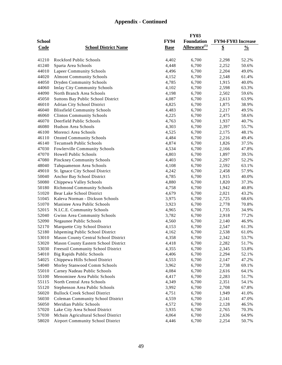|               |                                           |             | <b>FY03</b>              |                    |               |
|---------------|-------------------------------------------|-------------|--------------------------|--------------------|---------------|
| <b>School</b> |                                           | <b>FY94</b> | Foundation               | FY94-FY03 Increase |               |
| Code          | <b>School District Name</b>               | <b>Base</b> | Allowance <sup>(1)</sup> | \$                 | $\frac{0}{0}$ |
|               |                                           |             |                          |                    |               |
| 41210         | Rockford Public Schools                   | 4,402       | 6,700                    | 2,298              | 52.2%         |
| 41240         | Sparta Area Schools                       | 4,448       | 6,700                    | 2,252              | 50.6%         |
| 44010         | <b>Lapeer Community Schools</b>           | 4,496       | 6,700                    | 2,204              | 49.0%         |
| 44020         | <b>Almont Community Schools</b>           | 4,152       | 6,700                    | 2,548              | 61.4%         |
| 44050         | <b>Dryden Community Schools</b>           | 4,785       | 6,700                    | 1,915              | 40.0%         |
| 44060         | <b>Imlay City Community Schools</b>       | 4,102       | 6,700                    | 2,598              | 63.3%         |
| 44090         | North Branch Area Schools                 | 4,198       | 6,700                    | 2,502              | 59.6%         |
| 45050         | <b>Suttons Bay Public School District</b> | 4,087       | 6,700                    | 2,613              | 63.9%         |
| 46010         | Adrian City School District               | 4,825       | 6,700                    | 1,875              | 38.9%         |
| 46040         | <b>Blissfield Community Schools</b>       | 4,483       | 6,700                    | 2,217              | 49.5%         |
| 46060         | <b>Clinton Community Schools</b>          | 4,225       | 6,700                    | 2,475              | 58.6%         |
| 46070         | Deerfield Public Schools                  | 4,763       | 6,700                    | 1,937              | 40.7%         |
| 46080         | Hudson Area Schools                       | 4,303       | 6,700                    | 2,397              | 55.7%         |
| 46100         | Morenci Area Schools                      | 4,525       | 6,700                    | 2,175              | 48.1%         |
| 46110         | <b>Onsted Community Schools</b>           | 4,484       | 6,700                    | 2,216              | 49.4%         |
| 46140         | <b>Tecumseh Public Schools</b>            | 4,874       | 6,700                    | 1,826              | 37.5%         |
| 47030         | Fowlerville Community Schools             | 4,534       | 6,700                    | 2,166              | 47.8%         |
| 47070         | <b>Howell Public Schools</b>              | 4,803       | 6,700                    | 1,897              | 39.5%         |
| 47080         | Pinckney Community Schools                | 4,403       | 6,700                    | 2,297              | 52.2%         |
| 48040         | Tahquamenon Area Schools                  | 4,108       | 6,700                    | 2,592              | 63.1%         |
| 49010         | St. Ignace City School District           | 4,242       | 6,700                    | 2,458              | 57.9%         |
| 50040         | Anchor Bay School District                | 4,785       | 6,700                    | 1,915              | 40.0%         |
| 50080         | Chippewa Valley Schools                   | 4,880       | 6,700                    | 1,820              | 37.3%         |
| 50180         | <b>Richmond Community Schools</b>         | 4,758       | 6,700                    | 1,942              | 40.8%         |
| 51020         | Bear Lake School District                 | 4,679       | 6,700                    | 2,021              | 43.2%         |
| 51045         | Kaleva Norman - Dickson Schools           | 3,975       | 6,700                    | 2,725              | 68.6%         |
| 51070         | Manistee Area Public Schools              | 3,923       | 6,700                    | 2,778              | 70.8%         |
| 52015         | N.I.C.E. Community Schools                | 4,965       | 6,700                    | 1,735              | 34.9%         |
| 52040         | Gwinn Area Community Schools              | 3,782       | 6,700                    | 2,918              | 77.2%         |
| 52090         | Negaunee Public Schools                   | 4,560       | 6,700                    | 2,140              | 46.9%         |
| 52170         | Marquette City School District            | 4,153       | 6,700                    | 2,547              | 61.3%         |
| 52180         | Ishpeming Public School District          | 4,162       | 6,700                    | 2,538              | 61.0%         |
| 53010         | Mason County Central School District      | 4,358       | 6,700                    | 2,342              | 53.7%         |
| 53020         | Mason County Eastern School District      | 4,418       | 6,700                    | 2,282              | 51.7%         |
| 53030         | Freesoil Community School District        | 4,355       | 6,700                    | 2,345              | 53.8%         |
| 54010         | <b>Big Rapids Public Schools</b>          | 4,406       | 6,700                    | 2,294              | 52.1%         |
| 54025         | Chippewa Hills School District            | 4,553       | 6,700                    | 2,147              | 47.2%         |
| 54040         | Morley Stanwood Comm Schools              | 3,962       | 6,700                    | 2,738              | 69.1%         |
| 55010         | Carney Nadeau Public Schools              | 4,084       | 6,700                    | 2,616              | 64.1%         |
| 55100         | Menominee Area Public Schools             | 4,417       | 6,700                    | 2,283              | 51.7%         |
| 55115         | North Central Area Schools                | 4,349       | 6,700                    | 2,351              | 54.1%         |
| 55120         | Stephenson Area Public Schools            | 3,992       | 6,700                    | 2,708              | 67.8%         |
| 56020         | <b>Bullock Creek School District</b>      | 4,751       | 6,700                    | 1,949              | 41.0%         |
| 56030         | <b>Coleman Community School District</b>  | 4,559       | 6,700                    | 2,141              | 47.0%         |
| 56050         | Meridian Public Schools                   | 4,572       | 6,700                    | 2,128              | 46.5%         |
| 57020         | Lake City Area School District            | 3,935       | 6,700                    | 2,765              | 70.3%         |
| 57030         | Mcbain Agricultural School District       | 4,064       | 6,700                    | 2,636              | 64.9%         |
| 58020         | <b>Airport Community School District</b>  | 4,446       | 6,700                    | 2,254              | 50.7%         |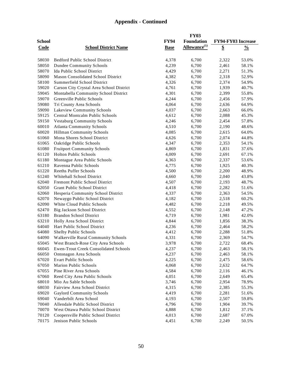|               |                                              |             | <b>FY03</b>              |                    |               |
|---------------|----------------------------------------------|-------------|--------------------------|--------------------|---------------|
| <b>School</b> |                                              | <b>FY94</b> | <b>Foundation</b>        | FY94-FY03 Increase |               |
| <b>Code</b>   | <b>School District Name</b>                  | <b>Base</b> | Allowance <sup>(1)</sup> | \$                 | $\frac{0}{0}$ |
|               |                                              |             |                          |                    |               |
| 58030         | <b>Bedford Public School District</b>        | 4,378       | 6,700                    | 2,322              | 53.0%         |
| 58050         | <b>Dundee Community Schools</b>              | 4,239       | 6,700                    | 2,461              | 58.1%         |
| 58070         | Ida Public School District                   | 4,429       | 6,700                    | 2,271              | 51.3%         |
| 58090         | Mason Consolidated School District           | 4,382       | 6,700                    | 2,318              | 52.9%         |
| 58100         | Summerfield School District                  | 4,326       | 6,700                    | 2,374              | 54.9%         |
| 59020         | Carson City Crystal Area School District     | 4,761       | 6,700                    | 1,939              | 40.7%         |
| 59045         | Montabella Community School District         | 4,301       | 6,700                    | 2,399              | 55.8%         |
| 59070         | Greenville Public Schools                    | 4,244       | 6,700                    | 2,456              | 57.9%         |
| 59080         | Tri County Area Schools                      | 4,064       | 6,700                    | 2,636              | 64.9%         |
| 59090         | Lakeview Community Schools                   | 4,037       | 6,700                    | 2,663              | 66.0%         |
| 59125         | Central Montcalm Public Schools              | 4,612       |                          |                    | 45.3%         |
|               |                                              |             | 6,700                    | 2,088              |               |
| 59150         | <b>Vestaburg Community Schools</b>           | 4,246       | 6,700                    | 2,454              | 57.8%         |
| 60010         | <b>Atlanta Community Schools</b>             | 4,510       | 6,700                    | 2,190              | 48.6%         |
| 60020         | Hillman Community Schools                    | 4,085       | 6,700                    | 2,615              | 64.0%         |
| 61060         | Mona Shores School District                  | 4,626       | 6,700                    | 2,074              | 44.8%         |
| 61065         | Oakridge Public Schools                      | 4,347       | 6,700                    | 2,353              | 54.1%         |
| 61080         | <b>Fruitport Community Schools</b>           | 4,869       | 6,700                    | 1,831              | 37.6%         |
| 61120         | <b>Holton Public Schools</b>                 | 4,009       | 6,700                    | 2,691              | 67.1%         |
| 61180         | Montague Area Public Schools                 | 4,363       | 6,700                    | 2,337              | 53.6%         |
| 61210         | Ravenna Public Schools                       | 4,775       | 6,700                    | 1,925              | 40.3%         |
| 61220         | <b>Reeths Puffer Schools</b>                 | 4,500       | 6,700                    | 2,200              | 48.9%         |
| 61240         | Whitehall School District                    | 4,660       | 6,700                    | 2,040              | 43.8%         |
| 62040         | Fremont Public School District               | 4,507       | 6,700                    | 2,193              | 48.7%         |
| 62050         | Grant Public School District                 | 4,418       | 6,700                    | 2,282              | 51.6%         |
| 62060         | Hesperia Community School District           | 4,337       | 6,700                    | 2,363              | 54.5%         |
| 62070         | Newaygo Public School District               | 4,182       | 6,700                    | 2,518              | 60.2%         |
| 62090         | White Cloud Public Schools                   | 4,482       | 6,700                    | 2,218              | 49.5%         |
| 62470         | Big Jackson School District                  | 4,552       | 6,700                    | 2,148              | 47.2%         |
| 63180         | <b>Brandon School District</b>               | 4,719       | 6,700                    | 1,981              | 42.0%         |
| 63210         | Holly Area School District                   | 4,844       | 6,700                    | 1,856              | 38.3%         |
| 64040         | Hart Public School District                  | 4,236       | 6,700                    | 2,464              | 58.2%         |
| 64080         | Shelby Public Schools                        | 4,412       | 6,700                    | 2,288              | 51.8%         |
| 64090         | <b>Walkerville Rural Community Schools</b>   | 4,331       | 6,700                    | 2,369              | 54.7%         |
| 65045         | West Branch-Rose City Area Schools           | 3,978       | 6,700                    | 2,722              | 68.4%         |
| 66045         | <b>Ewen-Trout Creek Consolidated Schools</b> | 4,237       | 6,700                    | 2,463              | 58.1%         |
| 66050         | Ontonagon Area Schools                       | 4,237       | 6,700                    | 2,463              | 58.1%         |
| 67020         | <b>Evart Public Schools</b>                  | 4,225       | 6,700                    | 2,475              | 58.6%         |
| 67050         | Marion Public Schools                        | 4,068       | 6,700                    | 2,632              | 64.7%         |
| 67055         | Pine River Area Schools                      | 4,584       | 6,700                    | 2,116              | 46.1%         |
| 67060         | Reed City Area Public Schools                | 4,051       | 6,700                    | 2,649              | 65.4%         |
| 68010         | Mio Au Sable Schools                         | 3,746       | 6,700                    | 2,954              | 78.9%         |
| 68030         | Fairview Area School District                | 4,315       | 6,700                    | 2,385              | 55.3%         |
| 69020         | <b>Gaylord Community Schools</b>             | 4,419       | 6,700                    | 2,281              | 51.6%         |
| 69040         | Vanderbilt Area School                       | 4,193       | 6,700                    | 2,507              | 59.8%         |
| 70040         | Allendale Public School District             | 4,796       | 6,700                    | 1,904              | 39.7%         |
| 70070         | West Ottawa Public School District           | 4,888       | 6,700                    | 1,812              | 37.1%         |
| 70120         | Coopersville Public School District          | 4,013       | 6,700                    | 2,687              | 67.0%         |
| 70175         | Jenison Public Schools                       | 4,451       | 6,700                    | 2,249              | 50.5%         |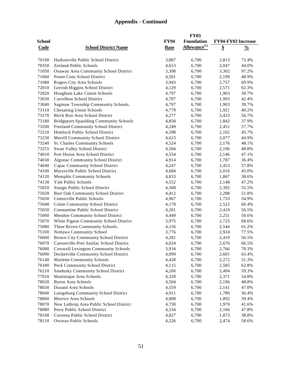|                |                                                                |                | <b>FY03</b>              |                    |                |
|----------------|----------------------------------------------------------------|----------------|--------------------------|--------------------|----------------|
| <b>School</b>  |                                                                | <b>FY94</b>    | <b>Foundation</b>        | FY94-FY03 Increase |                |
| <b>Code</b>    | <b>School District Name</b>                                    | <b>Base</b>    | Allowance <sup>(1)</sup> | $\overline{\$}$    | $\frac{0}{0}$  |
|                |                                                                |                |                          |                    |                |
| 70190          | Hudsonville Public School District                             | 3,887          | 6,700                    | 2,813              | 72.4%          |
| 70350          | Zeeland Public Schools                                         | 4,653          | 6,700                    | 2,047              | 44.0%          |
| 71050          | Onaway Area Community School District                          | 3,398          | 6,700                    | 3,302              | 97.2%          |
| 71060          | Posen Cons School District                                     | 4,501          | 6,700                    | 2,199              | 48.9%          |
| 71080          | Rogers City Area Schools                                       | 3,943          | 6,700                    | 2,757              | 69.9%          |
| 72010          | Gerrish Higgins School District                                | 4,129          | 6,700                    | 2,571              | 62.3%          |
| 72020          | Houghton Lake Comm Schools                                     | 4,797          | 6,700                    | 1,903              | 39.7%          |
| 73030          | <b>Carrollton School District</b>                              | 4,707          | 6,700                    | 1,993              | 42.4%          |
| 73040          | Saginaw Township Community Schools.                            | 4,797          | 6,700                    | 1,903              | 39.7%          |
| 73110          | <b>Chesaning Union Schools</b>                                 | 4,779          | 6,700                    | 1,921              | 40.2%          |
| 73170          | Birch Run Area School District                                 | 4,277          | 6,700                    | 2,423              | 56.7%          |
| 73180          | <b>Bridgeport-Spaulding Community Schools</b>                  | 4,858          | 6,700                    | 1,842              | 37.9%          |
| 73200          | Freeland Community School District                             | 4,249          | 6,700                    | 2,451              | 57.7%          |
| 73210          | Hemlock Public School District                                 | 4,598          | 6,700                    | 2,102              | 45.7%          |
| 73230          | Merrill Community School District                              | 4,623          | 6,700                    | 2,077              | 44.9%          |
| 73240          | <b>St. Charles Community Schools</b>                           | 4,524          | 6,700                    | 2,176              | 48.1%          |
| 73255          | Swan Valley School District                                    | 4,504          | 6,700                    | 2,196              | 48.8%          |
| 74010          | Port Huron Area School District                                | 4,554          | 6,700                    | 2,146              | 47.1%          |
| 74030          | Algonac Community School District                              | 4,914          | 6,700                    | 1,787              | 36.4%          |
| 74040          | Capac Community School District                                | 4,247          | 6,700                    | 2,453              | 57.8%          |
| 74100          | Marysville Public School District                              | 4,684          | 6,700                    | 2,016              | 43.0%          |
| 74120          | <b>Memphis Community Schools</b>                               | 4,833          | 6,700                    | 1,867              | 38.6%          |
| 74130          | Yale Public Schools                                            | 4,552          | 6,700                    | 2,148              | 47.2%          |
| 75010          | Sturgis Public School District                                 | 4,308          | 6,700                    | 2,392              | 55.5%          |
| 75020          | Burr Oak Community School District                             | 4,412          | 6,700                    | 2,288              | 51.8%          |
| 75030          | Centreville Public Schools                                     | 4,967          | 6,700                    | 1,733              | 34.9%          |
| 75040          | <b>Colon Community School District</b>                         | 4,178          | 6,700                    | 2,522              | 60.4%          |
| 75050          | <b>Constantine Public School District</b>                      | 4,281          | 6,700                    | 2,419              | 56.5%          |
| 75060          | Mendon Community School District                               | 4,449          | 6,700                    | 2,251              | 50.6%          |
| 75070          | White Pigeon Community School District                         | 3,975          | 6,700                    | 2,725              | 68.6%          |
| 75080          | Three Rivers Community Schools.                                | 4,156          | 6,700                    | 2,544              | 61.2%          |
| 75100          | Nottawa Community School                                       | 3,776          | 6,700                    | 2,924              | 77.5%          |
| 76060          | <b>Brown City Community School District</b>                    | 4,281          | 6,700                    | 2,419              | 56.5%          |
| 76070          | Carsonville-Port Sanilac School District                       | 4,024          | 6,700                    | 2,676              | 66.5%          |
| 76080          | <b>Croswell Lexington Community Schools</b>                    | 3,934          | 6,700                    | 2,766              | 70.3%          |
| 76090          | Deckerville Community School District                          | 4,099          | 6,700                    | 2,601              | 63.4%          |
| 76140          | <b>Marlette Community Schools</b>                              | 4,428          | 6,700                    | 2,272              | 51.3%          |
| 76180          | Peck Community School District                                 | 4,115          | 6,700                    | 2,585              | 62.8%          |
| 76210          | Sandusky Community School District                             | 4,206          | 6,700                    | 2,494              | 59.3%          |
| 77010          | Manistique Area Schools                                        | 4,329          | 6,700                    | 2,371              | 54.8%          |
| 78020          | <b>Byron Area Schools</b>                                      | 4,504          | 6,700                    | 2,196              | 48.8%          |
| 78030          | Durand Area Schools                                            | 4,559          | 6,700                    |                    |                |
| 78040          |                                                                | 4,911          | 6,700                    | 2,141              | 47.0%          |
|                | Laingsburg Community School District                           |                |                          | 1,789              | 36.4%          |
| 78060          | Morrice Area Schools                                           | 4,808          | 6,700                    | 1,892              | 39.4%          |
| 78070          | New Lothrop Area Public School District                        | 4,730          | 6,700                    | 1,970              | 41.6%          |
| 78080<br>78100 | Perry Public School District<br>Corunna Public School District | 4,534<br>4,827 | 6,700<br>6,700           | 2,166<br>1,873     | 47.8%<br>38.8% |
| 78110          | Owosso Public Schools                                          | 4,226          | 6,700                    | 2,474              | 58.6%          |
|                |                                                                |                |                          |                    |                |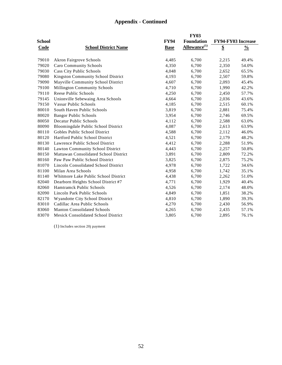|               |                                            |             | <b>FY03</b>              |                    |               |
|---------------|--------------------------------------------|-------------|--------------------------|--------------------|---------------|
| <b>School</b> |                                            | <b>FY94</b> | <b>Foundation</b>        | FY94-FY03 Increase |               |
| Code          | <b>School District Name</b>                | <b>Base</b> | Allowance <sup>(1)</sup> | \$                 | $\frac{0}{0}$ |
|               |                                            |             |                          |                    |               |
| 79010         | <b>Akron Fairgrove Schools</b>             | 4,485       | 6,700                    | 2,215              | 49.4%         |
| 79020         | Caro Community Schools                     | 4,350       | 6,700                    | 2,350              | 54.0%         |
| 79030         | Cass City Public Schools                   | 4,048       | 6,700                    | 2,652              | 65.5%         |
| 79080         | Kingston Community School District         | 4,193       | 6,700                    | 2,507              | 59.8%         |
| 79090         | Mayville Community School District         | 4,607       | 6,700                    | 2,093              | 45.4%         |
| 79100         | <b>Millington Community Schools</b>        | 4,710       | 6,700                    | 1,990              | 42.2%         |
| 79110         | Reese Public Schools                       | 4,250       | 6,700                    | 2,450              | 57.7%         |
| 79145         | Unionville Sebewaing Area Schools          | 4,664       | 6,700                    | 2,036              | 43.6%         |
| 79150         | <b>Vassar Public Schools</b>               | 4,185       | 6,700                    | 2,515              | 60.1%         |
| 80010         | South Haven Public Schools                 | 3,819       | 6,700                    | 2,881              | 75.4%         |
| 80020         | <b>Bangor Public Schools</b>               | 3,954       | 6,700                    | 2,746              | 69.5%         |
| 80050         | <b>Decatur Public Schools</b>              | 4,112       | 6,700                    | 2,588              | 63.0%         |
| 80090         | Bloomingdale Public School District        | 4,087       | 6,700                    | 2,613              | 63.9%         |
| 80110         | Gobles Public School District              | 4,588       | 6,700                    | 2,112              | 46.0%         |
| 80120         | Hartford Public School District            | 4,521       | 6,700                    | 2,179              | 48.2%         |
| 80130         | Lawrence Public School District            | 4,412       | 6,700                    | 2,288              | 51.9%         |
| 80140         | Lawton Community School District           | 4,443       | 6,700                    | 2,257              | 50.8%         |
| 80150         | Mattawan Consolidated School District      | 3,891       | 6,700                    | 2,809              | 72.2%         |
| 80160         | Paw Paw Public School District             | 3,825       | 6,700                    | 2,875              | 75.2%         |
| 81070         | Lincoln Consolidated School District       | 4,978       | 6,700                    | 1,722              | 34.6%         |
| 81100         | Milan Area Schools                         | 4,958       | 6,700                    | 1,742              | 35.1%         |
| 81140         | Whitmore Lake Public School District       | 4,438       | 6,700                    | 2,262              | 51.0%         |
| 82040         | Dearborn Heights School District #7        | 4,771       | 6,700                    | 1,929              | 40.4%         |
| 82060         | Hamtramck Public Schools                   | 4,526       | 6,700                    | 2,174              | 48.0%         |
| 82090         | Lincoln Park Public Schools                | 4,849       | 6,700                    | 1,851              | 38.2%         |
| 82170         | Wyandotte City School District             | 4,810       | 6,700                    | 1,890              | 39.3%         |
| 83010         | Cadillac Area Public Schools               | 4,270       | 6,700                    | 2,430              | 56.9%         |
| 83060         | <b>Manton Consolidated Schools</b>         | 4,265       | 6,700                    | 2,435              | 57.1%         |
| 83070         | <b>Mesick Consolidated School District</b> | 3,805       | 6,700                    | 2,895              | 76.1%         |

(1) Includes section 20j payment